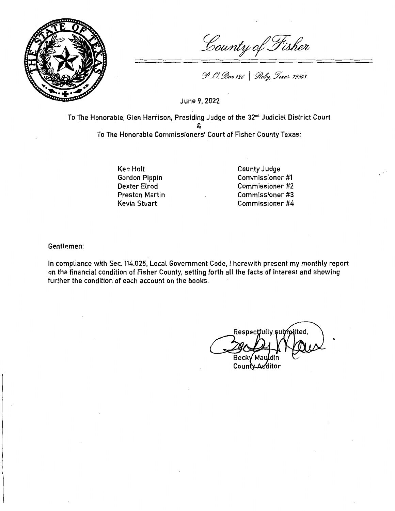

County of Fisher

P. O. Box 126 | Roby, Texas 79549

June 9, 2022

To The Honorable, Glen Harrison, Presiding Judge of the 32nd Judicial District Court & To The Honorable Commissioners' Court of Fisher County Texas:

> Ken Holt Gordon Pippin Dexter Elrod Preston Martin Kevin Stuart

County Judge Commissioner #1 Commissioner #2 Commissioner #3 Commissioner #4

Gentlemen:

In compliance with Sec. 114.025, Local Government Code, I herewith present my monthly report on the financial condition of Fisher County, setting forth all the facts of interest and showing further the condition of each account on the books.

Respectfully submitted, Beck√ Ma

..

County Additor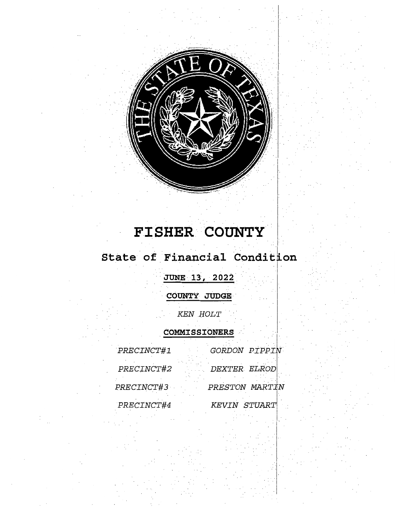

## $\tt FISHER$  **COUNTY**

## State of Financial Condit<sub>i</sub>on

. **JUNE 13, 2022** 

**COUNTY JUDGE·** ·

*KEN HOLT* 

**COMMISSIONERS** 

| PRECINCT#1 | GORDON PIPPIN  |
|------------|----------------|
| PRECINCT#2 | DEXTER ELROD   |
| PRECINCT#3 | PRESTON MARTIN |
| PRECINCT#4 | KEVIN STUART   |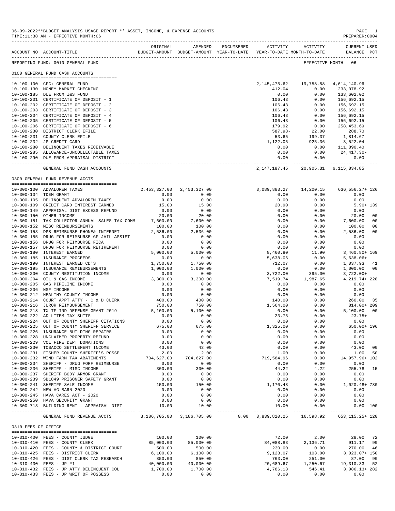|                     | 06-09-2022**BUDGET ANALYSIS USAGE REPORT ** ASSET, INCOME, & EXPENSE ACCOUNTS<br>TIME: 11:38 AM - EFFECTIVE MONTH: 06 |                    |                                       |                                                                                                     |                    | PAGE 1<br>PREPARER: 0004              |
|---------------------|-----------------------------------------------------------------------------------------------------------------------|--------------------|---------------------------------------|-----------------------------------------------------------------------------------------------------|--------------------|---------------------------------------|
|                     | ACCOUNT NO ACCOUNT-TITLE                                                                                              | ORIGINAL           | AMENDED                               | ENCUMBERED ACTIVITY ACTIVITY<br>BUDGET-AMOUNT BUDGET-AMOUNT YEAR-TO-DATE YEAR-TO-DATE MONTH-TO-DATE |                    | CURRENT USED<br>BALANCE PCT           |
|                     | REPORTING FUND: 0010 GENERAL FUND                                                                                     |                    |                                       |                                                                                                     |                    | EFFECTIVE MONTH - 06                  |
|                     | 0100 GENERAL FUND CASH ACCOUNTS                                                                                       |                    |                                       |                                                                                                     |                    |                                       |
|                     | 10-100-100 CFC: GENERAL FUND                                                                                          |                    |                                       | 2, 145, 475.62 19, 758.58 4, 614, 140.96                                                            |                    |                                       |
|                     | 10-100-130 MONEY MARKET CHECKING                                                                                      |                    |                                       | 412.04                                                                                              | 0.00               | 233,078.92                            |
|                     | 10-100-185 DUE FROM I&S FUND                                                                                          |                    |                                       | 0.00                                                                                                | 0.00               | 133,602.02                            |
|                     | 10-100-201 CERTIFICATE OF DEPOSIT - 1                                                                                 |                    |                                       | 106.43                                                                                              | 0.00               | 156,692.15                            |
|                     | 10-100-202 CERTIFICATE OF DEPOSIT - 2                                                                                 |                    |                                       | 106.43                                                                                              | 0.00               | 156,692.15                            |
|                     | 10-100-203 CERTIFICATE OF DEPOSIT - 3                                                                                 |                    |                                       | 106.43                                                                                              | 0.00               | 156,692.15                            |
|                     | 10-100-204 CERTIFICATE OF DEPOSIT - 4                                                                                 |                    |                                       | 106.43                                                                                              | 0.00               | 156,692.15                            |
|                     | 10-100-205 CERTIFICATE OF DEPOSIT - 5                                                                                 |                    |                                       | 106.43                                                                                              | 0.00               | 156,692.15                            |
|                     | 10-100-206 CERTIFICATE OF DEPOSIT - 6<br>10-100-230 DISTRICT CLERK EFILE                                              |                    |                                       | 179.92<br>587.98-                                                                                   | 0.00<br>22.00      | 258,453.69<br>288.70                  |
|                     | 10-100-231 COUNTY CLERK EFILE                                                                                         |                    |                                       | 53.65                                                                                               | 199.37             | 1,814.67                              |
|                     | 10-100-232 JP CREDIT CARD                                                                                             |                    |                                       | 1,122.05                                                                                            | 925.36             | 3,522.04                              |
|                     | 10-100-280 DELINQUENT TAXES RECEIVABLE                                                                                |                    |                                       | 0.00                                                                                                |                    | $0.00$ 111,890.40                     |
|                     | 10-100-285 ALLOWANCE-UNCOLLECTABLE TAXES                                                                              |                    |                                       | 0.00                                                                                                | 0.00               | 24,417.30-                            |
|                     | 10-100-290 DUE FROM APPRAISAL DISTRICT                                                                                |                    |                                       | 0.00                                                                                                | 0.00               | 0.00                                  |
|                     | GENERAL FUND CASH ACCOUNTS                                                                                            |                    |                                       | 2, 147, 187. 45 20, 905. 31 6, 115, 834. 85                                                         |                    |                                       |
|                     | 0300 GENERAL FUND REVENUE ACCTS                                                                                       |                    |                                       |                                                                                                     |                    |                                       |
|                     | 10-300-100 ADVALOREM TAXES                                                                                            |                    |                                       | 3,089,883.27                                                                                        | 14,200.15          | 636,556.27+ 126                       |
|                     | 10-300-104 TDEM GRANT                                                                                                 | 0.00               | 2, 453, 327.00 2, 453, 327.00<br>0.00 | 0.00                                                                                                | 0.00               | 0.00                                  |
|                     | 10-300-105 DELINQUENT ADVALOREM TAXES                                                                                 | 0.00               | 0.00                                  | 0.00                                                                                                | 0.00               | 0.00                                  |
|                     | 10-300-109 CREDIT CARD INTEREST EARNED                                                                                | 15.00              | 15.00                                 | 20.90                                                                                               | 0.00               | $5.90 + 139$                          |
|                     | 10-300-149 APPRAISAL DIST EXCESS REFUND                                                                               | 0.00               | 0.00                                  | 0.00                                                                                                | 0.00               | 0.00                                  |
|                     | 10-300-150 OTHER INCOME                                                                                               | 20.00              | 20.00                                 | 0.00                                                                                                | 0.00               | 20.00<br>00                           |
|                     | 10-300-151 TAX COLLECTOR ANNUAL SALES TAX COMM 7,600.00                                                               |                    | 7,600.00                              | 0.00                                                                                                | 0.00               | 7,600.00<br>00                        |
|                     | 10-300-152 MISC REIMBURSEMENTS                                                                                        | 100.00             | 100.00                                | 0.00                                                                                                | 0.00               | 100.00<br>00                          |
|                     | 10-300-153 DPS REIMBURSE PHONE& INTERNET                                                                              | 2,536.00           | 2,536.00                              | 0.00                                                                                                | 0.00               | 2,536.00<br>00                        |
|                     | 10-300-155 DRUG FOR REIMBURSE GF JAIL ASSIST                                                                          | 0.00               | 0.00                                  | 0.00                                                                                                | 0.00               | 0.00                                  |
|                     | 10-300-156 DRUG FOR REIMBURSE FICA<br>10-300-157 DRUG FOR REIMBURSE RETIREMENT                                        | 0.00<br>0.00       | 0.00                                  | 0.00<br>0.00                                                                                        | 0.00               | 0.00<br>0.00                          |
|                     | 10-300-180 INTEREST EARNED                                                                                            | 5,000.00           | 0.00<br>5,000.00                      | 8,460.80                                                                                            | 0.00<br>11.90      | $3,460.80+169$                        |
|                     | 10-300-185 INSURANCE PROCEEDS                                                                                         | 0.00               | 0.00                                  | 5,638.06                                                                                            | 0.00               | $5,638.06+$                           |
|                     | 10-300-190 INTEREST EARNED CD'S                                                                                       | 1,750.00           | 1,750.00                              | 712.07                                                                                              | 0.00               | 1,037.93 41                           |
|                     | 10-300-195 INSURANCE REMIBURSEMENTS                                                                                   | 1,000.00           | 1,000.00                              | 0.00                                                                                                | 0.00               | 1,000.00 00                           |
|                     | 10-300-200 COUNTY RESTITUTION INCOME                                                                                  | 0.00               | 0.00                                  | 3,722.00                                                                                            | 395.00             | $3,722.00+$                           |
|                     | 10-300-204 OIL & GAS INCOME                                                                                           | 3,300.00           | 3,300.00                              | 7,519.74                                                                                            | 1,987.65           | 4,219.74+228                          |
|                     | 10-300-205 GAS PIPELINE INCOME                                                                                        | 0.00               | 0.00                                  | 0.00                                                                                                | 0.00               | 0.00                                  |
|                     | 10-300-206 NSF INCOME                                                                                                 | 0.00               | 0.00                                  | 0.00                                                                                                | 0.00               | 0.00                                  |
|                     | 10-300-212 HEALTHY COUNTY INCOME<br>10-300-214 COURT APPT ATTY - C & D CLERK                                          | 0.00               | 0.00<br>400.00                        | 0.00<br>140.00                                                                                      | 0.00<br>0.00       | 0.00<br>260.00 35                     |
|                     | 10-300-216 JUROR REIMBURSEMENT                                                                                        | 400.00<br>750.00   | 750.00                                | 1,564.00                                                                                            | 0.00               | 814.00+ 209                           |
|                     | 10-300-218 TX-TF-IND DEFENSE GRANT 2019                                                                               | 5,100.00           | 5,100.00                              | 0.00                                                                                                | 0.00               | 5,100.00 00                           |
|                     | 10-300-222 AD LITEM TAX SUITS                                                                                         | 0.00               | 0.00                                  | 23.75                                                                                               | 0.00               | $23.75+$                              |
|                     | 10-300-224 OUT OF COUNTY SHERIFF CITATIONS                                                                            | 0.00               | 0.00                                  | 0.00                                                                                                | 0.00               | 0.00                                  |
|                     | 10-300-225 OUT OF COUNTY SHERIFF SERVICE                                                                              | 675.00             | 675.00                                | 1,325.00                                                                                            | 0.00               | 650.00+ 196                           |
|                     | 10-300-226 INSURANCE BUILDING REPAIRS                                                                                 | 0.00               | 0.00                                  | 0.00                                                                                                | 0.00               | 0.00                                  |
|                     | 10-300-228 UNCLAIMED PROPERTY REFUND                                                                                  | 0.00               | 0.00                                  | 0.00                                                                                                | 0.00               | 0.00                                  |
|                     | 10-300-229 VOL FIRE DEPT DONATIONS                                                                                    | 0.00<br>43.00      | 0.00<br>43.00                         | 0.00<br>0.00                                                                                        | 0.00               | 0.00                                  |
|                     | 10-300-230 TOBACCO SETTLEMENT INCOME<br>10-300-231 FISHER COUNTY SHERIFF'S POSSE                                      | 2.00               | 2.00                                  | 1.00                                                                                                | 0.00<br>0.00       | 43.00 00<br>1.00 50                   |
|                     | 10-300-232 WIND FARM TAX ABATEMENTS                                                                                   |                    | 704,627.00 704,627.00                 | 719,584.96                                                                                          | 0.00               | 14,957.96+ 102                        |
|                     | 10-300-234 SHERIFF - DRUG FORF REIMBURSE                                                                              | 0.00               | 0.00                                  | 0.00                                                                                                | 0.00               | 0.00                                  |
|                     | 10-300-236 SHERIFF - MISC INCOME                                                                                      | 300.00             | 300.00                                | 44.22                                                                                               | 4.22               | 255.78 15                             |
|                     | 10-300-237 SHERIFF BODY ARMOR GRANT                                                                                   | 0.00               | 0.00                                  | 0.00                                                                                                | 0.00               | 0.00                                  |
|                     | 10-300-239 SB1849 PRISONER SAFETY GRANT                                                                               | 0.00               | 0.00                                  | 0.00                                                                                                | 0.00               | 0.00                                  |
|                     | 10-300-241 SHERIFF SALE INCOME                                                                                        | 150.00             | 150.00                                | 1,170.48                                                                                            | 0.00               | 1,020.48+ 780                         |
|                     | 10-300-242 NEW AG BARN 2020                                                                                           | 0.00               | 0.00                                  | 0.00                                                                                                | 0.00               | 0.00                                  |
|                     | 10-300-245 HAVA CARES ACT - 2020<br>10-300-250 HAVA SECURITY GRANT                                                    | 0.00               | 0.00                                  | 0.00                                                                                                | 0.00<br>0.00       | 0.00                                  |
|                     | 10-300-713 BUILDING RENT - APPRAISAL DIST $10.00$                                                                     | 0.00               | 0.00<br>10.00                         | 0.00<br>10.00                                                                                       | 0.00               | 0.00<br>0.00 100                      |
|                     | GENERAL FUND REVENUE ACCTS 3,186,705.00 3,186,705.00 0.00 3,839,820.25 16,598.92 653,115.25+ 120                      |                    |                                       |                                                                                                     |                    |                                       |
|                     |                                                                                                                       |                    |                                       |                                                                                                     |                    |                                       |
| 0310 FEES OF OFFICE |                                                                                                                       |                    |                                       |                                                                                                     |                    |                                       |
|                     | 10-310-400 FEES - COUNTY JUDGE                                                                                        | 100.00             | 100.00                                |                                                                                                     | 72.00 2.00         | 28.00 72                              |
|                     | 10-310-410 FEES - COUNTY CLERK                                                                                        | 85,000.00          | 85,000.00                             |                                                                                                     | 84,088.83 2,136.71 | 911.17 99                             |
|                     | 10-310-420 FEES - COUNTY & DISTRICT COURT                                                                             | 500.00             | 500.00                                | 230.00                                                                                              | 0.00               | 270.00 46                             |
|                     | 10-310-425 FEES - DISTRICT CLERK<br>10-310-426 FEES - DIST CLERK TAX RESEARCH                                         | 6,100.00<br>850.00 | 6,100.00<br>850.00                    | 9,123.07<br>763.00                                                                                  | 103.00<br>251.00   | 3,023.07+ 150<br>87.00 90             |
|                     | 10-310-430 FEES - JP #1                                                                                               | 40,000.00          | 40,000.00                             |                                                                                                     |                    | 20,689.67   1,250.67   19,310.33   52 |
|                     | 10-310-432 FEES - JP ATTY DELINQUENT COL                                                                              | 1,700.00           | 1,700.00                              |                                                                                                     |                    | 4,786.13 546.41 3,086.13+282          |

10-310-433 FEES - JP WRIT OF POSSESS 0.00 0.00 0.00 0.00 0.00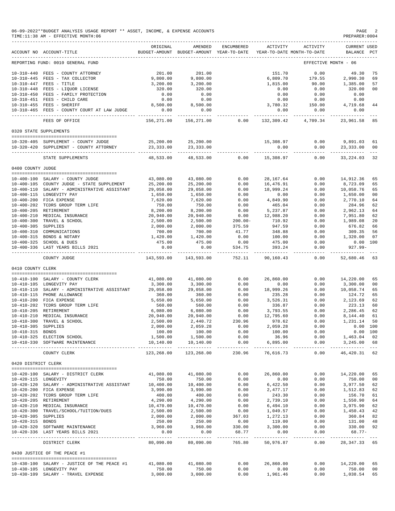| 06-09-2022**BUDGET ANALYSIS USAGE REPORT ** ASSET, INCOME, & EXPENSE ACCOUNTS | PAGE          |
|-------------------------------------------------------------------------------|---------------|
| TIME:11:38 AM - EFFECTIVE MONTH:06                                            | PREPARER:0004 |

|                      | ACCOUNT NO ACCOUNT-TITLE                     | ORIGINAL                | AMENDED<br>BUDGET-AMOUNT BUDGET-AMOUNT YEAR-TO-DATE | ENCUMBERED               | ACTIVITY                    | ACTIVITY<br>YEAR-TO-DATE MONTH-TO-DATE | CURRENT USED<br>BALANCE | $_{\rm PCT}$   |
|----------------------|----------------------------------------------|-------------------------|-----------------------------------------------------|--------------------------|-----------------------------|----------------------------------------|-------------------------|----------------|
|                      | REPORTING FUND: 0010 GENERAL FUND            |                         |                                                     |                          |                             |                                        | EFFECTIVE MONTH - 06    |                |
|                      | 10-310-440 FEES - COUNTY ATTORNEY            | 201.00                  | 201.00                                              |                          | 151.70                      | 0.00                                   | 49.30                   | 75             |
|                      | 10-310-445 FEES - TAX COLLECTOR              | 9,800.00                | 9,800.00                                            |                          | 6,809.70                    | 179.55                                 | 2,990.30                | 69             |
|                      | 10-310-447 FEES - TITLE                      | 3,200.00                | 3,200.00                                            |                          | 1,815.00                    | 90.00                                  | 1,385.00                | 57             |
|                      |                                              | 320.00                  |                                                     |                          | 0.00                        |                                        | 320.00                  | 00             |
|                      | 10-310-448 FEES - LIQUOR LICENSE             |                         | 320.00                                              |                          |                             | 0.00                                   |                         |                |
|                      | 10-310-450 FEES - FAMILY PROTECTION          | 0.00                    | 0.00                                                |                          | 0.00                        | 0.00                                   | 0.00                    |                |
|                      | 10-310-451 FEES - CHILD CARE                 | 0.00                    | 0.00                                                |                          | 0.00                        | 0.00                                   | 0.00                    |                |
|                      | 10-310-455 FEES - SHERIFF                    | 8,500.00                | 8,500.00                                            |                          | 3,780.32                    | 150.00                                 | 4,719.68                | 44             |
|                      | 10-310-465 FEES - COUNTY COURT AT LAW JUDGE  | 0.00                    | 0.00                                                |                          | 0.00                        | 0.00                                   | 0.00                    |                |
|                      | FEES OF OFFICE                               | ---------<br>156,271.00 | 156,271.00                                          | 0.00                     | $- - - - - -$<br>132,309.42 | -------<br>4,709.34                    | 23,961.58               | 85             |
|                      | 0320 STATE SUPPLEMENTS                       |                         |                                                     |                          |                             |                                        |                         |                |
|                      | 10-320-405 SUPPLEMENT - COUNTY JUDGE         | 25,200.00               | 25,200.00                                           |                          | 15,308.97                   | 0.00                                   | 9,891.03                | 61             |
|                      | 10-320-420 SUPPLEMENT - COUNTY ATTORNEY      | 23, 333.00              | 23, 333.00                                          |                          | 0.00                        | 0.00                                   | 23, 333.00              | 00             |
|                      | STATE SUPPLEMENTS                            | 48,533.00               | -----------<br>48,533.00                            | 0.00                     | 15,308.97                   | -----------<br>0.00                    | 33, 224.03              | 32             |
| 0400 COUNTY JUDGE    |                                              |                         |                                                     |                          |                             |                                        |                         |                |
|                      |                                              |                         |                                                     |                          |                             |                                        |                         |                |
|                      | 10-400-100 SALARY - COUNTY JUDGE             | 43,080.00               | 43,080.00                                           | 0.00                     | 28, 167.64                  | 0.00                                   | 14,912.36               | 65             |
|                      | 10-400-105 COUNTY JUDGE - STATE SUPPLEMENT   | 25,200.00               | 25,200.00                                           | 0.00                     | 16,476.91                   | 0.00                                   | 8,723.09                | 65             |
|                      | 10-400-110 SALARY - ADMINISTRATIVE ASSISTANT | 29,058.00               | 29,058.00                                           | 0.00                     | 18,999.24                   | 0.00                                   | 10,058.76               | 65             |
|                      | 10-400-115 LONGEVITY PAY                     | 1,650.00                | 1,650.00                                            | 0.00                     | 0.00                        | 0.00                                   | 1,650.00                | 0 <sub>0</sub> |
|                      | 10-400-200 FICA EXPENSE                      | 7,620.00                | 7,620.00                                            | 0.00                     | 4,849.90                    | 0.00                                   | 2,770.10                | 64             |
|                      | 10-400-202 TCDRS GROUP TERM LIFE             | 750.00                  | 750.00                                              | 0.00                     | 465.04                      | 0.00                                   | 284.96                  | 62             |
|                      |                                              |                         |                                                     |                          |                             |                                        |                         |                |
|                      | 10-400-205 RETIREMENT                        | 8,200.00                | 8,200.00                                            | 0.00                     | 5,237.87                    | 0.00                                   | 2,962.13                | 64             |
| $10 - 400 - 210$     | MEDICAL INSURANCE                            | 20,940.00               | 20,940.00                                           | 0.00                     | 12,988.20                   | 0.00                                   | 7,951.80                | 62             |
| $10 - 400 - 300$     | TRAVEL & SCHOOL                              | 2,500.00                | 2,500.00                                            | $200.00 -$               | 710.92                      | 0.00                                   | 1,989.08                | 20             |
| 10-400-305 SUPPLIES  |                                              | 2,000.00                | 2,000.00                                            | 375.59                   | 947.59                      | 0.00                                   | 676.82                  | 66             |
|                      | 10-400-310 COMMUNICATIONS                    | 700.00                  | 700.00                                              | 41.77                    | 348.88                      | 0.00                                   | 309.35                  | 56             |
|                      | 10-400-315 BONDS & NOTARY                    | 1,420.00                | 1,420.00                                            | 0.00                     | 100.00                      | 0.00                                   | 1,320.00                | 07             |
|                      | 10-400-325 SCHOOL & DUES                     | 475.00                  | 475.00                                              | 0.00                     | 475.00                      | 0.00                                   | $0.00$ 100              |                |
|                      | 10-400-336 LAST YEARS BILLS 2021             | 0.00                    | 0.00                                                | 534.75                   | 393.24                      | 0.00                                   | $927.99 -$              |                |
|                      | COUNTY JUDGE                                 | 143,593.00              | 143,593.00                                          | 752.11                   | 90,160.43                   | 0.00                                   | 52,680.46               | 63             |
| 0410 COUNTY CLERK    |                                              |                         |                                                     |                          |                             |                                        |                         |                |
|                      | 10-410-100 SALARY - COUNTY CLERK             | 41,080.00               | 41,080.00                                           | 0.00                     | 26,860.00                   | 0.00                                   | 14,220.00               | 65             |
|                      | 10-410-105 LONGEVITY PAY                     | 3,300.00                | 3,300.00                                            | 0.00                     | 0.00                        | 0.00                                   | 3,300.00                | 0 <sub>0</sub> |
|                      | 10-410-110 SALARY - ADMINISTRATIVE ASSISTANT | 29,058.00               | 29,058.00                                           | 0.00                     | 18,999.26                   | 0.00                                   | 10,058.74               | 65             |
|                      | 10-410-115 PHONE ALLOWANCE                   | 360.00                  | 360.00                                              | 0.00                     | 235.28                      | 0.00                                   | 124.72                  | 65             |
|                      | 10-410-200 FICA EXPENSE                      | 5,650.00                | 5,650.00                                            | 0.00                     | 3,526.31                    | 0.00                                   | 2,123.69                | 62             |
|                      |                                              |                         |                                                     |                          |                             |                                        |                         | 60             |
|                      | 10-410-202 TCDRS GROUP TERM LIFE             | 560.00                  | 560.00                                              | 0.00                     | 336.87                      | 0.00                                   | 223.13                  |                |
| $10 - 410 - 205$     | RETIREMENT                                   | 6,080.00                | 6,080.00                                            | 0.00                     | 3,793.55                    | 0.00                                   | 2,286.45                | 62             |
| $10 - 410 - 210$     | MEDICAL INSURANCE                            | 20,940.00               | 20,940.00                                           | 0.00                     | 12,795.60                   | 0.00                                   | 8,144.40                | 61             |
| $10 - 410 - 300$     | TRAVEL & SCHOOL                              | 2,500.00                | 2,440.72                                            | 230.96                   | 978.62                      | 0.00                                   | 1,231.14                | 50             |
| 10-410-305 SUPPLIES  |                                              | 2,000.00                | 2,059.28                                            | 0.00                     | 2,059.28                    | 0.00                                   | 0.00                    | 100            |
| 10-410-315 BONDS     |                                              | 100.00                  | 100.00                                              | 0.00                     | 100.00                      | 0.00                                   | $0.00$ 100              |                |
|                      | 10-410-325 ELECTION SCHOOL                   | 1,500.00                | 1,500.00                                            | 0.00                     | 36.96                       | 0.00                                   | 1,463.04 02             |                |
|                      | 10-410-330 SOFTWARE MAINTENANCE              |                         | 10,140.00    10,140.00                              | 0.00                     | 6,895.00                    | 0.00                                   | 3,245.00 68             |                |
|                      | COUNTY CLERK                                 | 123,268.00              | 123,268.00                                          | 230.96                   | 76,616.73                   | 0.00                                   | 46, 420.31 62           |                |
| 0420 DISTRICT CLERK  |                                              |                         |                                                     |                          |                             |                                        |                         |                |
|                      |                                              |                         |                                                     |                          |                             |                                        |                         |                |
|                      | 10-420-100 SALARY - DISTRICT CLERK           | 41,080.00               | 41,080.00                                           | 0.00                     | 26,860.00                   | 0.00                                   | 14,220.00 65            |                |
| 10-420-115 LONGEVITY |                                              | 750.00                  | 750.00                                              | 0.00                     | 0.00                        | 0.00                                   | 750.00                  | 00             |
|                      | 10-420-120 SALARY - ADMINISTRATIVE ASSISTANT | 10,400.00               | 10,400.00                                           | 0.00                     | 6,422.50                    | 0.00                                   | 3,977.50 62             |                |
|                      | 10-420-200 FICA EXPENSE                      | 3,990.00                | 3,990.00                                            | 0.00                     | 2,477.17                    | 0.00                                   | 1,512.83                | 62             |
|                      | 10-420-202 TCDRS GROUP TERM LIFE             | 400.00                  | 400.00                                              | 0.00                     | 243.30                      | 0.00                                   | 156.70                  | 61             |
|                      | 10-420-205 RETIREMENT                        | 4,290.00                | 4,290.00                                            | 0.00                     | 2,739.10                    | 0.00                                   | 1,550.90                | 64             |
|                      |                                              |                         |                                                     |                          |                             |                                        |                         |                |
|                      | 10-420-210 MEDICAL INSURANCE                 | 10,470.00               | 10,470.00                                           | 0.00                     | 6,494.10                    | 0.00                                   | 3,975.90                | 62             |
|                      | 10-420-300 TRAVEL/SCHOOL/TUITION/DUES        | 2,500.00                | 2,500.00                                            | 0.00                     | 1,049.57                    | 0.00                                   | 1,450.43                | 42             |
| 10-420-305 SUPPLIES  |                                              | 2,000.00                | 2,000.00                                            | 367.03                   | 1,272.13                    | 0.00                                   | 360.84 82               |                |
| 10-420-315 BONDS     |                                              | 250.00                  | 250.00                                              | 0.00                     | 119.00                      | 0.00                                   | 131.00 48               |                |
|                      | 10-420-320 SOFTWARE MAINTENANCE              | 3,960.00                | 3,960.00                                            | 330.00                   | 3,300.00                    | 0.00                                   | 330.00 92               |                |
|                      | 10-420-336 LAST YEARS BILLS 2021             | 0.00                    | 0.00                                                | 68.77                    | 0.00                        | 0.00                                   | 68.77-                  |                |
|                      | DISTRICT CLERK                               | 80,090.00               | --------- -------------<br>80,090.00                | --------------<br>765.80 | ----------- -<br>50,976.87  | ----------- -<br>0.00                  | 28, 347. 33 65          |                |
|                      | 0430 JUSTICE OF THE PEACE #1                 |                         |                                                     |                          |                             |                                        |                         |                |
|                      |                                              |                         |                                                     |                          |                             |                                        |                         |                |
|                      | 10-430-100 SALARY - JUSTICE OF THE PEACE #1  | 41,080.00 41,080.00     |                                                     | 0.00                     | 26,860.00                   | 0.00                                   | 14,220.00               | 65             |
|                      | 10-430-105 LONGEVITY PAY                     | 750.00                  | 750.00                                              | 0.00                     | 0.00                        | 0.00                                   | 750.00                  | 00             |
|                      | 10-430-109 SALARY - TRAVEL EXPENSE           | 3,000.00                | 3,000.00                                            | 0.00                     | 1,961.46                    | 0.00                                   | 1,038.54 65             |                |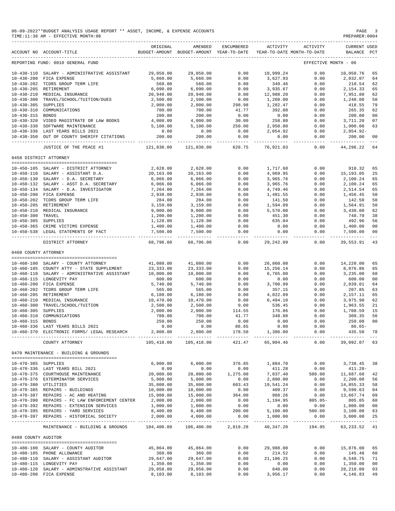|                      | 06-09-2022**BUDGET ANALYSIS USAGE REPORT ** ASSET, INCOME, & EXPENSE ACCOUNTS<br>TIME:11:38 AM - EFFECTIVE MONTH:06 |                           |                       |                   |                                                                                 |                      | PAGE<br>PREPARER:0004              | - 3                  |
|----------------------|---------------------------------------------------------------------------------------------------------------------|---------------------------|-----------------------|-------------------|---------------------------------------------------------------------------------|----------------------|------------------------------------|----------------------|
|                      | ACCOUNT NO ACCOUNT-TITLE                                                                                            | ORIGINAL                  | AMENDED               | ENCUMBERED        | ACTIVITY<br>BUDGET-AMOUNT BUDGET-AMOUNT YEAR-TO-DATE YEAR-TO-DATE MONTH-TO-DATE | ACTIVITY             | <b>CURRENT USED</b><br>BALANCE PCT |                      |
|                      | REPORTING FUND: 0010 GENERAL FUND                                                                                   |                           |                       |                   |                                                                                 | EFFECTIVE MONTH - 06 |                                    |                      |
|                      | 10-430-110 SALARY - ADMINISTRATIVE ASSISTANT                                                                        | 29,058.00                 | 29,058.00             | 0.00              | 18,999.24                                                                       | 0.00                 | 10,058.76                          | 65                   |
| $10 - 430 - 200$     | FICA EXPENSE                                                                                                        | 5,660.00                  | 5,660.00              | 0.00              | 3,627.93                                                                        | 0.00                 | 2,032.07                           | 64                   |
| $10 - 430 - 202$     | TCDRS GROUP TERM LIFE                                                                                               | 560.00                    | 560.00                | 0.00              | 349.46                                                                          | 0.00                 | 210.54                             | 62                   |
| $10 - 430 - 205$     | RETIREMENT<br>10-430-210 MEDICAL INSURANCE                                                                          | 6,090.00<br>20,940.00     | 6,090.00<br>20,940.00 | 0.00<br>0.00      | 3,935.67<br>12,988.20                                                           | 0.00<br>0.00         | 2,154.33<br>7,951.80               | 65<br>62             |
| $10 - 430 - 300$     | TRAVEL/SCHOOL/TUITION/DUES                                                                                          | 2,500.00                  | 2,500.00              | 0.00              | 1,260.00                                                                        | 0.00                 | 1,240.00                           | 50                   |
| $10 - 430 - 305$     | <b>SUPPLIES</b>                                                                                                     | 2,000.00                  | 2,000.00              | 298.98            | 1,282.47                                                                        | 0.00                 | 418.55                             | 79                   |
| $10 - 430 - 310$     | COMMUNICATIONS                                                                                                      | 700.00                    | 700.00                | 41.77             | 392.88                                                                          | 0.00                 | 265.35                             | 62                   |
| $10 - 430 - 315$     | BONDS                                                                                                               | 200.00                    | 200.00                | 0.00              | 0.00                                                                            | 0.00                 | 200.00                             | 00                   |
| $10 - 430 - 320$     | VIDEO MAGISTRATE OR LAW BOOKS                                                                                       | 4,000.00                  | 4,000.00              | 30.00             | 258.80                                                                          | 0.00                 | 3,711.20                           | 07                   |
| $10 - 430 - 330$     | SOFTWARE MAINTENANCE<br>10-430-336 LAST YEARS BILLS 2021                                                            | 5,100.00<br>0.00          | 5,100.00<br>0.00      | 250.00<br>0.00    | 2,950.00<br>2,054.92                                                            | 0.00<br>0.00         | 1,900.00<br>2,054.92-              | 63                   |
|                      | 10-430-350 OUT OF COUNTY SHERIFF CITATIONS                                                                          | 200.00                    | 200.00                | 0.00              | 0.00                                                                            | 0.00                 | 200.00                             | 00                   |
|                      | ------------------------------                                                                                      | . _ _ _ _ _ _ _ _ _ _ _ _ | -------------         | _____________     |                                                                                 |                      | ------------                       | $- - -$              |
|                      | JUSTICE OF THE PEACE #1                                                                                             | 121,838.00                | 121,838.00            | 620.75            | 76,921.03                                                                       | 0.00                 | 44,296.22                          | 64                   |
|                      | 0450 DISTRICT ATTORNEY                                                                                              |                           |                       |                   |                                                                                 |                      |                                    |                      |
|                      | 10-450-105 SALARY - DISTRICT ATTORNEY                                                                               | 2,628.00                  | 2,628.00              | 0.00              | 1,717.68                                                                        | 0.00                 | 910.32                             | 65                   |
|                      | 10-450-110 SALARY - ASSISTANT D.A.                                                                                  | 20,163.00                 | 20,163.00             | 0.00              | 4,969.95                                                                        | 0.00                 | 15,193.05                          | 25                   |
| $10 - 450 - 130$     | SALARY - D.A. SECRETARY                                                                                             | 6,066.00                  | 6,066.00              | 0.00              | 3,965.76                                                                        | 0.00                 | 2,100.24                           | 65                   |
|                      | 10-450-132 SALARY - ASST D.A. SECRETARY<br>10-450-134 SALARY - D.A. INVESTIGATOR                                    | 6,066.00<br>7,264.00      | 6,066.00<br>7,264.00  | 0.00              | 3,965.76<br>4,749.46                                                            | 0.00<br>0.00         | 2,100.24<br>2,514.54               | 65<br>65             |
|                      | 10-450-200 FICA EXPENSE                                                                                             | 2,938.00                  | 2,938.00              | 0.00<br>0.00      | 1,481.55                                                                        | 0.00                 | 1,456.45                           | 50                   |
|                      | 10-450-202 TCDRS GROUP TERM LIFE                                                                                    | 284.00                    | 284.00                | 0.00              | 141.50                                                                          | 0.00                 | 142.50                             | 50                   |
|                      | 10-450-205 RETIREMENT                                                                                               | 3,159.00                  | 3,159.00              | 0.00              | 1,594.09                                                                        | 0.00                 | 1,564.91                           | 50                   |
|                      | 10-450-210 MEDICAL INSURANCE                                                                                        | 9,000.00                  | 9,000.00              | 0.00              | 5,570.00                                                                        | 0.00                 | 3,430.00                           | 62                   |
| $10 - 450 - 300$     | TRAVEL                                                                                                              | 1,200.00                  | 1,200.00              | 0.00              | 451.30                                                                          | 0.00                 | 748.70                             | 38                   |
| 10-450-305 SUPPLIES  | 10-450-365 CRIME VICTIMS EXPENSE                                                                                    | 1,128.00<br>1,400.00      | 1,128.00<br>1,400.00  | 0.00              | 635.04<br>0.00                                                                  | 0.00<br>0.00         | 492.96<br>1,400.00                 | 56<br>00             |
|                      | 10-450-538 LEGAL STATEMENTS OF FACT                                                                                 | 7,500.00                  | 7,500.00              | 0.00<br>0.00      | 0.00                                                                            | 0.00                 | 7,500.00                           | 00                   |
|                      |                                                                                                                     | -----------               | -----------           | $- - - - - - - -$ |                                                                                 | $- - - - - -$        |                                    |                      |
| 0460 COUNTY ATTORNEY | DISTRICT ATTORNEY                                                                                                   | 68,796.00                 | 68,796.00             | 0.00              | 29,242.09                                                                       | 0.00                 | 39,553.91                          | 43                   |
|                      |                                                                                                                     |                           |                       |                   |                                                                                 |                      |                                    |                      |
|                      | 10-460-100 SALARY - COUNTY ATTORNEY                                                                                 | 41,080.00                 | 41,080.00             | 0.00              | 26,860.00                                                                       | 0.00                 | 14,220.00                          | 65                   |
|                      | 10-460-105 COUNTY ATTY - STATE SUPPLEMENT                                                                           | 23, 333.00                | 23, 333.00            | 0.00              | 15,256.14                                                                       | 0.00                 | 8,076.86                           | 65                   |
| $10 - 460 - 110$     | SALARY - ADMINISTRATIVE ASSISTANT<br>10-460-115 LONGEVITY PAY                                                       | 10,000.00                 | 10,000.00             | 0.00              | 6,765.00                                                                        | 0.00                 | 3,235.00                           | 68<br>00             |
| $10 - 460 - 200$     | FICA EXPENSE                                                                                                        | 600.00<br>5,740.00        | 600.00<br>5,740.00    | 0.00<br>0.00      | 0.00<br>3,700.99                                                                | 0.00<br>0.00         | 600.00<br>2,039.01                 | 64                   |
| $10 - 460 - 202$     | TCDRS GROUP TERM LIFE                                                                                               | 565.00                    | 565.00                | 0.00              | 357.15                                                                          | 0.00                 | 207.85                             | 63                   |
| $10 - 460 - 205$     | RETIREMENT                                                                                                          | 6,180.00                  | 6,180.00              | 0.00              | 4,022.89                                                                        | 0.00                 | 2,157.11                           | 65                   |
| $10 - 460 - 210$     | MEDICAL INSURANCE                                                                                                   | 10,470.00                 | 10,470.00             | 0.00              | 6,494.10                                                                        | 0.00                 | 3,975.90                           | 62                   |
| $10 - 460 - 300$     | TRAVEL/SCHOOL/TUITION                                                                                               | 2,500.00                  | 2,500.00              | 0.00              | 536.45                                                                          | 0.00                 | 1,963.55                           | 21                   |
| $10 - 460 - 305$     | SUPPLIES                                                                                                            | 2,000.00                  | 2,000.00              | 114.55            | 176.86                                                                          | 0.00                 | 1,708.59                           | 15                   |
| 10-460-315 BONDS     | 10-460-310 COMMUNICATIONS                                                                                           | 700.00<br>250.00          | 700.00<br>250.00      | 41.77<br>0.00     | 348.88<br>0.00                                                                  | 0.00<br>0.00         | 309.35<br>250.00 00                |                      |
|                      | 10-460-336 LAST YEARS BILLS 2021                                                                                    | 0.00                      | 0.00                  | 86.65             | 0.00                                                                            | 0.00                 | $86.65-$                           |                      |
|                      | 10-460-370 ELECTRONIC FORMS/ LEGAL RESEARCH                                                                         | 2,000.00                  | 2,000.00              |                   | 178.50 1,386.00                                                                 | 0.00                 | 435.50                             | 78<br>$- - -$        |
|                      | COUNTY ATTORNEY                                                                                                     | 105,418.00                | 105,418.00            | 421.47            | 65,904.46                                                                       | 0.00                 | 39,092.07 63                       |                      |
|                      | 0470 MAINTENANCE - BUILDING & GROUNDS                                                                               |                           |                       |                   |                                                                                 |                      |                                    |                      |
| 10-470-305 SUPPLIES  |                                                                                                                     | 6,000.00                  | 6,000.00              | 376.85            | 1,884.70                                                                        | 0.00                 | 3,738.45                           | 38                   |
|                      | 10-470-336 LAST YEARS BILL 2021                                                                                     | 0.00                      | 0.00                  | 0.00              | 411.28                                                                          | 0.00                 | $411.28-$                          |                      |
|                      | 10-470-375 COURTHOUSE MAINTENANCE                                                                                   | 20,000.00                 | 20,000.00             | 1,275.00          | 7,037.40                                                                        | 500.00               | 11,687.60                          | 42                   |
|                      | 10-470-376 EXTERMINATOR SERVICES                                                                                    | 5,000.00                  | 5,000.00              | 0.00              | 2,800.00                                                                        | 0.00                 | 2,200.00                           | 56                   |
| 10-470-380 UTILITIES |                                                                                                                     | 35,000.00                 | 35,000.00             | 603.43            | 19,541.24                                                                       | 0.00                 | 14,855.33                          | 58                   |
|                      | 10-470-385 REPAIRS - BUILDINGS                                                                                      | 10,000.00                 | 10,000.00             | 0.00              | 409.37                                                                          | 0.00                 | 9,590.63                           | 04                   |
|                      | $10-470-387$ REPAIRS - AC AND HEATING $15,000.00$<br>10-470-390 REPAIRS - FC LAW ENFORCEMENT CENTER 2,000.00        |                           | 15,000.00<br>2,000.00 | 364.00<br>0.00    | 968.26                                                                          | 0.00<br>$805.05 -$   | 13,667.74                          | 09<br>60             |
|                      | 10-470-392 REPAIRS - EXTENSION SERVICES                                                                             | 1,000.00                  | 1,000.00              | 0.00              | 1,194.95<br>0.00                                                                | 0.00                 | 805.05<br>1,000.00                 | 00                   |
|                      | 10-470-395 REPAIRS - YARD SERVICES                                                                                  | 8,400.00                  | 8,400.00              | 200.00            | 5,100.00                                                                        | 500.00               | 3,100.00                           | 63                   |
|                      | 10-470-397 REPAIRS - HISTORICAL SOCIETY                                                                             | 2,000.00                  | 4,000.00              | 0.00              | 1,000.00                                                                        | 0.00                 | 3,000.00                           | - 25                 |
|                      | MAINTENANCE - BUILDING & GROUNDS                                                                                    |                           | 104,400.00 106,400.00 | 2,819.28          | 40,347.20                                                                       | 194.95               | 63, 233. 52 41                     | $\sim$ $\sim$ $\sim$ |
| 0480 COUNTY AUDITOR  |                                                                                                                     |                           |                       |                   |                                                                                 |                      |                                    |                      |
|                      | --------------------------------------                                                                              | 45,864.00                 | 45,864.00             | 0.00              |                                                                                 |                      | 15,876.00                          | 65                   |
|                      | 10-480-100 SALARY - COUNTY AUDITOR<br>10-480-105 PHONE ALLOWANCE                                                    | 360.00                    | 360.00                | 0.00              | 29,988.00<br>214.52                                                             | 0.00<br>0.00         | 145.48                             | 60                   |
|                      | 10-480-110 SALARY - ASSISTANT AUDITOR                                                                               | 29,647.00                 | 29,647.00             | 0.00              | 21,106.25                                                                       | 0.00                 | 8,540.75                           | 71                   |
|                      | 10-480-115 LONGEVITY PAY                                                                                            | 1,350.00                  | 1,350.00              | 0.00              | 0.00                                                                            | 0.00                 | 1,350.00                           | 00                   |
|                      | 10-480-120 SALARY - ADMINSTRATIVE ASSISTANT                                                                         | 29,058.00                 | 29,058.00             | 0.00              | 840.00                                                                          | 0.00                 | 28,218.00                          | 03                   |
|                      | 10-480-200 FICA EXPENSE                                                                                             | 8,103.00                  | 8,103.00              | 0.00              | 3,956.17                                                                        | 0.00                 | 4,146.83                           | 49                   |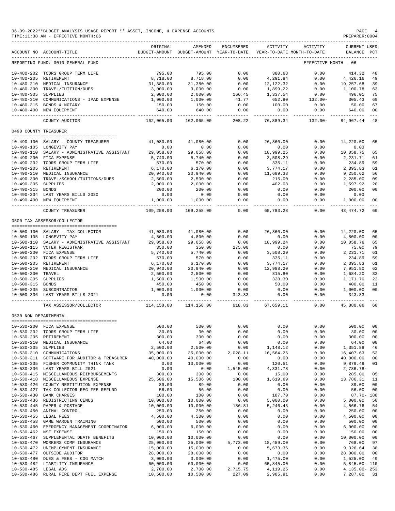|                                      | 06-09-2022**BUDGET ANALYSIS USAGE REPORT ** ASSET, INCOME, & EXPENSE ACCOUNTS<br>TIME: 11:38 AM - EFFECTIVE MONTH: 06 |                       |                                                     |                         |                       |                                        | PAGE<br>PREPARER: 0004      |                                  |
|--------------------------------------|-----------------------------------------------------------------------------------------------------------------------|-----------------------|-----------------------------------------------------|-------------------------|-----------------------|----------------------------------------|-----------------------------|----------------------------------|
|                                      | ACCOUNT NO ACCOUNT-TITLE                                                                                              | ORIGINAL              | AMENDED<br>BUDGET-AMOUNT BUDGET-AMOUNT YEAR-TO-DATE | ENCUMBERED              | <b>ACTIVITY</b>       | ACTIVITY<br>YEAR-TO-DATE MONTH-TO-DATE | CURRENT USED<br>BALANCE PCT |                                  |
|                                      | REPORTING FUND: 0010 GENERAL FUND                                                                                     |                       |                                                     |                         |                       |                                        | EFFECTIVE MONTH - 06        |                                  |
|                                      | 10-480-202 TCDRS GROUP TERM LIFE                                                                                      | 795.00                | 795.00                                              | 0.00                    | 380.68                | 0.00                                   | 414.32                      | 48                               |
|                                      | 10-480-205 RETIREMENT                                                                                                 | 8,718.00              | 8,718.00                                            | 0.00                    | 4,291.84              | 0.00                                   | 4,426.16                    | 49                               |
|                                      | 10-480-210 MEDICAL INSURANCE                                                                                          | 31,380.00             | 31,380.00                                           | 0.00                    | 12,122.32             | 0.00                                   | 19,257.68                   | 39                               |
|                                      | 10-480-300 TRAVEL/TUITION/DUES                                                                                        | 3,000.00              | 3,000.00                                            | 0.00                    | 1,899.22              | 0.00                                   | 1,100.78                    | 63                               |
| 10-480-305 SUPPLIES                  |                                                                                                                       | 2,000.00              | 2,000.00                                            | 166.45                  | 1,337.54              | 0.00                                   | 496.01                      | 75                               |
|                                      | 10-480-310 COMMUNICATIONS - IPAD EXPENSE                                                                              | 1,000.00              | 1,000.00                                            | 41.77                   | 652.80                | 132.00-                                | 305.43                      | 69                               |
|                                      | 10-480-315 BONDS & NOTARY                                                                                             | 150.00                | 150.00                                              | 0.00                    | 100.00                | 0.00                                   | 50.00                       | 67                               |
|                                      | 10-480-400 NEW EQUIPMENT                                                                                              | 640.00<br>----------- | 640.00<br>-------------                             | 0.00<br>--------        | 0.00                  | 0.00                                   | 640.00                      | 0 <sub>0</sub>                   |
|                                      | COUNTY AUDITOR                                                                                                        | 162,065.00            | 162,065.00                                          | 208.22                  | 76,889.34             | $132.00 -$                             | 84,967.44                   | 48                               |
| 0490 COUNTY TREASURER                |                                                                                                                       |                       |                                                     |                         |                       |                                        |                             |                                  |
|                                      | 10-490-100 SALARY - COUNTY TREASURER                                                                                  | 41,080.00             | 41,080.00                                           | 0.00                    | 26,860.00             | 0.00                                   | 14,220.00                   | 65                               |
|                                      | 10-490-105 LONGEVITY PAY                                                                                              | 0.00                  | 0.00                                                | 0.00                    | 0.00                  | 0.00                                   | 0.00                        |                                  |
|                                      | 10-490-110 SALARY - ADMINISTRATIVE ASSISTANT                                                                          | 29,058.00             | 29,058.00                                           | 0.00                    | 18,999.25             | 0.00                                   | 10,058.75                   | 65                               |
|                                      | 10-490-200 FICA EXPENSE                                                                                               | 5,740.00              | 5,740.00                                            | 0.00                    | 3,508.29              | 0.00                                   | 2, 231, 71                  | 61                               |
|                                      | 10-490-202 TCDRS GROUP TERM LIFE                                                                                      | 570.00                | 570.00                                              | 0.00                    | 335.11                | 0.00                                   | 234.89                      | 59                               |
|                                      | 10-490-205 RETIREMENT                                                                                                 | 6, 170.00             | 6,170.00                                            | 0.00                    | 3,774.17              | 0.00                                   | 2,395.83                    | 61<br>56                         |
|                                      | 10-490-210 MEDICAL INSURANCE<br>10-490-300 TRAVEL/SCHOOL/TUITIONS/DUES                                                | 20,940.00<br>2,500.00 | 20,940.00<br>2,500.00                               | 0.00<br>0.00            | 11,689.38<br>215.00   | 0.00<br>0.00                           | 9,250.62<br>2,285.00        | 09                               |
| 10-490-305 SUPPLIES                  |                                                                                                                       | 2,000.00              | 2,000.00                                            | 0.00                    | 402.08                | 0.00                                   | 1,597.92                    | 20                               |
| 10-490-315 BONDS                     |                                                                                                                       | 200.00                | 200.00                                              | 0.00                    | 0.00                  | 0.00                                   | 200.00                      | 0 <sub>0</sub>                   |
|                                      | 10-490-334 LAST YEARS BILLS 2020                                                                                      | 0.00                  | 0.00                                                | 0.00                    | 0.00                  | 0.00                                   | 0.00                        |                                  |
|                                      | 10-490-400 NEW EQUIPMENT                                                                                              | 1,000.00<br><u>.</u>  | 1,000.00                                            | 0.00<br>-------         | 0.00                  | 0.00<br>---------                      | 1,000.00                    | 0 <sub>0</sub>                   |
|                                      | <b>COUNTY TREASURER</b>                                                                                               | 109,258.00            | 109,258.00                                          | 0.00                    | 65,783.28             | 0.00                                   | 43, 474.72                  | 60                               |
|                                      | 0500 TAX ASSESSOR/COLLECTOR                                                                                           |                       |                                                     |                         |                       |                                        |                             |                                  |
|                                      | --------------------------------------<br>10-500-100 SALARY - TAX COLLECTOR                                           | 41,080.00             | 41,080.00                                           | 0.00                    | 26,860.00             | 0.00                                   | 14,220.00                   | 65                               |
|                                      | 10-500-105 LONGEVITY PAY                                                                                              | 4,800.00              | 4,800.00                                            | 0.00                    | 0.00                  | 0.00                                   | 4,800.00                    | 0 <sub>0</sub>                   |
|                                      | 10-500-110 SALARY - ADMINISTRATIVE ASSISTANT                                                                          | 29,058.00             | 29,058.00                                           | 0.00                    | 18,999.24             | 0.00                                   | 10,058.76                   | 65                               |
|                                      | 10-500-115 VOTER REGISTRAR                                                                                            | 350.00                | 350.00                                              | 275.00                  | 0.00                  | 0.00                                   | 75.00                       | 79                               |
|                                      | 10-500-200 FICA EXPENSE                                                                                               | 5,740.00              | 5,740.00                                            | 0.00                    | 3,508.29              | 0.00                                   | 2,231.71                    | 61                               |
|                                      | 10-500-202 TCDRS GROUP TERM LIFE                                                                                      | 570.00                | 570.00                                              | 0.00                    | 335.11                | 0.00                                   | 234.89                      | 59                               |
|                                      | 10-500-205 RETIREMENT                                                                                                 | 6,170.00              | 6,170.00                                            | 0.00                    | 3,774.17              | 0.00                                   | 2,395.83                    | 61                               |
|                                      | 10-500-210 MEDICAL INSURANCE                                                                                          | 20,940.00             | 20,940.00                                           | 0.00                    | 12,988.20             | 0.00                                   | 7,951.80                    | 62                               |
| 10-500-300 TRAVEL                    |                                                                                                                       | 2,500.00              | 2,500.00                                            | 0.00                    | 815.80                | 0.00                                   | 1,684.20                    | 33                               |
| 10-500-305 SUPPLIES                  |                                                                                                                       | 1,500.00              | 1,500.00                                            | 0.00                    | 328.30                | 0.00                                   | 1,171.70                    | 22                               |
| 10-500-315 BONDS                     |                                                                                                                       | 450.00                | 450.00                                              | 0.00                    | 50.00                 | 0.00                                   | 400.00                      | 11                               |
|                                      | 10-500-335 SUBCONTRACTOR                                                                                              | 1,000.00              | 1,000.00                                            | 0.00                    | 0.00                  | 0.00                                   | 1,000.00                    | 0 <sub>0</sub>                   |
|                                      | 10-500-336 LAST YEARS BILLS 2021                                                                                      | 0.00<br>.             | 0.00<br>------------                                | 343.83<br>------------- | 0.00<br>------------  | 0.00<br>-------------                  | $343.83-$<br>.              |                                  |
|                                      | TAX ASSESSOR/COLLECTOR                                                                                                | 114,158.00            | 114,158.00                                          | 618.83                  | 67,659.11             | 0.00                                   | 45,880.06                   | 60                               |
| 0530 NON DEPARTMENTAL                |                                                                                                                       |                       |                                                     |                         |                       |                                        |                             |                                  |
|                                      | 10-530-200 FICA EXPENSE                                                                                               | 500.00                | 500.00                                              | 0.00                    | 0.00                  | 0.00                                   | 500.00                      | 0 <sub>0</sub>                   |
|                                      | 10-530-202 TCDRS GROUP TERM LIFE                                                                                      | 30.00                 | 30.00                                               | 0.00                    | 0.00                  | 0.00                                   | 30.00                       | 0 <sub>0</sub>                   |
|                                      | 10-530-205 RETIREMENT                                                                                                 | 300.00                | 300.00                                              | 0.00                    | 0.00                  | 0.00                                   | 300.00                      | 00                               |
| $10 - 530 - 210$                     | MEDICAL INSURANCE                                                                                                     | 64.00                 | 64.00                                               | 0.00                    | 0.00                  | 0.00                                   | 64.00                       | 0 <sub>0</sub>                   |
| $10 - 530 - 305$                     | SUPPLIES                                                                                                              | 2,500.00<br>35,000.00 | 2,500.00                                            | 0.00                    | 1,148.12<br>16,564.26 | 0.00                                   | 1,351.88                    | 46                               |
| $10 - 530 - 310$<br>$10 - 530 - 311$ | COMMUNICATIONS<br>SOFTWARE FOR AUDITOR & TREASURER                                                                    | 40,000.00             | 35,000.00<br>40,000.00                              | 2,028.11<br>0.00        | 0.00                  | 0.00<br>0.00                           | 16,407.63<br>40,000.00      | 53<br>0 <sub>0</sub>             |
|                                      | 10-530-335 FISHER COMMUNITY THINK TANK                                                                                | 0.00                  | 10,000.00                                           | 0.00                    | 120.51                | 0.00                                   | 9,879.49                    | 01                               |
| $10 - 530 - 336$                     | LAST YEARS BILL 2021                                                                                                  | 0.00                  | 0.00                                                | $1,545.00 -$            | 4,331.78              | 0.00                                   | $2,786.78-$                 |                                  |
|                                      | 10-530-415 MISCELLANEOUS REIMBURSEMENTS                                                                               | 300.00                | 300.00                                              | 0.00                    | 15.00                 | 0.00                                   | 285.00                      | 05                               |
| $10 - 530 - 418$                     | MISCELLANEOUS EXPENSE                                                                                                 | 25,506.00             | 15,506.00                                           | 100.00                  | 1,619.69              | 0.00                                   | 13,786.31                   | 11                               |
| $10 - 530 - 426$                     | COUNTY RESTITUTION EXPENSE                                                                                            | 89.00                 | 89.00                                               | 0.00                    | 0.00                  | 0.00                                   | 89.00                       | 0 <sub>0</sub>                   |
| $10 - 530 - 427$                     | TAX COLLECTOR REG FEE REFUND                                                                                          | 56.00                 | 56.00                                               | 0.00                    | 0.00                  | 0.00                                   | 56.00                       | 0 <sub>0</sub>                   |
| $10 - 530 - 430$                     | <b>BANK CHARGES</b>                                                                                                   | 100.00                | 100.00                                              | 0.00                    | 187.70                | 0.00                                   | $87.70 - 188$               |                                  |
| $10 - 530 - 436$                     | REDISTRICTING CENUS                                                                                                   | 10,000.00             | 10,000.00                                           | 0.00                    | 5,000.00              | 0.00                                   | 5,000.00                    | 50                               |
| $10 - 530 - 445$                     | PAPER & POSTAGE                                                                                                       | 10,000.00             | 10,000.00                                           | 186.81                  | 5,246.43              | 0.00                                   | 4,566.76                    | 54                               |
| $10 - 530 - 450$                     | ANIMAL CONTROL                                                                                                        | 250.00                | 250.00                                              | 0.00                    | 0.00                  | 0.00                                   | 250.00                      | 0 <sub>0</sub>                   |
| $10 - 530 - 455$                     | LEGAL FEES                                                                                                            | 4,500.00              | 4,500.00                                            | 0.00                    | 0.00                  | 0.00                                   | 4,500.00                    | 0 <sub>0</sub>                   |
| $10 - 530 - 458$                     | GAME WARDEN TRAINING                                                                                                  | 500.00                | 500.00                                              | 0.00                    | 0.00                  | 0.00                                   | 500.00                      | 0 <sub>0</sub>                   |
| $10 - 530 - 460$                     | EMERGENCY MANAGEMENT COORDINATOR                                                                                      | 6,000.00              | 6,000.00                                            | 0.00                    | 0.00                  | 0.00                                   | 6,000.00                    | 0 <sub>0</sub>                   |
| $10 - 530 - 467$                     | 10-530-462 NSF EXPENSE<br>SUPPLEMENTAL DEATH BENEFITS                                                                 | 150.00<br>10,000.00   | 150.00                                              | 0.00<br>0.00            | 0.00<br>0.00          | 0.00<br>0.00                           | 150.00<br>10,000.00         | 0 <sub>0</sub><br>0 <sub>0</sub> |
| $10 - 530 - 470$                     | WORKERS COMP INSURANCE                                                                                                | 25,000.00             | 10,000.00<br>25,000.00                              | 5,773.00                | 18,459.00             | 0.00                                   | 768.00                      | 97                               |
| $10 - 530 - 472$                     | UNEMPLOYMENT INSURANCE                                                                                                | 15,000.00             | 15,000.00                                           | 0.00                    | 5,673.36              | 0.00                                   | 9,326.64                    | 38                               |
| $10 - 530 - 477$                     | OUTSIDE AUDITOR                                                                                                       | 28,000.00             | 28,000.00                                           | 0.00                    | 0.00                  | 0.00                                   | 28,000.00                   | 0 <sub>0</sub>                   |
| $10 - 530 - 480$                     | DUES & FEES - COG MATCH                                                                                               | 3,000.00              | 3,000.00                                            | 0.00                    | 1,475.00              | 0.00                                   | 1,525.00                    | 49                               |
| $10 - 530 - 482$                     | LIABILITY INSURANCE                                                                                                   | 60,000.00             | 60,000.00                                           | 0.00                    | 65,845.00             | 0.00                                   | $5,845.00 - 110$            |                                  |
| $10 - 530 - 485$                     | LEGAL ADS                                                                                                             | 2,700.00              | 2,700.00                                            | 2,715.75                | 4, 119. 25            | 0.00                                   | 4,135.00-253                |                                  |
| $10 - 530 - 486$                     | RURAL FIRE DEPT FUEL EXPENSE                                                                                          | 10,500.00             | 10,500.00                                           | 227.09                  | 2,985.91              | 0.00                                   | 7,287.00                    | 31                               |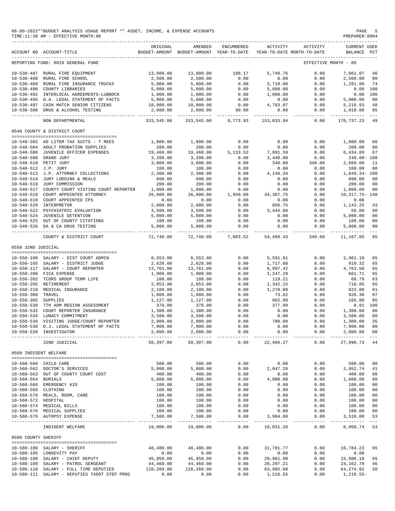|                       | 06-09-2022**BUDGET ANALYSIS USAGE REPORT ** ASSET, INCOME, & EXPENSE ACCOUNTS<br>TIME: 11:38 AM - EFFECTIVE MONTH: 06 |                                 |                                                                                |                     |                          |                     | PREPARER: 0004                     | PAGE 5               |
|-----------------------|-----------------------------------------------------------------------------------------------------------------------|---------------------------------|--------------------------------------------------------------------------------|---------------------|--------------------------|---------------------|------------------------------------|----------------------|
|                       | ACCOUNT NO ACCOUNT-TITLE                                                                                              | ORIGINAL                        | AMENDED<br>BUDGET-AMOUNT BUDGET-AMOUNT YEAR-TO-DATE YEAR-TO-DATE MONTH-TO-DATE | ENCUMBERED          | ACTIVITY                 | ACTIVITY            | <b>CURRENT USED</b><br>BALANCE PCT |                      |
|                       | REPORTING FUND: 0010 GENERAL FUND                                                                                     |                                 |                                                                                |                     |                          |                     | EFFECTIVE MONTH - 06               |                      |
|                       | 10-530-487 RURAL FIRE EQUIPMENT                                                                                       | 13,000.00                       | 13,000.00                                                                      | 198.17              | 5,740.76                 | 0.00                | 7.061.07 46                        |                      |
|                       | 10-530-488 RURAL FIRE SCHOOL                                                                                          | 2,500.00                        | 2,500.00                                                                       | 0.00                | 0.00                     | 0.00                | 2,500.00                           | 00                   |
|                       | 10-530-489 RURAL FIRE INSURANCE TRUCKS                                                                                | 5,000.00                        | 5,000.00                                                                       | 0.00                | 3,719.00                 | 0.00                | 1,281.00                           | 74                   |
|                       | 10-530-490 COUNTY LIBRARIES                                                                                           | 5,000.00                        | 5,000.00                                                                       | 0.00                | 5,000.00                 | 0.00                | 0.00 100                           |                      |
|                       | 10-530-492 INTERLOCAL AGREEMENTS-LUBBOCK                                                                              | 1,000.00                        | 1,000.00                                                                       | 0.00                | 1,000.00                 | 0.00                | 0.00 100                           |                      |
|                       | 10-530-495 D.A. LEGAL STATEMENT OF FACTS                                                                              | 5,000.00                        | 5,000.00                                                                       | 0.00                | 0.00                     | 0.00                | 5,000.00                           | 00                   |
|                       | 10-530-497 CASH MATCH SENIOR CITIZENS<br>10-530-500 DRUG & ALCOHOL TESTING                                            | 10,000.00<br>2,000.00           | $10,000.00$ 0.00<br>2,000.00 90.00                                             |                     | 4,783.07<br>0.00         | 0.00<br>0.00        | 5,216.93<br>1,910.00               | 48<br>05             |
|                       | NON DEPARTMENTAL                                                                                                      | 333,545.00                      |                                                                                | 333,545.00 9,773.93 | 153,033.84               | 0.00                | 170,737.23                         | -49                  |
|                       | 0540 COUNTY & DISTRICT COURT                                                                                          |                                 |                                                                                |                     |                          |                     |                                    |                      |
|                       | 10-540-502 AD LITEM TAX SUITS - T REES                                                                                | 1,000.00                        | 1,000.00                                                                       | 0.00                | 0.00                     | 0.00                | 1,000.00                           | 00                   |
|                       | 10-540-504 ADULT PROBATION SUPPLIES                                                                                   | 200.00                          | 200.00                                                                         | 0.00                | 0.00                     | 0.00                | 200.00                             | 00                   |
|                       | 10-540-506 JUVENILE OFFICER EXPENSES                                                                                  | 19,460.00                       | 19,460.00                                                                      | 5,133.52            | 7,891.59                 | 0.00                | 6,434.89                           | 67                   |
|                       | 10-540-508 GRAND JURY                                                                                                 | 3,200.00                        | 3,200.00                                                                       | 0.00                | 3,440.00                 | 0.00                | 240.00-108                         |                      |
|                       | 10-540-510 PETIT JURY                                                                                                 | 3,000.00                        | 3,000.00                                                                       | 0.00                | 340.00                   | 340.00              | 2,660.00                           | 11                   |
| 10-540-512 J.P. JURY  |                                                                                                                       | 100.00                          | 100.00                                                                         | 0.00                | 0.00                     | 0.00                | 100.00                             | 00                   |
|                       | 10-540-513 J.P. ATTORNEY COLLECTIONS                                                                                  | 2,300.00                        | 2,300.00                                                                       | 0.00                | 4,149.34                 | 0.00                | 1,849.34-180                       |                      |
|                       | 10-540-514 JURY LODGING & MEALS                                                                                       | 600.00                          | 600.00                                                                         | 0.00                | 0.00                     | 0.00                | 600.00                             | 00                   |
|                       | 10-540-516 JURY COMMISSION                                                                                            | 200.00                          | 200.00                                                                         | 0.00                | 0.00                     | 0.00                | 200.00                             | 00                   |
|                       | 10-540-517 COUNTY COURT VISTING COURT REPORTER                                                                        | 1,000.00                        | 1,000.00                                                                       | 0.00                | 0.00                     | 0.00                | 1,000.00                           | 00                   |
|                       | 10-540-518 COURT APPOINTED ATTORNEY                                                                                   | 26,000.00                       | 26,000.00                                                                      | 1,950.00            | 34, 367. 75              | 0.00                | 10,317.75- 140                     |                      |
|                       | 10-540-519 COURT APPOINTED CPS                                                                                        | 0.00                            | 0.00                                                                           | 0.00                | 0.00                     | 0.00                | 0.00                               |                      |
|                       | 10-540-520 INTERPRETOR                                                                                                | 2,000.00                        | 2,000.00                                                                       | 0.00                | 856.75                   | 0.00                | 1,143.25                           | 43                   |
|                       |                                                                                                                       |                                 | 3,500.00                                                                       | 0.00                | 3,444.00                 | 0.00                | 56.00                              | 98                   |
|                       |                                                                                                                       |                                 | 5,000.00                                                                       | 0.00                | 0.00                     | 0.00                | 5,000.00                           | 00                   |
|                       |                                                                                                                       |                                 | 180.00<br>5,000.00                                                             | 0.00<br>0.00        | 0.00<br>0.00             | 0.00<br>0.00        | 180.00<br>5,000.00                 | 00<br>00             |
|                       | COUNTY & DISTRICT COURT                                                                                               | 72,740.00                       |                                                                                | 72,740.00 7,083.52  |                          | 54,489.43 340.00    | 11,167.05                          | $- - - -$<br>85      |
| 0550 32ND JUDICIAL    |                                                                                                                       |                                 |                                                                                |                     |                          |                     |                                    |                      |
|                       |                                                                                                                       |                                 |                                                                                |                     |                          |                     |                                    |                      |
|                       | 10-550-100 SALARY - DIST COURT ADMIN                                                                                  | 8,553.00                        | 8,553.00                                                                       | 0.00                | 5,591.81                 | 0.00                | 2,961.19                           | 65                   |
|                       | 10-550-105 SALARY - DISTRICT JUDGE                                                                                    | 2,628.00                        | 2,628.00                                                                       | 0.00                | 1,717.68                 | 0.00                | 910.32                             | 65                   |
|                       | 10-550-117 SALARY - COURT REPORTER                                                                                    | 13,761.00                       | 13,761.00                                                                      | 0.00                | 8,997.42                 | 0.00                | 4,763.58                           | 65                   |
|                       | 10-550-200 FICA EXPENSE                                                                                               | 1,909.00                        | 1,909.00                                                                       | 0.00                | 1,247.29                 | 0.00                | 661.71                             | 65                   |
|                       | 10-550-202 TCDRS GROUP TERM LIFE<br>10-550-205 RETIREMENT<br>10-550-210 MEDICAL INSURANCE                             | 188.00                          | 188.00                                                                         | 0.00                | 119.21                   | 0.00                | 68.79                              | 63                   |
|                       |                                                                                                                       | 2,053.00                        | 2,053.00                                                                       | 0.00                | 1,342.15                 | 0.00                | 710.85                             | 65                   |
|                       |                                                                                                                       | 2,100.00                        | 2,100.00                                                                       | 0.00                | 1,278.00                 | 0.00                | 822.00                             | 61                   |
| 10-550-300 TRAVEL     |                                                                                                                       | 1,000.00                        | 1,000.00                                                                       | 0.00                | 73.62                    | 0.00                | 926.38                             | 07                   |
| 10-550-305 SUPPLIES   |                                                                                                                       | 1,127.00                        | 1,127.00                                                                       | 0.00                | 962.00                   | 0.00                | 165.00                             | 85                   |
| 10-550-530            | 7TH ADM REGION ASSESSMENT                                                                                             | 378.00                          | 378.00                                                                         | 0.00                | 377.09                   | 0.00                | $0.91$ 100                         |                      |
|                       | 10-550-532 COURT REPORTER INSURANCE                                                                                   | 1,300.00                        | 1,300.00                                                                       | 0.00                | 0.00                     | 0.00                | 1,300.00                           | 00                   |
|                       | 10-550-534 LUNACY COMMITMENT                                                                                          | 3,500.00                        | 3,500.00                                                                       | 0.00                | 0.00                     | 0.00                | 3,500.00                           | 0 <sub>0</sub>       |
|                       | 10-550-536 VISITING JUDGE/COURT REPORTER                                                                              | 2,000.00                        | 2,000.00                                                                       | 0.00                | 700.00                   | 0.00                | 1,300.00                           | 35                   |
|                       | 10-550-538 D.J. LEGAL STATEMENT OF FACTS                                                                              | 7,900.00                        | 7,900.00                                                                       | 0.00                | 0.00                     | 0.00                | 7,900.00                           | 00                   |
|                       | 10-550-539 INVESTIGATOR<br>--------------------------------                                                           | 2,000.00<br>. _ _ _ _ _ _ _ _ _ | 2,000.00<br>-----------                                                        | 0.00<br>-------     | 0.00<br>-------          | 0.00<br>----------- | 2,000.00<br>-----------            | 00<br>$\sim$ $ \sim$ |
|                       | 32ND JUDICIAL                                                                                                         | 50,397.00                       | 50,397.00                                                                      | 0.00                | 22,406.27                | 0.00                | 27,990.73                          | 44                   |
| 0560 INDIGENT WELFARE |                                                                                                                       |                                 |                                                                                |                     |                          |                     |                                    |                      |
|                       | 10-560-560 CHILD CARE                                                                                                 | 500.00                          | 500.00                                                                         | 0.00                | 0.00                     | 0.00                | 500.00                             | 00                   |
|                       | 10-560-562 DOCTOR'S SERVICES                                                                                          | 5,000.00                        | 5,000.00                                                                       | 0.00                | 2,047.26                 | 0.00                | 2,952.74                           | 41                   |
|                       | 10-560-563 OUT OF COUNTY COURT COST                                                                                   | 400.00                          | 400.00                                                                         | 0.00                | 0.00                     | 0.00                | 400.00                             | 00                   |
| 10-560-564 BURIALS    |                                                                                                                       | 5,000.00                        | 5,000.00                                                                       | 0.00                | 4,000.00                 | 0.00                | 1,000.00                           | 80                   |
|                       | 10-560-566 EMERGENCY AID                                                                                              | 100.00                          | 100.00                                                                         | 0.00                | 0.00                     | 0.00                | 100.00                             | 00                   |
| 10-560-568 CLOTHING   |                                                                                                                       | 100.00                          | 100.00                                                                         | 0.00                | 0.00                     | 0.00                | 100.00                             | 00                   |
|                       | 10-560-570 MEALS, ROOM, CARE                                                                                          | 100.00                          | 100.00                                                                         | 0.00                | 0.00                     | 0.00                | 100.00                             | 00                   |
| 10-560-572 HOSPITAL   |                                                                                                                       | 100.00                          | 100.00                                                                         | 0.00                | 0.00                     | 0.00                | 100.00                             | 00                   |
|                       | 10-560-574 MEDICAL BILLS                                                                                              | 100.00                          | 100.00                                                                         | 0.00                | 0.00                     | 0.00                | 100.00                             | 00                   |
|                       | 10-560-576 MEDICAL SUPPLIES<br>10-560-579 AUTOPSY EXPENSE                                                             | 100.00<br>7,500.00              | 100.00<br>7,500.00                                                             | 0.00<br>0.00        | 0.00<br>3,984.00         | 0.00<br>0.00        | 100.00<br>3,516.00                 | 00<br>53             |
|                       | INDIGENT WELFARE                                                                                                      | ----------<br>19,000.00         | ----------<br>19,000.00                                                        | ------<br>0.00      | -----------<br>10,031.26 | .<br>0.00           | -----------<br>8,968.74            | $  -$<br>53          |
| 0580 COUNTY SHERIFF   |                                                                                                                       |                                 |                                                                                |                     |                          |                     |                                    |                      |
|                       |                                                                                                                       |                                 |                                                                                |                     |                          |                     |                                    |                      |
|                       | 10-580-100 SALARY - SHERIFF                                                                                           | 48,486.00                       | 48,486.00                                                                      | 0.00                | 31,701.77                | 0.00                | 16,784.23                          | 65                   |
|                       | 10-580-105 LONGEVITY PAY                                                                                              | 0.00                            | 0.00                                                                           | 0.00                | 0.00                     | 0.00                | 0.00                               |                      |
|                       | 10-580-108 SALARY - CHIEF DEPUTY                                                                                      | 45,950.00                       | 45,950.00                                                                      | 0.00                | 29,961.90                | 0.00                | 15,988.10                          | 65                   |
|                       | 10-580-109 SALARY - PATROL SERGEANT                                                                                   | 44,460.00                       | 44,460.00                                                                      | 0.00                | 20, 297. 21              | 0.00                | 24, 162. 79                        | 46                   |
|                       | 10-580-110 SALARY - FULL TIME DEPUTIES                                                                                | 128,260.00                      | 128,260.00                                                                     | 0.00                | 63,985.08                | 0.00                | 64, 274.92                         | 50                   |
|                       | 10-580-111 SALARY - DEPUTIES TXDOT STEP PROG                                                                          | 0.00                            | 0.00                                                                           | 0.00                | 1,216.55                 | 0.00                | 1,216.55-                          |                      |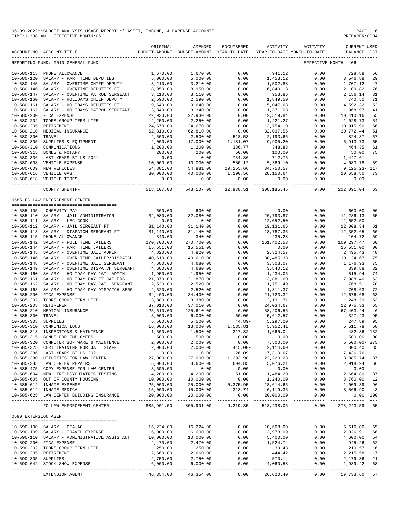## 06-09-2022\*\*BUDGET ANALYSIS USAGE REPORT \*\* ASSET, INCOME, & EXPENSE ACCOUNTS<br>TIME:11:38 AM - EFFECTIVE MONTH:06  $TIME:11:38 AM - EFFECTIVE MOMTH:06$

|                                      | ACCOUNT NO ACCOUNT-TITLE                                             | ORIGINAL             | AMENDED<br>BUDGET-AMOUNT BUDGET-AMOUNT YEAR-TO-DATE | ENCUMBERED       | ACTIVITY             | ACTIVITY<br>YEAR-TO-DATE MONTH-TO-DATE | <b>CURRENT USED</b><br>BALANCE | $_{\rm PCT}$               |
|--------------------------------------|----------------------------------------------------------------------|----------------------|-----------------------------------------------------|------------------|----------------------|----------------------------------------|--------------------------------|----------------------------|
|                                      |                                                                      |                      |                                                     |                  |                      |                                        |                                |                            |
|                                      | REPORTING FUND: 0010 GENERAL FUND                                    |                      |                                                     |                  |                      |                                        | EFFECTIVE MONTH - 06           |                            |
| $10 - 580 - 115$                     | PHONE ALLOWANCE                                                      | 1,670.00             | 1,670.00                                            | 0.00             | 941.12               | 0.00                                   | 728.88                         | 56                         |
| $10 - 580 - 120$                     | SALARY - PART TIME DEPUTIES                                          | 5,000.00             | 5,000.00                                            | 0.00             | 1,453.12             | 0.00                                   | 3,546.88                       | 29                         |
| $10 - 580 - 145$<br>$10 - 580 - 146$ | SALARY - OVERTIME CHIEF DEPUTY<br>SALARY - OVERTIME DEPUTIES FT      | 3,210.00<br>8,950.00 | 3,210.00<br>8,950.00                                | 0.00<br>0.00     | 1,502.88<br>6,840.18 | 0.00<br>0.00                           | 1,707.12<br>2,109.82           | 47<br>76                   |
| $10 - 580 - 147$                     | SALARY - OVERTIME PATROL SERGEANT                                    | 3,110.00             | 3,110.00                                            | 0.00             | 953.86               | 0.00                                   | 2,156.14                       | 31                         |
| $10 - 580 - 160$                     | SALARY - HOLIDAYS CHIEF DEPUTY                                       | 2,590.00             | 2,590.00                                            | 0.00             | 1,849.50             | 0.00                                   | 740.50                         | 71                         |
| $10 - 580 - 161$                     | SALARY - HOLIDAYS DEPUTIES FT                                        | 9,640.00             | 9,640.00                                            | 0.00             | 5,047.68             | 0.00                                   | 4,592.32                       | 52                         |
| $10 - 580 - 162$                     | SALARY - HOLIDAYS PATROL SERGEANT                                    | 3,340.00             | 3,340.00                                            | 0.00             | 1,371.03             | 0.00                                   | 1,968.97                       | 41                         |
| $10 - 580 - 200$                     | FICA EXPENSE                                                         | 22,930.00            | 22,930.00                                           | 0.00             | 12,519.84            | 0.00                                   | 10,410.16                      | 55                         |
| $10 - 580 - 202$                     | TCDRS GROUP TERM LIFE                                                | 2,250.00             | 2,250.00                                            | 0.00             | 1,221.27             | 0.00                                   | 1,028.73                       | 54                         |
| $10 - 580 - 205$                     | RETIREMENT                                                           | 24,670.00            | 24,670.00                                           | 0.00             | 13,754.10            | 0.00                                   | 10,915.90                      | 56                         |
| $10 - 580 - 210$                     | MEDICAL INSURANCE                                                    | 62,810.00            | 62,810.00                                           | 0.00             | 32,037.56            | 0.00                                   | 30,772.44                      | 51                         |
| $10 - 580 - 300$                     | TRAVEL                                                               | 2,500.00             | 2,500.00                                            | $518.53-$        | 2,193.66             | 0.00                                   | 824.87                         | 67                         |
| $10 - 580 - 305$                     | SUPPLIES & EQUIPMENT                                                 | 2,000.00             | 17,000.00                                           | 1,181.07         | 9,905.20             | 0.00                                   | 5,913.73                       | 65                         |
| $10 - 580 - 310$                     | COMMUNICATIONS                                                       | 1,200.00             | 1,200.00                                            | 386.77           | 348.88               | 0.00                                   | 464.35                         | 61                         |
| $10 - 580 - 315$                     | BONDS & NOTARY                                                       | 200.00               | 200.00                                              | 50.00            | 100.00               | 0.00                                   | 50.00                          | 75                         |
| $10 - 580 - 336$                     | LAST YEARS BILLS 2021                                                | 0.00                 | 0.00                                                | 734.86           | 712.75               | 0.00                                   | $1,447.61-$                    |                            |
| $10 - 580 - 608$                     | VEHICLE EXPENSE                                                      | 10,000.00            | 10,000.00                                           | 550.12           | 5,369.10             | 0.00                                   | 4,080.78                       | 59                         |
| $10 - 580 - 609$                     | NEW VEHICLES                                                         | 54,881.00            | 54,881.00                                           | 29, 255.66       | 34,750.57            | 0.00                                   | $9,125.23 - 117$               |                            |
|                                      | 10-580-616 VEHICLE GAS                                               | 30,000.00            | 40,000.00                                           | 1,190.56         | 28,150.64            | 0.00                                   | 10,658.80                      | 73                         |
| 10-580-618                           | VEHICLE TIRES                                                        | 0.00<br>-------      | 0.00                                                | 0.00<br>-------- | 0.00                 | 0.00                                   | 0.00                           |                            |
|                                      | COUNTY SHERIFF                                                       | 518,107.00           | 543,107.00                                          | 32,830.51        | 308, 185.45          | 0.00                                   | 202,091.04                     | 63                         |
|                                      | 0585 FC LAW ENFORCEMENT CENTER                                       |                      |                                                     |                  |                      |                                        |                                |                            |
|                                      |                                                                      |                      |                                                     |                  |                      |                                        |                                |                            |
|                                      | 10-585-105 LONGEVITY PAY                                             | 600.00               | 600.00                                              | 0.00             | 0.00                 | 0.00                                   | 600.00                         | 00                         |
|                                      | 10-585-110 SALARY - JAIL ADMINISTRATOR                               | 32,080.00            | 32,080.00                                           | 0.00             | 20,793.87            | 0.00                                   | 11,286.13                      | 65                         |
|                                      | 10-585-111 SALARY - LEC COOK                                         | 0.00                 | 0.00                                                | 0.00             | 12,652.50            | 0.00                                   | $12,652.50 -$                  |                            |
| $10 - 585 - 112$                     | SALARY - JAIL SERGEANT FT                                            | 31,140.00            | 31,140.00                                           | 0.00             | 19,131.66            | 0.00                                   | 12,008.34                      | 61                         |
|                                      | 10-585-113 SALARY - DISPATCH SERGEANT FT                             | 31,140.00            | 31,140.00                                           | 0.00             | 18,787.35            | 0.00                                   | 12,352.65                      | 60                         |
|                                      | 10-585-115 PHONE ALLOWANCE                                           | 340.00               | 340.00                                              | 0.00             | 235.28               | 0.00                                   | 104.72                         | 69                         |
| $10 - 585 - 142$                     | SALARY - FULL TIME JAILERS                                           | 270,700.00           | 270,700.00                                          | 0.00             | 161, 402.53          | 0.00                                   | 109,297.47                     | 60                         |
| $10 - 585 - 144$                     | SALARY - PART TIME JAILERS                                           | 15,551.00            | 15,551.00                                           | 0.00             | 0.00                 | 0.00                                   | 15,551.00                      | 00                         |
| $10 - 585 - 145$                     | SALARY - OVERTIME JAIL ADMIN                                         | 4,820.00             | 4,820.00                                            | 0.00             | 2,324.57             | 0.00                                   | 2,495.43                       | 48                         |
| $10 - 585 - 146$                     | SALARY - OVER TIME JAILER/DISPATCH                                   | 40,610.00            | 40,610.00                                           | 0.00             | 30,485.33            | 0.00                                   | 10,124.67                      | 75                         |
| $10 - 585 - 148$                     | SALARY - OVERTIME JAIL SERGEANT                                      | 4,680.00             | 4,680.00                                            | 0.00             | 3,503.07             | 0.00                                   | 1,176.93                       | 75                         |
| $10 - 585 - 149$                     | SALARY - OVERTIME DISPATCH SERGEANT                                  | 4,680.00             | 4,680.00                                            | 0.00             | 3,840.12             | 0.00                                   | 839.88                         | 82                         |
| $10 - 585 - 160$                     | SALARY - HOLIDAY PAY JAIL ADMIN                                      | 1,950.00             | 1,950.00                                            | 0.00             | 1,434.06             | 0.00                                   | 515.94                         | 74                         |
| $10 - 585 - 161$                     | SALARY - HOLIDAY PAY FT JAILERS                                      | 21,870.00            | 21,870.00                                           | 0.00             | 13,881.60            | 0.00                                   | 7,988.40                       | 63                         |
| $10 - 585 - 162$                     | SALARY - HOLIDAY PAY JAIL SERGEANT                                   | 2,520.00             | 2,520.00                                            | 0.00             | 1,751.49             | 0.00                                   | 768.51                         | 70                         |
| $10 - 585 - 163$                     | SALARY - HOLIDAY PAY DISPATCH SERG                                   | 2,520.00             | 2,520.00                                            | 0.00             | 1,811.37             | 0.00                                   | 708.63                         | 72                         |
| $10 - 585 - 200$                     | FICA EXPENSE                                                         | 34,400.00            | 34,400.00                                           | 0.00             | 21,723.32            | 0.00                                   | 12,676.68                      | 63                         |
| $10 - 585 - 202$                     | TCDRS GROUP TERM LIFE                                                | 3,380.00             | 3,380.00                                            | 0.00             | 2,131.71             | 0.00                                   | 1,248.29                       | 63                         |
| $10 - 585 - 205$                     | RETIREMENT                                                           | 37,010.00            | 37,010.00                                           | 0.00             | 24,034.67            | 0.00                                   | 12,975.33                      | 65                         |
| $10 - 585 - 210$                     | MEDICAL INSURANCE                                                    | 125,610.00           | 125,610.00                                          | 0.00             | 58,206.56            | 0.00                                   | 67, 403.44                     | 46                         |
| $10 - 585 - 300$                     | TRAVEL                                                               | 3,000.00             | 6,000.00                                            | 60.00            | 5,612.57             | 0.00                                   | 327.43                         | 95                         |
| $10 - 585 - 305$                     | SUPPLIES                                                             | 5,500.00             | 5,500.00                                            | $44.89-$         | 5,297.00             | 0.00                                   | 247.89                         | 95                         |
| $10 - 585 - 310$                     | COMMUNICATIONS                                                       | 16,000.00            | 13,000.00                                           | 1,535.81         | 5,952.41             | 0.00                                   | 5,511.78                       | 58                         |
|                                      | 10-585-313 INSPECTIONS & MAINTENCE<br>10-585-315 BONDS FOR EMPLOYEES | 1,500.00             | 1,500.00<br>500.00                                  | 317.82<br>0.00   | 1,665.04             | 0.00<br>0.00                           | 482.86-132<br>500.00           |                            |
|                                      | 10-585-320 COMPUTER SOFTWARE & MAINTENCE                             | 500.00<br>2,000.00   | 2,000.00                                            | 0.00             | 0.00<br>7,500.00     | 0.00                                   | $5,500.00 - 375$               | 00                         |
|                                      | 10-585-325 CERT TRAINING FOR JAIL STAFF                              | 2,000.00             | 2,000.00                                            | $415.00 -$       | 2,114.60             | 0.00                                   | 300.40                         | 85                         |
|                                      | 10-585-336 LAST YEARS BILLS 2021                                     | 0.00                 | 0.00                                                | 126.09           | 17,310.67            | 0.00                                   | 17,436.76-                     |                            |
|                                      | 10-585-380 UTILITIES FOR LAW CENTER                                  | 27,000.00            | 27,000.00                                           | 1,293.98         | 22,320.28            | 0.00                                   | 3,385.74                       | 87                         |
|                                      | 10-585-385 LAW CENTER REPAIRS                                        | 5,000.00             | 8,600.00                                            | 604.85           | 5,076.21             | 0.00                                   | 2,918.94                       | 66                         |
|                                      | 10-585-475 COPY EXPENSE FOR LAW CENTER                               | 3,600.00             | 0.00                                                | 0.00             | 0.00                 | 0.00                                   | 0.00                           |                            |
|                                      | 10-585-604 NEW HIRE PSYCHIATRIC TESTING                              | 4,200.00             | 4,200.00                                            | 51.00            | 1,484.20             | 0.00                                   | 2,664.80                       | 37                         |
|                                      | 10-585-605 OUT OF COUNTY HOUSING                                     | 10,000.00            | 10,000.00                                           | 0.00             | 1,240.00             | 0.00                                   | 8,760.00                       | 12                         |
|                                      | 10-585-612 INMATE EXPENSE                                            | 25,000.00            | 25,000.00                                           | 5,375.95         | 18,614.66            | 0.00                                   | 1,009.39                       | 96                         |
|                                      | 10-585-614 INMATE MEDICAL                                            | 15,000.00            | 15,000.00                                           | 313.74           | 6,119.36             | 0.00                                   | 8,566.90                       | 43                         |
|                                      | 10-585-625 LAW CENTER BUILDING INSURANCE                             | 20,000.00            | 20,000.00                                           | 0.00             | 20,000.00            | 0.00                                   | 0.00 100                       |                            |
|                                      | FC LAW ENFORCEMENT CENTER                                            | 805,901.00           | 805,901.00                                          | 9,219.35         | 518,438.06           | 0.00                                   | -------------<br>278, 243.59   | $\sim$ $\sim$ $\sim$<br>65 |
|                                      |                                                                      |                      |                                                     |                  |                      |                                        |                                |                            |
| 0590 EXTENSION AGENT                 |                                                                      |                      |                                                     |                  |                      |                                        |                                |                            |
|                                      | 10-590-100 SALARY - CEA-AG                                           | 16,224.00            | 16,224.00                                           | 0.00             | 10,608.00            | 0.00                                   | 5,616.00                       | 65                         |
|                                      | 10-590-109 SALARY - TRAVEL EXPENSE                                   | 6,000.00             | 6,000.00                                            | 0.00             | 3,973.09             | 0.00                                   | 2,026.91                       | 66                         |
|                                      | 10-590-110 SALARY - ADMINISTRATIVE ASSISTANT                         | 10,000.00            | 10,000.00                                           | 0.00             | 5,400.00             | 0.00                                   | 4,600.00                       | 54                         |
|                                      | 10-590-200 FICA EXPENSE                                              | 2,470.00             | 2,470.00                                            | 0.00             | 1,524.74             | 0.00                                   | 945.26                         | 62                         |
|                                      | 10-590-202 TCDRS GROUP TERM LIFE                                     | 250.00               | 250.00                                              | 0.00             | 39.43                | 0.00                                   | 210.57                         | 16                         |
|                                      | 10-590-205 RETIREMENT                                                | 2,660.00             | 2,660.00                                            | 0.00             | 444.42               | 0.00                                   | 2,215.58                       | 17                         |
| 10-590-305 SUPPLIES                  |                                                                      | 2,750.00             | 2,750.00                                            | 0.00             | 570.14               | 0.00                                   | 2,179.86                       | 21                         |
|                                      | 10-590-642 STOCK SHOW EXPENSE                                        | 6,000.00             | 6,000.00                                            | 0.00             | 4,060.58             | 0.00                                   | 1,939.42                       | 68                         |
|                                      |                                                                      |                      | ______________                                      |                  |                      |                                        |                                |                            |
|                                      | EXTENSION AGENT                                                      | 46,354.00            | 46,354.00                                           | 0.00             | 26,620.40            | 0.00                                   | 19,733.60                      | 57                         |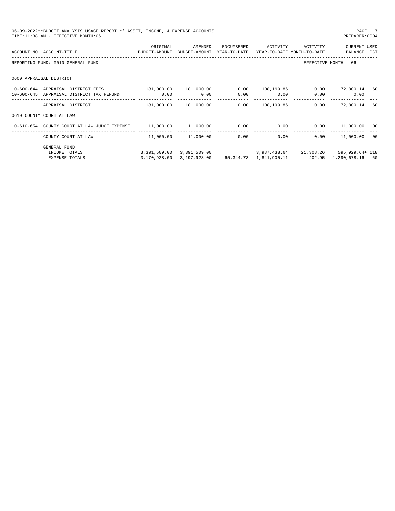| 06-09-2022**BUDGET ANALYSIS USAGE REPORT ** ASSET, INCOME, & EXPENSE ACCOUNTS<br>TIME: 11:38 AM - EFFECTIVE MONTH: 06 |                                              |                        |            |                     |          | PAGE 7<br>PREPARER: 0004                                                  |  |
|-----------------------------------------------------------------------------------------------------------------------|----------------------------------------------|------------------------|------------|---------------------|----------|---------------------------------------------------------------------------|--|
| ACCOUNT NO ACCOUNT-TITLE THE SUDGET-AMOUNT BUDGET-AMOUNT YEAR-TO-DATE YEAR-TO-DATE MONTH-TO-DATE                      | ORIGINAL                                     | AMENDED                | ENCUMBERED | ACTIVITY            | ACTIVITY | <b>CURRENT USED</b><br>BALANCE PCT                                        |  |
| REPORTING FUND: 0010 GENERAL FUND                                                                                     |                                              |                        |            |                     |          | EFFECTIVE MONTH - 06                                                      |  |
| 0600 APPRAISAL DISTRICT                                                                                               |                                              |                        |            |                     |          |                                                                           |  |
| 10-600-644 APPRAISAL DISTRICT FEES                                                                                    | $181,000.00$ $181,000.00$                    |                        |            | $0.00$ $108.199.86$ |          | $0.00$ 72,800.14 60                                                       |  |
| 10-600-645 APPRAISAL DISTRICT TAX REFUND 0.00 0.00 0.00                                                               |                                              |                        |            | $0.00$ $0.00$       |          | $0.00$ 0.00                                                               |  |
| APPRAISAL DISTRICT                                                                                                    |                                              | 181,000.00 181,000.00  |            | 0.00 108, 199.86    |          | $0.00$ 72,800.14 60                                                       |  |
| 0610 COUNTY COURT AT LAW                                                                                              |                                              |                        |            |                     |          |                                                                           |  |
| 10-610-654 COUNTY COURT AT LAW JUDGE EXPENSE                                                                          | $11,000.00$ $11,000.00$ $0.00$ $0.00$ $0.00$ |                        |            |                     |          | $0.00$ 11,000.00 00                                                       |  |
| COUNTY COURT AT LAW                                                                                                   |                                              | 11,000.00    11,000.00 |            | 0.00                | 0.00     | $0.00$ 11,000.00 00                                                       |  |
| <b>GENERAL FUND</b>                                                                                                   |                                              |                        |            |                     |          |                                                                           |  |
| INCOME TOTALS                                                                                                         |                                              |                        |            |                     |          | 3, 391, 509.00 3, 391, 509.00 3, 987, 438.64 21, 308.26 595, 929.64 + 118 |  |
| <b>EXPENSE TOTALS</b>                                                                                                 |                                              |                        |            |                     |          | 3,170,928.00 3,197,928.00 65,344.73 1,841,905.11 402.95 1,290,678.16 60   |  |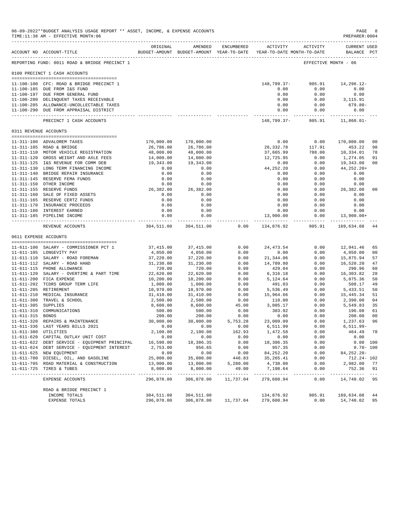|                     | 06-09-2022**BUDGET ANALYSIS USAGE REPORT ** ASSET, INCOME, & EXPENSE ACCOUNTS<br>TIME:11:38 AM - EFFECTIVE MONTH:06 |                          |                       |                      |                                                                     |                     | PAGE<br>PREPARER:0004         | -8             |
|---------------------|---------------------------------------------------------------------------------------------------------------------|--------------------------|-----------------------|----------------------|---------------------------------------------------------------------|---------------------|-------------------------------|----------------|
|                     | ACCOUNT NO ACCOUNT-TITLE                                                                                            | ORIGINAL                 | AMENDED               | ENCUMBERED           | BUDGET-AMOUNT BUDGET-AMOUNT YEAR-TO-DATE YEAR-TO-DATE MONTH-TO-DATE | ACTIVITY ACTIVITY   | CURRENT USED<br>BALANCE PCT   |                |
|                     | -------------------------------------<br>REPORTING FUND: 0011 ROAD & BRIDGE PRECINCT 1                              |                          |                       |                      |                                                                     |                     | EFFECTIVE MONTH - 06          |                |
|                     | 0100 PRECINCT 1 CASH ACCOUNTS                                                                                       |                          |                       |                      |                                                                     |                     |                               |                |
|                     | 11-100-100 CFC: ROAD & BRIDGE PRECINCT 1                                                                            |                          |                       |                      | 148,799.37-                                                         | 905.91              | 14,296.12-                    |                |
|                     | 11-100-185 DUE FROM I&S FUND                                                                                        |                          |                       |                      | 0.00                                                                | 0.00                | 0.00                          |                |
|                     | 11-100-197 DUE FROM GENERAL FUND                                                                                    |                          |                       |                      | 0.00                                                                | 0.00                | 0.00                          |                |
|                     | 11-100-280 DELINQUENT TAXES RECEIVABLE                                                                              |                          |                       |                      | 0.00                                                                | 0.00                | 3,115.91                      |                |
|                     | 11-100-285 ALLOWANCE-UNCOLLECTABLE TAXES                                                                            |                          |                       |                      | 0.00                                                                | 0.00                | 679.80-                       |                |
|                     | 11-100-290 DUE FROM APPRAISAL DISTRICT                                                                              |                          |                       |                      | 0.00                                                                | 0.00<br>----------- | 0.00<br>------------          |                |
|                     | PRECINCT 1 CASH ACCOUNTS                                                                                            |                          |                       |                      | 148,799.37-905.91                                                   |                     | 11,860.01-                    |                |
|                     | 0311 REVENUE ACCOUNTS                                                                                               |                          |                       |                      |                                                                     |                     |                               |                |
|                     | 11-311-100 ADVALOREM TAXES                                                                                          | 170,000.00               | 170,000.00            |                      | 0.00                                                                | 0.00                | 170,000.00                    | 0 <sub>0</sub> |
|                     | 11-311-105 ROAD & BRIDGE                                                                                            | 26,786.00                | 26,786.00             |                      | 26,332.78                                                           | 117.91              | 453.22                        | 98             |
|                     | 11-311-110 MOTOR VEHICLE REGISTRATION                                                                               | 48,000.00                | 48,000.00             |                      | 37,665.99                                                           | 788.00              | 10,334.01                     | 78             |
|                     | 11-311-120 GROSS WEIGHT AND AXLE FEES                                                                               | 14,000.00                | 14,000.00             |                      | 12,725.95                                                           | 0.00                | 1,274.05                      | 91             |
|                     | 11-311-125 I&S REVENUE FOR COMM DEB                                                                                 | 19,343.00                | 19,343.00             |                      | 0.00                                                                | 0.00                | 19,343.00                     | 0 <sub>0</sub> |
|                     | 11-311-130 LONG TERM FINANCING INCOME                                                                               | 0.00                     | 0.00                  |                      | 44,252.20                                                           | 0.00                | $44, 252.20+$                 |                |
|                     | 11-311-140 BRIDGE REPAIR INSURANCE                                                                                  | 0.00                     | 0.00                  |                      | 0.00                                                                | 0.00                | 0.00                          |                |
|                     | 11-311-145 RESERVE FEMA FUNDS                                                                                       | 0.00                     | 0.00                  |                      | 0.00                                                                | 0.00                | 0.00                          |                |
|                     | 11-311-150 OTHER INCOME                                                                                             | 0.00                     | 0.00                  |                      | 0.00                                                                | 0.00                | 0.00                          |                |
|                     | 11-311-155 RESERVE FUNDS                                                                                            | 26,382.00                | 26,382.00             |                      | 0.00                                                                | 0.00                | 26,382.00                     | 0 <sub>0</sub> |
|                     | 11-311-160 SALE OF FIXED ASSETS                                                                                     | 0.00                     | 0.00                  |                      | 0.00                                                                | 0.00                | 0.00                          |                |
|                     | 11-311-165 RESERVE CERTZ FUNDS                                                                                      | 0.00                     | 0.00                  |                      | 0.00                                                                | 0.00                | 0.00                          |                |
|                     | 11-311-170 INSURANCE PROCEEDS                                                                                       | 0.00                     | 0.00                  |                      | 0.00                                                                | 0.00                | 0.00                          |                |
|                     | 11-311-180 INTEREST EARNED                                                                                          | 0.00                     | 0.00                  |                      | 0.00                                                                | 0.00                | 0.00                          |                |
|                     | 11-311-185 PIPELINE INCOME                                                                                          | 0.00<br>.                | 0.00<br>------------  |                      | 13,900.00                                                           | 0.00<br>----------- | $13.900.00+$<br>------------- |                |
|                     | REVENUE ACCOUNTS                                                                                                    |                          | 304,511.00 304,511.00 |                      | $0.00$ $134,876.92$                                                 | 905.91              | 169,634.08                    | -44            |
|                     | 0611 EXPENSE ACCOUNTS                                                                                               |                          |                       |                      |                                                                     |                     |                               |                |
|                     |                                                                                                                     |                          |                       | 0.00                 | 24, 473.54                                                          | 0.00                |                               | 65             |
|                     | 11-611-100 SALARY - COMMISSIONER PCT 1<br>11-611-105 LONGEVITY PAY                                                  | 37,415.00<br>4,050.00    | 37,415.00<br>4,050.00 | 0.00                 | 0.00                                                                | 0.00                | 12,941.46<br>4,050.00         | 0 <sub>0</sub> |
|                     | 11-611-110 SALARY - ROAD FOREMAN                                                                                    | 37,220.00                | 37,220.00             | 0.00                 |                                                                     | 0.00                | 15,875.94                     | 57             |
|                     | 11-611-112 SALARY - ROAD HAND                                                                                       | 31,230.00                | 31,230.00             | 0.00                 | 21,344.06<br>14,709.80                                              | 0.00                | 16,520.20                     | 47             |
|                     | 11-611-115 PHONE ALLOWANCE                                                                                          | 720.00                   | 720.00                | 0.00                 | 429.04                                                              | 0.00                | 290.96                        | 60             |
|                     | 11-611-120 SALARY - OVERTIME & PART TIME                                                                            | 22,620.00                | 22,620.00             | 0.00                 | 6, 316.18                                                           | 0.00                | 16,303.82                     | 28             |
|                     | 11-611-200 FICA EXPENSE                                                                                             | 10,200.00                | 10,200.00             | 0.00                 | 5,124.64                                                            | 0.00                | 5,075.36                      | 50             |
|                     | 11-611-202 TCDRS GROUP TERM LIFE                                                                                    | 1,000.00                 | 1,000.00              | 0.00                 | 491.83                                                              | 0.00                | 508.17                        | 49             |
|                     | 11-611-205 RETIREMENT                                                                                               | 10,970.00                | 10,970.00             | 0.00                 | 5,536.49                                                            | 0.00                | 5,433.51                      | 50             |
|                     | 11-611-210 MEDICAL INSURANCE                                                                                        | 31,410.00                | 31,410.00             | 0.00                 | 15,964.66                                                           | 0.00                | 15,445.34                     | 51             |
|                     | 11-611-300 TRAVEL & SCHOOL                                                                                          | 2,500.00                 | 2,500.00              | 0.00                 | 110.00                                                              | 0.00                | 2,390.00                      | 04             |
| 11-611-305 SUPPLIES |                                                                                                                     | 8,600.00                 | 8,600.00              | 45.00                | 3,005.17                                                            | 0.00                | 5,549.83                      | 35             |
|                     | 11-611-310 COMMUNICATIONS                                                                                           | 500.00                   | 500.00                | 0.00                 | 303.92                                                              | 0.00                | 196.08                        | 61             |
| 11-611-315 BONDS    |                                                                                                                     | 200.00                   | 200.00                | 0.00                 | 0.00                                                                | 0.00                | 200.00                        | 0 <sub>0</sub> |
|                     | 11-611-320 REPAIRS & MAINTENANCE                                                                                    | 30,000.00                | 30,000.00             | 5,753.28             | 23,009.09                                                           | 0.00                | 1,237.63 96                   |                |
|                     | 11-611-336 LAST YEARS BILLS 2021                                                                                    | 0.00                     | 0.00                  | 0.00                 | 6,511.99                                                            | 0.00                | 6,511.99-                     |                |
|                     | 11-611-380 UTILITIES                                                                                                | 2,100.00                 | 2,100.00              | 162.93               | 1,472.58                                                            | 0.00                | 464.49 78                     |                |
|                     | 11-611-620 CAPITAL OUTLAY UNIT COST                                                                                 | 0.00                     | 0.00                  | 0.00                 | 0.00                                                                | 0.00                | 0.00                          |                |
|                     | 11-611-622 DEBT SERVICE - EQUIPMENT PRINCIPAL                                                                       | 16,590.00                | 18,386.35             | 0.00                 | 18,386.35                                                           | 0.00                |                               | 0.00 100       |
|                     | 11-611-624 DEBT SERVICE - EQUIPMENT INTEREST<br>11-611-625 NEW EQUIPMENT                                            | 2,753.00<br>0.00         | 956.65<br>0.00        | 0.00<br>0.00         | 957.35                                                              | 0.00<br>0.00        |                               | $0.70 - 100$   |
|                     | 11-611-700 DIESEL, OIL, AND GASOLINE                                                                                | 25,000.00                | 35,000.00             | 446.83               | 84,252.20<br>35,265.41                                              | 0.00                | 84,252.20-<br>712.24- 102     |                |
|                     | 11-611-705 ROAD MATERIAL & CONSTRUCTION                                                                             | 13,000.00                | 13,000.00             | 5,280.00             | 4,738.00                                                            | 0.00                | 2,982.00 77                   |                |
|                     | 11-611-725 TIRES & TUBES                                                                                            | 8,000.00                 | 8,000.00              | 49.00                | 7,198.64                                                            | 0.00                | 752.36 91                     |                |
|                     | EXPENSE ACCOUNTS                                                                                                    | ----------<br>296,078.00 | .<br>306,078.00       | -------<br>11,737.04 | ------------<br>279,600.94                                          | 0.00                | 14,740.02 95                  |                |
|                     | ROAD & BRIDGE PRECINCT 1                                                                                            |                          |                       |                      |                                                                     |                     |                               |                |
|                     | INCOME TOTALS                                                                                                       | 304,511.00               | 304,511.00            |                      | 134,876.92                                                          | 905.91              | 169,634.08                    | 44             |
|                     | EXPENSE TOTALS                                                                                                      | 296,078.00               | 306,078.00            |                      | 11,737.04 279,600.94                                                | 0.00                | 14,740.02                     | 95             |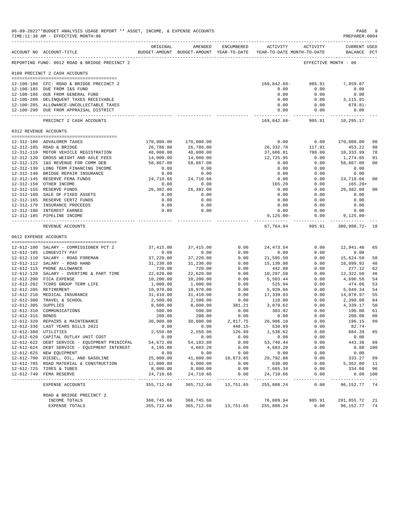|                       | 06-09-2022**BUDGET ANALYSIS USAGE REPORT ** ASSET, INCOME, & EXPENSE ACCOUNTS<br>TIME:11:38 AM - EFFECTIVE MONTH:06 |                           |                                                                                |                          |                           |                          | PAGE<br>PREPARER:0004              | -9                   |
|-----------------------|---------------------------------------------------------------------------------------------------------------------|---------------------------|--------------------------------------------------------------------------------|--------------------------|---------------------------|--------------------------|------------------------------------|----------------------|
|                       |                                                                                                                     |                           |                                                                                |                          |                           |                          |                                    |                      |
|                       | ACCOUNT NO ACCOUNT-TITLE                                                                                            | ORIGINAL                  | AMENDED<br>BUDGET-AMOUNT BUDGET-AMOUNT YEAR-TO-DATE YEAR-TO-DATE MONTH-TO-DATE | ENCUMBERED               |                           | ACTIVITY ACTIVITY        | <b>CURRENT USED</b><br>BALANCE PCT |                      |
|                       | -------------------------------------<br>REPORTING FUND: 0012 ROAD & BRIDGE PRECINCT 2                              |                           |                                                                                |                          |                           |                          | EFFECTIVE MONTH - 06               |                      |
|                       | 0100 PRECINCT 2 CASH ACCOUNTS                                                                                       |                           |                                                                                |                          |                           |                          |                                    |                      |
|                       |                                                                                                                     |                           |                                                                                |                          |                           |                          |                                    |                      |
|                       | 12-100-100 CFC: ROAD & BRIDGE PRECINCT 2<br>12-100-185 DUE FROM I&S FUND                                            |                           |                                                                                |                          | 169,842.68-<br>0.00       | 905.91<br>0.00           | 7,859.07<br>0.00                   |                      |
|                       | 12-100-186 DUE FROM GENERAL FUND                                                                                    |                           |                                                                                |                          | 0.00                      | 0.00                     | 0.00                               |                      |
|                       | 12-100-280 DELINQUENT TAXES RECEIVABLE                                                                              |                           |                                                                                |                          | 0.00                      | 0.00                     | 3,115.91                           |                      |
|                       | 12-100-285 ALLOWANCE-UNCOLLECTABLE TAXES                                                                            |                           |                                                                                |                          | 0.00                      | 0.00                     | 679.81-                            |                      |
|                       | 12-100-290 DUE FROM APPRAISAL DISTRICT                                                                              |                           |                                                                                |                          | 0.00<br>------------      | 0.00<br>------------     | 0.00<br>------------               |                      |
|                       | PRECINCT 2 CASH ACCOUNTS                                                                                            |                           |                                                                                |                          | 169,842.68-               | 905.91                   | 10,295.17                          |                      |
| 0312 REVENUE ACCOUNTS |                                                                                                                     |                           |                                                                                |                          |                           |                          |                                    |                      |
|                       |                                                                                                                     |                           |                                                                                |                          |                           |                          |                                    |                      |
|                       | 12-312-100 ADVALOREM TAXES<br>12-312-105 ROAD & BRIDGE                                                              | 170,000.00<br>26,786.00   | 170,000.00<br>26,786.00                                                        |                          | 0.00<br>26,332.78         | 0.00<br>117.91           | 170,000.00<br>453.22               | 0 <sub>0</sub><br>98 |
|                       | 12-312-110 MOTOR VEHICLE REGISTRATION                                                                               | 48,000.00                 | 48,000.00                                                                      |                          | 37,666.01                 | 788.00                   | 10,333.99                          | 78                   |
|                       | 12-312-120 GROSS WEIGHT AND AXLE FEES                                                                               | 14,000.00                 | 14,000.00                                                                      |                          | 12,725.95                 | 0.00                     | 1,274.05                           | 91                   |
|                       | 12-312-125 I&S REVENUE FOR COMM DEB                                                                                 | 58,867.00                 | 58,867.00                                                                      |                          | 0.00                      | 0.00                     | 58,867.00                          | 0 <sub>0</sub>       |
|                       | 12-312-130 LONG TERM FINANCING INCOME                                                                               | 0.00                      | 0.00                                                                           |                          | 0.00                      | 0.00                     | 0.00                               |                      |
|                       | 12-312-140 BRIDGE REPAIR INSURANCE                                                                                  | 0.00                      | 0.00                                                                           |                          | 0.00                      | 0.00                     | 0.00                               |                      |
|                       | 12-312-145 RESERVE FEMA FUNDS                                                                                       | 24,710.66                 | 24,710.66                                                                      |                          | 0.00                      | 0.00                     | 24,710.66                          | 0 <sub>0</sub>       |
|                       | 12-312-150 OTHER INCOME                                                                                             | 0.00                      | 0.00                                                                           |                          | 165.20                    | 0.00                     | $165.20+$                          |                      |
|                       | 12-312-155 RESERVE FUNDS                                                                                            | 26,382.00                 | 26,382.00                                                                      |                          | 0.00                      | 0.00                     | 26,382.00                          | 0 <sub>0</sub>       |
|                       | 12-312-160 SALE OF FIXED ASSETS                                                                                     | 0.00                      | 0.00                                                                           |                          | 0.00                      | 0.00                     | 0.00                               |                      |
|                       | 12-312-165 RESERVE CERTZ FUNDS                                                                                      | 0.00                      | 0.00                                                                           |                          | 0.00                      | 0.00                     | 0.00                               |                      |
|                       | 12-312-170 INSURANCE PROCEEDS<br>12-312-180 INTEREST EARNED                                                         | 0.00<br>0.00              | 0.00<br>0.00                                                                   |                          | 0.00                      | 0.00<br>0.00             | 0.00                               |                      |
|                       | 12-312-185 PIPELINE INCOME                                                                                          |                           |                                                                                |                          | 0.00<br>$9,125.00 -$      | 0.00                     | 0.00<br>9,125.00-                  |                      |
|                       |                                                                                                                     |                           |                                                                                |                          |                           | ----------- ------------ | -------------                      |                      |
|                       | REVENUE ACCOUNTS                                                                                                    |                           |                                                                                |                          | 67,764.94                 | 905.91                   | 300,980.72- 18                     |                      |
| 0612 EXPENSE ACCOUNTS |                                                                                                                     |                           |                                                                                |                          |                           |                          |                                    |                      |
|                       | 12-612-100 SALARY - COMMISSIONER PCT 2                                                                              | 37,415.00                 | 37,415.00                                                                      | 0.00                     | 24,473.54                 | 0.00                     | 12,941.46                          | 65                   |
|                       | 12-612-105 LONGEVITY PAY                                                                                            | 0.00                      | 0.00                                                                           | 0.00                     | 0.00                      | 0.00                     | 0.00                               |                      |
|                       | 12-612-110 SALARY - ROAD FOREMAN                                                                                    | 37,220.00                 | 37,220.00                                                                      | 0.00                     | 21,595.50                 | 0.00                     | 15,624.50                          | 58                   |
|                       | 12-612-112 SALARY - ROAD HAND                                                                                       | 31,230.00                 | 31,230.00                                                                      | 0.00                     | 15,130.08                 | 0.00                     | 16,099.92                          | 48                   |
|                       | 12-612-115 PHONE ALLOWANCE                                                                                          | 720.00                    | 720.00                                                                         | 0.00                     | 442.88                    | 0.00                     | 277.12                             | 62                   |
|                       | 12-612-120 SALARY - OVERTIME & PART TIME                                                                            | 22,620.00                 | 22,620.00                                                                      | 0.00                     | 10,297.50                 | 0.00                     | 12,322.50                          | 46                   |
|                       | 12-612-200 FICA EXPENSE                                                                                             | 10,200.00                 | 10,200.00<br>1,000.00                                                          | 0.00                     | 5,503.44                  | 0.00                     | 4,696.56<br>474.06                 | 54                   |
|                       | 12-612-202 TCDRS GROUP TERM LIFE<br>12-612-205 RETIREMENT                                                           | 1,000.00<br>10,970.00     | 10,970.00                                                                      | 0.00<br>0.00             | 525.94<br>5,920.66        | 0.00<br>0.00             | 5,049.34                           | 53<br>54             |
|                       | 12-612-210 MEDICAL INSURANCE                                                                                        | 31,410.00                 | 31,410.00                                                                      | 0.00                     | 17,339.03                 | 0.00                     | 14,070.97                          | 55                   |
|                       | 12-612-300 TRAVEL & SCHOOL                                                                                          | 2,500.00                  | 2,500.00                                                                       | 0.00                     | 110.00                    | 0.00                     | 2,390.00                           | 04                   |
| 12-612-305 SUPPLIES   |                                                                                                                     | 8,600.00                  | 8,600.00                                                                       | 381.21                   | 3,879.62                  | 0.00                     | 4,339.17                           | 50                   |
|                       | 12-612-310 COMMUNICATIONS                                                                                           | 500.00                    | 500.00                                                                         | 0.00                     | 303.92                    | 0.00                     | 196.08                             | 61                   |
| 12-612-315 BONDS      |                                                                                                                     | 200.00                    | 200.00                                                                         | 0.00                     | 0.00                      | 0.00                     | 200.00                             | 0 <sub>0</sub>       |
|                       | 12-612-320 REPAIRS & MAINTENANCE                                                                                    | 30,000.00                 | 30,000.00                                                                      | 2,817.75                 | 26,986.10                 | 0.00                     | 196.15                             | -99                  |
|                       | 12-612-336 LAST YEARS BILLS 2021                                                                                    | 0.00                      | 0.00                                                                           | $448.15 -$               | 530.89                    | 0.00                     | $82.74-$                           |                      |
| 12-612-380 UTILITIES  |                                                                                                                     | 2,550.00                  | 2,550.00                                                                       | 126.99                   | 1,538.62                  | 0.00                     | 884.39                             | 65                   |
|                       | 12-612-620 CAPITAL OUTLAY UNIT COST                                                                                 | 0.00                      | 0.00                                                                           | 0.00                     | 0.00                      | 0.00                     | 0.00                               |                      |
|                       | 12-612-622 DEBT SERVICE - EQUIPMENT PRINICPAL                                                                       | 54,672.00                 | 54, 183.80                                                                     | 0.00                     | 53,740.44                 | 0.00                     | 443.36                             | 99                   |
|                       | 12-612-624 DEBT SERVICE - EQUIPMENT INTEREST<br>12-612-625 NEW EQUIPMENT                                            | 4,195.00<br>0.00          | 4,683.20<br>0.00                                                               | 0.00<br>0.00             | 4,683.20<br>0.00          | 0.00<br>0.00             | 0.00                               | 0.00 100             |
|                       | 12-612-700 DIESEL, OIL, AND GASOLINE                                                                                | 25,000.00                 | 41,000.00                                                                      | 10,873.85                | 29,792.88                 | 0.00                     | 333.27                             | 99                   |
|                       | 12-612-705 ROAD MATERIAL & CONSTRUCTION                                                                             | 12,000.00                 | 6,000.00                                                                       | 0.00                     | 638.00                    | 0.00                     | 5,362.00                           | 11                   |
|                       | 12-612-725 TIRES & TUBES                                                                                            | 8,000.00                  | 8,000.00                                                                       | 0.00                     | 7,665.34                  | 0.00                     | 334.66                             | 96                   |
|                       | 12-612-740 FEMA RESERVE<br>--------------------------------                                                         | 24,710.66<br>------------ | 24,710.66                                                                      | 0.00                     | 24,710.66<br>------------ | 0.00                     | - - - - - - - - -                  | 0.00 100             |
|                       | EXPENSE ACCOUNTS                                                                                                    | 355,712.66                | -------------<br>365,712.66                                                    | -----------<br>13,751.65 | 255,808.24                | -----<br>0.00            | 96, 152. 77 74                     | $- - -$              |
|                       | ROAD & BRIDGE PRECINCT 2                                                                                            |                           |                                                                                |                          |                           |                          |                                    |                      |
|                       | INCOME TOTALS                                                                                                       | 368,745.66                | 368,745.66                                                                     |                          | 76,889.94                 | 905.91                   | 291,855.72                         | 21                   |
|                       | EXPENSE TOTALS                                                                                                      | 355,712.66                | 365,712.66                                                                     | 13,751.65                | 255,808.24                | 0.00                     | 96,152.77                          | 74                   |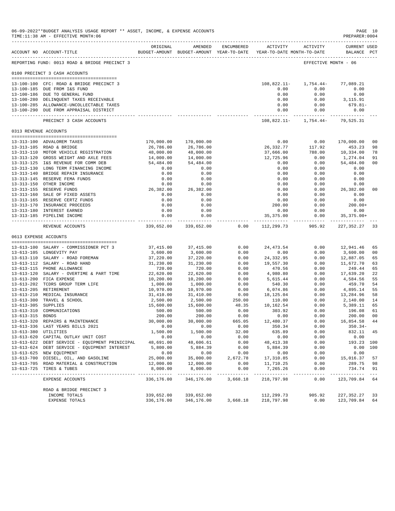|                     | 06-09-2022**BUDGET ANALYSIS USAGE REPORT ** ASSET, INCOME, & EXPENSE ACCOUNTS<br>TIME:11:38 AM - EFFECTIVE MONTH:06 |                         |                                                                                |                    |                          |                                 | PREPARER: 0004                     | PAGE 10              |
|---------------------|---------------------------------------------------------------------------------------------------------------------|-------------------------|--------------------------------------------------------------------------------|--------------------|--------------------------|---------------------------------|------------------------------------|----------------------|
|                     | ACCOUNT NO ACCOUNT-TITLE                                                                                            | ORIGINAL                | AMENDED<br>BUDGET-AMOUNT BUDGET-AMOUNT YEAR-TO-DATE YEAR-TO-DATE MONTH-TO-DATE | ENCUMBERED         |                          | ACTIVITY ACTIVITY               | <b>CURRENT USED</b><br>BALANCE PCT |                      |
|                     | REPORTING FUND: 0013 ROAD & BRIDGE PRECINCT 3                                                                       |                         |                                                                                |                    |                          | EFFECTIVE MONTH - 06            |                                    |                      |
|                     | 0100 PRECINCT 3 CASH ACCOUNTS                                                                                       |                         |                                                                                |                    |                          |                                 |                                    |                      |
|                     | 13-100-100 CFC: ROAD & BRIDGE PRECINCT 3                                                                            |                         |                                                                                |                    |                          | $108,822.11 - 1,754.44 -$       | 77,089.21                          |                      |
|                     | 13-100-185 DUE FROM I&S FUND                                                                                        |                         |                                                                                |                    | 0.00                     | 0.00                            | 0.00                               |                      |
|                     | 13-100-186 DUE TO GENERAL FUND                                                                                      |                         |                                                                                |                    | 0.00                     | 0.00                            | 0.00                               |                      |
|                     | 13-100-280 DELINQUENT TAXES RECEIVABLE                                                                              |                         |                                                                                |                    | 0.00                     | 0.00                            | 3,115.91                           |                      |
|                     | 13-100-285 ALLOWANCE-UNCOLLECTABLE TAXES                                                                            |                         |                                                                                |                    | 0.00                     | 0.00                            | 679.81-                            |                      |
|                     | 13-100-290 DUE FROM APPRAISAL DISTRICT                                                                              |                         |                                                                                |                    | 0.00                     | 0.00                            | 0.00                               |                      |
|                     | PRECINCT 3 CASH ACCOUNTS                                                                                            |                         |                                                                                |                    |                          | 108,822.11- 1,754.44- 79,525.31 |                                    |                      |
|                     | 0313 REVENUE ACCOUNTS                                                                                               |                         |                                                                                |                    |                          |                                 |                                    |                      |
|                     | 13-313-100 ADVALOREM TAXES                                                                                          | 170,000.00              | 170,000.00                                                                     |                    | 0.00                     | 0.00                            | 170,000.00                         | 0 <sub>0</sub>       |
|                     | 13-313-105 ROAD & BRIDGE                                                                                            | 26,786.00               | 26,786.00                                                                      |                    | 26,332.77                | 117.92                          | 453.23                             | 98                   |
|                     | 13-313-110 MOTOR VEHICLE REGISTRATION                                                                               | 48,000.00               | 48,000.00                                                                      |                    | 37,666.00                | 788.00                          | 10,334.00                          | 78                   |
|                     | 13-313-120 GROSS WEIGHT AND AXLE FEES                                                                               | 14,000.00               | 14,000.00                                                                      |                    | 12,725.96                | 0.00                            | 1,274.04                           | 91                   |
|                     | 13-313-125 I&S REVENUE FOR COMM DEB                                                                                 | 54,484.00               | 54,484.00                                                                      |                    | 0.00                     | 0.00                            | 54,484.00                          | 0 <sub>0</sub>       |
|                     | 13-313-130 LONG TERM FINANCING INCOME                                                                               | 0.00                    | 0.00                                                                           |                    | 0.00                     | 0.00                            | 0.00                               |                      |
|                     | 13-313-140 BRIDGE REPAIR INSURANCE                                                                                  | 0.00                    | 0.00                                                                           |                    | 0.00                     | 0.00                            | 0.00                               |                      |
|                     | 13-313-145 RESERVE FEMA FUNDS                                                                                       | 0.00                    | 0.00                                                                           |                    | 0.00                     | 0.00                            | 0.00                               |                      |
|                     | 13-313-150 OTHER INCOME                                                                                             | 0.00                    | 0.00                                                                           |                    | 0.00                     | 0.00                            | 0.00                               |                      |
|                     | 13-313-155 RESERVE FUNDS                                                                                            | 26,382.00               | 26,382.00                                                                      |                    | 0.00                     | 0.00                            | 26,382.00                          | 0 <sub>0</sub>       |
|                     | 13-313-160 SALE OF FIXED ASSETS                                                                                     | 0.00                    | 0.00                                                                           |                    | 0.00                     | 0.00                            | 0.00                               |                      |
|                     | 13-313-165 RESERVE CERTZ FUNDS                                                                                      | 0.00                    | 0.00                                                                           |                    | 0.00                     | 0.00                            | 0.00                               |                      |
|                     | 13-313-170 INSURANCE PROCEEDS                                                                                       | 0.00                    | 0.00                                                                           |                    | 200.00                   | 0.00                            | $200.00+$                          |                      |
|                     | 13-313-180 INTEREST EARNED<br>13-313-185 PIPELINE INCOME                                                            | 0.00<br>0.00            | 0.00<br>0.00                                                                   |                    | 0.00                     | 0.00<br>0.00                    | 0.00                               |                      |
|                     |                                                                                                                     |                         | -------------                                                                  |                    | 35,375.00                |                                 | $35, 375.00+$<br>--------------    |                      |
|                     | REVENUE ACCOUNTS                                                                                                    | 339,652.00              | 339,652.00                                                                     | 0.00               | 112,299.73               | 905.92                          | 227,352.27                         | 33                   |
|                     | 0613 EXPENSE ACCOUNTS                                                                                               |                         |                                                                                |                    |                          |                                 |                                    |                      |
|                     | 13-613-100 SALARY - COMMISSIONER PCT 3                                                                              | 37,415.00               | 37, 415.00                                                                     | 0.00               | 24,473.54                | 0.00                            | 12,941.46                          | 65                   |
|                     | 13-613-105 LONGEVITY PAY                                                                                            | 3,600.00                | 3,600.00                                                                       | 0.00               | 0.00                     | 0.00                            | 3,600.00                           | 0 <sub>0</sub>       |
|                     | 13-613-110 SALARY - ROAD FOREMAN                                                                                    | 37,220.00               | 37,220.00                                                                      | 0.00               | 24,332.95                | 0.00                            | 12,887.05                          | 65                   |
|                     | 13-613-112 SALARY - ROAD HAND                                                                                       | 31,230.00               | 31,230.00                                                                      | 0.00               | 19,557.30                | 0.00                            | 11,672.70                          | 63                   |
|                     | 13-613-115 PHONE ALLOWANCE                                                                                          | 720.00                  | 720.00                                                                         | 0.00               | 470.56                   | 0.00                            | 249.44                             | 65                   |
|                     | 13-613-120 SALARY - OVERTIME & PART TIME                                                                            | 22,620.00               | 22,620.00                                                                      | 0.00               | 4,980.80                 | 0.00                            | 17,639.20                          | 22                   |
|                     | 13-613-200 FICA EXPENSE                                                                                             | 10,200.00               | 10,200.00                                                                      | 0.00               | 5,615.44                 | 0.00                            | 4,584.56                           | 55                   |
|                     | 13-613-202 TCDRS GROUP TERM LIFE                                                                                    | 1,000.00                | 1,000.00                                                                       | 0.00               | 540.30                   | 0.00                            | 459.70                             | 54                   |
|                     | 13-613-205 RETIREMENT                                                                                               | 10,970.00               | 10,970.00                                                                      | 0.00               | 6,074.86                 | 0.00                            | 4,895.14                           | 55                   |
|                     | 13-613-210 MEDICAL INSURANCE                                                                                        | 31,410.00               | 31,410.00                                                                      | 0.00               | 18,125.04                | 0.00                            | 13,284.96                          | 58                   |
|                     | 13-613-300 TRAVEL & SCHOOL                                                                                          | 2,500.00                | 2,500.00                                                                       | 250.00             | 110.00                   | 0.00                            | 2,140.00                           | 14                   |
| 13-613-305 SUPPLIES |                                                                                                                     | 15,600.00               | 15,600.00                                                                      | 48.35              | 10,162.54                | 0.00                            | 5,389.11                           | 65                   |
| 13-613-315 BONDS    | 13-613-310 COMMUNICATIONS                                                                                           | 500.00<br>200.00        | 500.00<br>200.00                                                               | 0.00<br>0.00       | 303.92<br>0.00           | 0.00<br>0.00                    | 196.08<br>200.00                   | 61<br>0 <sub>0</sub> |
|                     | 13-613-320 REPAIRS & MAINTENANCE                                                                                    | 30,000.00               | 30,000.00                                                                      | 665.05             | 12,480.37                | 0.00                            | 16,854.58                          | 44                   |
|                     | 13-613-336 LAST YEARS BILLS 2021                                                                                    | 0.00                    | 0.00                                                                           | 0.00               | 350.34                   | 0.00                            | $350.34-$                          |                      |
|                     | 13-613-380 UTILITIES                                                                                                | 1,500.00                | 1,500.00                                                                       | 32.00              | 635.89                   | 0.00                            | 832.11                             | 45                   |
|                     | 13-613-620 CAPITAL OUTLAY UNIT COST                                                                                 | 0.00                    | 0.00                                                                           | 0.00               | 0.00                     | 0.00                            | 0.00                               |                      |
|                     | 13-613-622 DEBT SERVICE - EQUIPMENT PRINICIPAL                                                                      | 48,691.00               | 48,606.61                                                                      | 0.00               | 48, 413.38               | 0.00                            | 193.23 100                         |                      |
|                     | 13-613-624 DEBT SERVICE - EQUIPMENT INTEREST                                                                        | 5,800.00                | 5,884.39                                                                       | 0.00               | 5,884.39                 | 0.00                            | 0.00                               | 100                  |
|                     | 13-613-625 NEW EQUIPMENT                                                                                            | 0.00                    | 0.00                                                                           | 0.00               | 0.00                     | 0.00                            | 0.00                               |                      |
|                     | 13-613-700 DIESEL, OIL, AND GASOLINE                                                                                | 25,000.00               | 35,000.00                                                                      | 2,672.78           | 17,310.85                | 0.00                            | 15,016.37                          | 57                   |
|                     | 13-613-705 ROAD MATERIAL & CONSTRUCTION                                                                             | 12,000.00               | 12,000.00                                                                      | 0.00               | 11,710.25                | 0.00                            | 289.75                             | -98                  |
|                     | 13-613-725 TIRES & TUBES<br>------------------------------------                                                    | 8,000.00<br>----------- | 8,000.00<br>-------------                                                      | 0.00<br>---------- | 7,265.26<br>------------ | 0.00<br>-----                   | 734.74<br>-----------              | 91<br>$- - -$        |
|                     | EXPENSE ACCOUNTS                                                                                                    | 336,176.00              | 346,176.00                                                                     | 3,668.18           | 218,797.98               | 0.00                            | 123,709.84                         | 64                   |
|                     | ROAD & BRIDGE PRECINCT 3                                                                                            |                         |                                                                                |                    |                          |                                 |                                    |                      |
|                     | INCOME TOTALS                                                                                                       | 339,652.00              | 339,652.00                                                                     | 3,668.18           | 112,299.73<br>218,797.98 | 905.92                          | 227,352.27                         | 33                   |
|                     | EXPENSE TOTALS                                                                                                      | 336,176.00              | 346,176.00                                                                     |                    |                          | 0.00                            | 123,709.84                         | 64                   |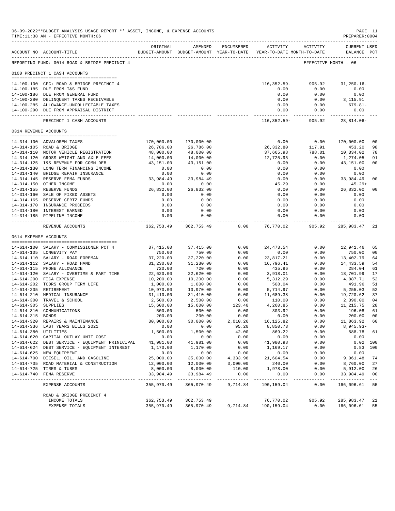|                     | 06-09-2022**BUDGET ANALYSIS USAGE REPORT ** ASSET, INCOME, & EXPENSE ACCOUNTS<br>TIME:11:38 AM - EFFECTIVE MONTH:06 |                           |                                                                                |                      |                         |                      | PREPARER:0004                      | PAGE 11                 |
|---------------------|---------------------------------------------------------------------------------------------------------------------|---------------------------|--------------------------------------------------------------------------------|----------------------|-------------------------|----------------------|------------------------------------|-------------------------|
|                     | ACCOUNT NO ACCOUNT-TITLE                                                                                            | ORIGINAL                  | AMENDED<br>BUDGET-AMOUNT BUDGET-AMOUNT YEAR-TO-DATE YEAR-TO-DATE MONTH-TO-DATE | ENCUMBERED           |                         | ACTIVITY ACTIVITY    | <b>CURRENT USED</b><br>BALANCE PCT |                         |
|                     | -------------------------------------<br>REPORTING FUND: 0014 ROAD & BRIDGE PRECINCT 4                              |                           |                                                                                |                      |                         |                      | EFFECTIVE MONTH - 06               |                         |
|                     | 0100 PRECINCT 1 CASH ACCOUNTS                                                                                       |                           |                                                                                |                      |                         |                      |                                    |                         |
|                     |                                                                                                                     |                           |                                                                                |                      |                         |                      |                                    |                         |
|                     | 14-100-100 CFC: ROAD & BRIDGE PRECINCT 4                                                                            |                           |                                                                                |                      | 116,352.59-<br>0.00     | 905.92<br>0.00       | $31, 250.16 -$                     |                         |
|                     | 14-100-185 DUE FROM I&S FUND<br>14-100-186 DUE FROM GENERAL FUND                                                    |                           |                                                                                |                      | 0.00                    | 0.00                 | 0.00<br>0.00                       |                         |
|                     | 14-100-280 DELINQUENT TAXES RECEIVABLE                                                                              |                           |                                                                                |                      | 0.00                    | 0.00                 | 3,115.91                           |                         |
|                     | 14-100-285 ALLOWANCE-UNCOLLECTABLE TAXES                                                                            |                           |                                                                                |                      | 0.00                    | 0.00                 | 679.81-                            |                         |
|                     | 14-100-290 DUE FROM APPRAISAL DISTRICT                                                                              |                           |                                                                                |                      | 0.00<br>------------    | 0.00<br>------------ | 0.00<br>------------               |                         |
|                     | PRECINCT 1 CASH ACCOUNTS                                                                                            |                           |                                                                                |                      | 116,352.59-             | 905.92               | $28,814.06-$                       |                         |
|                     | 0314 REVENUE ACCOUNTS                                                                                               |                           |                                                                                |                      |                         |                      |                                    |                         |
|                     | 14-314-100 ADVALOREM TAXES                                                                                          | 170,000.00                | 170,000.00                                                                     |                      | 0.00                    | 0.00                 | 170,000.00                         | 0 <sup>0</sup>          |
|                     | 14-314-105 ROAD & BRIDGE                                                                                            | 26,786.00                 | 26,786.00                                                                      |                      | 26,332.80               | 117.91               | 453.20                             | 98                      |
|                     | 14-314-110 MOTOR VEHICLE REGISTRATION                                                                               | 48,000.00                 | 48,000.00                                                                      |                      | 37,665.98               | 788.01               | 10,334.02                          | 78                      |
|                     | 14-314-120 GROSS WEIGHT AND AXLE FEES                                                                               | 14,000.00                 | 14,000.00                                                                      |                      | 12,725.95               | 0.00                 | 1,274.05                           | 91                      |
|                     | 14-314-125 I&S REVENUE FOR COMM DEB                                                                                 | 43,151.00                 | 43,151.00                                                                      |                      | 0.00                    | 0.00                 | 43,151.00                          | 0 <sub>0</sub>          |
|                     | 14-314-130 LONG TERM FINANCING INCOME                                                                               | 0.00                      | 0.00                                                                           |                      | 0.00                    | 0.00                 | 0.00                               |                         |
|                     | 14-314-140 BRIDGE REPAIR INSURANCE                                                                                  | 0.00                      | 0.00                                                                           |                      | 0.00                    | 0.00                 | 0.00                               |                         |
|                     | 14-314-145 RESERVE FEMA FUNDS                                                                                       | 33,984.49                 | 33,984.49                                                                      |                      | 0.00                    |                      | $0.00$ 33,984.49                   | 0 <sub>0</sub>          |
|                     | 14-314-150 OTHER INCOME                                                                                             | 0.00                      | 0.00                                                                           |                      | 45.29                   | 0.00                 | $45.29+$                           |                         |
|                     | 14-314-155 RESERVE FUNDS                                                                                            | 26,832.00                 | 26,832.00                                                                      |                      | 0.00                    | 0.00                 | 26,832.00                          | 0 <sub>0</sub>          |
|                     | 14-314-160 SALE OF FIXED ASSETS                                                                                     | 0.00                      | 0.00                                                                           |                      | 0.00                    | 0.00                 | 0.00                               |                         |
|                     | 14-314-165 RESERVE CERTZ FUNDS<br>14-314-170 INSURANCE PROCEEDS                                                     | 0.00<br>0.00              | 0.00                                                                           |                      | 0.00                    | 0.00                 | 0.00<br>0.00                       |                         |
|                     | 14-314-180 INTEREST EARNED                                                                                          | 0.00                      | 0.00<br>0.00                                                                   |                      | 0.00<br>0.00            | 0.00<br>0.00         | 0.00                               |                         |
|                     | 14-314-185 PIPELINE INCOME                                                                                          | 0.00                      | 0.00                                                                           |                      | 0.00                    | 0.00                 | 0.00                               |                         |
|                     |                                                                                                                     | ------------              | -----------                                                                    |                      | ------------            | -----------          |                                    |                         |
|                     | REVENUE ACCOUNTS                                                                                                    |                           | 362, 753.49 362, 753.49                                                        | 0.00                 | 76,770.02               | 905.92               | 285,983.47                         | -21                     |
|                     | 0614 EXPENSE ACCOUNTS                                                                                               |                           |                                                                                |                      |                         |                      |                                    |                         |
|                     | 14-614-100 SALARY - COMMISSIONER PCT 4                                                                              | 37,415.00                 | 37,415.00                                                                      | 0.00                 | 24, 473.54              | 0.00                 | 12,941.46                          | 65                      |
|                     | 14-614-105 LONGEVITY PAY                                                                                            | 750.00                    | 750.00                                                                         | 0.00                 | 0.00                    | 0.00                 | 750.00                             | 0 <sub>0</sub>          |
|                     | 14-614-110 SALARY - ROAD FOREMAN                                                                                    | 37,220.00                 | 37,220.00                                                                      | 0.00                 | 23,817.21               | 0.00                 | 13,402.79                          | 64                      |
|                     | 14-614-112 SALARY - ROAD HAND                                                                                       | 31,230.00                 | 31,230.00                                                                      | 0.00                 | 16,796.41               | 0.00                 | 14,433.59                          | 54                      |
|                     | 14-614-115 PHONE ALLOWANCE<br>14-614-120 SALARY - OVERTIME & PART TIME                                              | 720.00<br>22,620.00       | 720.00<br>22,620.00                                                            | 0.00<br>0.00         | 435.96<br>3,918.01      | 0.00<br>0.00         | 284.04<br>18,701.99                | 61<br>17                |
|                     | 14-614-200 FICA EXPENSE                                                                                             | 10,200.00                 | 10,200.00                                                                      | 0.00                 | 5,312.29                | 0.00                 | 4,887.71                           | 52                      |
|                     | 14-614-202 TCDRS GROUP TERM LIFE                                                                                    | 1,000.00                  | 1,000.00                                                                       | 0.00                 | 508.04                  | 0.00                 | 491.96                             | 51                      |
|                     | 14-614-205 RETIREMENT                                                                                               | 10,970.00                 | 10,970.00                                                                      | 0.00                 | 5,714.97                | 0.00                 | 5,255.03                           | 52                      |
|                     | 14-614-210 MEDICAL INSURANCE                                                                                        | 31,410.00                 | 31,410.00                                                                      | 0.00                 | 11,689.38               | 0.00                 | 19,720.62                          | 37                      |
|                     | 14-614-300 TRAVEL & SCHOOL                                                                                          | 2,500.00                  | 2,500.00                                                                       | 0.00                 | 110.00                  | 0.00                 | 2,390.00                           | 04                      |
| 14-614-305 SUPPLIES |                                                                                                                     | 15,600.00                 | 15,600.00                                                                      | 123.40               | 4,260.85                | 0.00                 | 11,215.75                          | 28                      |
|                     | 14-614-310 COMMUNICATIONS                                                                                           | 500.00                    | 500.00                                                                         | 0.00                 | 303.92                  | 0.00                 | 196.08                             | 61                      |
| 14-614-315 BONDS    |                                                                                                                     | 200.00                    | 200.00                                                                         | 0.00                 | 0.00                    | 0.00                 | 200.00                             | 0 <sub>0</sub>          |
|                     | 14-614-320 REPAIRS & MAINTENANCE                                                                                    | 30,000.00                 | 30,000.00                                                                      | 2,010.26             | 16,125.82               | 0.00                 | 11,863.92                          | - 60                    |
|                     | 14-614-336 LAST YEARS BILLS 2021                                                                                    | 0.00                      | 0.00                                                                           | 95.20                | 8,850.73                | 0.00                 | 8,945.93-                          |                         |
|                     | 14-614-380 UTILITIES<br>14-614-620 CAPITAL OUTLAY UNIT COST                                                         | 1,500.00<br>0.00          | 1,500.00<br>0.00                                                               | 42.00<br>0.00        | 869.22<br>0.00          | 0.00<br>0.00         | 588.78<br>0.00                     | 61                      |
|                     | 14-614-622 DEBT SERVICE - EQUIPMENT PRINICIPAL                                                                      | 41,981.00                 | 41,981.00                                                                      | 0.00                 | 41,980.98               | 0.00                 |                                    | $0.02$ 100              |
|                     | 14-614-624 DEBT SERVICE - EQUIPMENT INTEREST                                                                        | 1,170.00                  | 1,170.00                                                                       | 0.00                 | 1,169.17                | 0.00                 |                                    | $0.83$ 100              |
|                     | 14-614-625 NEW EQUIPMENT                                                                                            | 0.00                      | 0.00                                                                           | 0.00                 | 0.00                    | 0.00                 | 0.00                               |                         |
|                     | 14-614-700 DIESEL, OIL, AND GASOLINE                                                                                | 25,000.00                 | 35,000.00                                                                      | 4,333.98             | 21,604.54               | 0.00                 | 9,061.48                           | 74                      |
|                     | 14-614-705 ROAD MATERIAL & CONSTRUCTION                                                                             | 12,000.00                 | 12,000.00                                                                      | 3,000.00             | 240.00                  | 0.00                 | 8,760.00                           | 27                      |
|                     | 14-614-725 TIRES & TUBES                                                                                            | 8,000.00                  | 8,000.00                                                                       | 110.00               | 1,978.00                | 0.00                 | 5,912.00                           | 26                      |
|                     | 14-614-740 FEMA RESERVE<br>--------------------------------                                                         | 33,984.49<br>------------ | 33,984.49<br>_____________                                                     | 0.00<br>------------ | 0.00<br>___________     | 0.00<br>$- - - - -$  | 33,984.49<br>-----------           | 0 <sub>0</sub><br>$---$ |
|                     | EXPENSE ACCOUNTS                                                                                                    | 355,970.49                | 365,970.49                                                                     | 9,714.84             | 190,159.04              | 0.00                 | 166,096.61 55                      |                         |
|                     | ROAD & BRIDGE PRECINCT 4                                                                                            |                           |                                                                                |                      |                         |                      |                                    |                         |
|                     | INCOME TOTALS<br>EXPENSE TOTALS                                                                                     | 362,753.49<br>355,970.49  | 362,753.49<br>365,970.49                                                       | 9,714.84             | 76,770.02<br>190,159.04 | 905.92<br>0.00       | 285,983.47<br>166,096.61           | 21<br>55                |
|                     |                                                                                                                     |                           |                                                                                |                      |                         |                      |                                    |                         |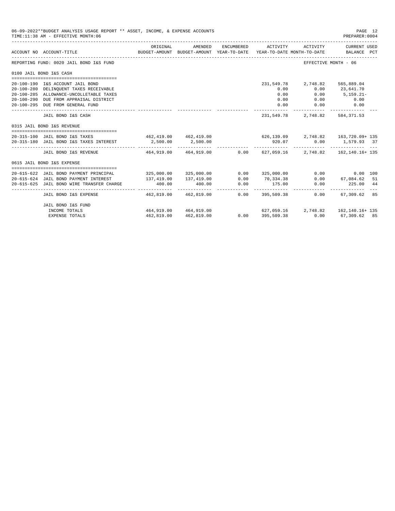| 06-09-2022**BUDGET ANALYSIS USAGE REPORT ** ASSET, INCOME, & EXPENSE ACCOUNTS<br>TIME: 11:38 AM - EFFECTIVE MONTH: 06 |             |                            |            |                    |                                | PAGE 12<br>PREPARER: 0004                                                                       |
|-----------------------------------------------------------------------------------------------------------------------|-------------|----------------------------|------------|--------------------|--------------------------------|-------------------------------------------------------------------------------------------------|
| ACCOUNT NO ACCOUNT-TITLE                                                                                              | ORIGINAL    | AMENDED                    | ENCUMBERED |                    | ACTIVITY ACTIVITY              | CURRENT USED<br>BUDGET-AMOUNT BUDGET-AMOUNT YEAR-TO-DATE YEAR-TO-DATE MONTH-TO-DATE BALANCE PCT |
| REPORTING FUND: 0020 JAIL BOND I&S FUND                                                                               |             |                            |            |                    | EFFECTIVE MONTH - 06           |                                                                                                 |
| 0100 JAIL BOND I&S CASH                                                                                               |             |                            |            |                    |                                |                                                                                                 |
|                                                                                                                       |             |                            |            |                    |                                |                                                                                                 |
| 20-100-190 I&S ACCOUNT JAIL BOND                                                                                      |             |                            |            |                    | 231,549.78 2,748.82 565,889.04 |                                                                                                 |
| 20-100-280 DELINQUENT TAXES RECEIVABLE<br>20-100-285 ALLOWANCE-UNCOLLETABLE TAXES                                     |             |                            |            | 0.00<br>0.00       | 0.00<br>0.00                   | 23,641.70<br>$5,159.21-$                                                                        |
| 20-100-290 DUE FROM APPRAISAL DISTRICT                                                                                |             |                            |            | 0.00               |                                |                                                                                                 |
| 20-100-295 DUE FROM GENERAL FUND                                                                                      |             |                            |            | 0.00               | 0.00                           | $0.00$ 0.00<br>0.00                                                                             |
|                                                                                                                       |             |                            |            |                    |                                |                                                                                                 |
| JAIL BOND I&S CASH                                                                                                    |             |                            |            | 231,549.78         |                                | 2,748.82 584,371.53                                                                             |
| 0315 JAIL BOND I&S REVENUE                                                                                            |             |                            |            |                    |                                |                                                                                                 |
| 20-315-100 JAIL BOND I&S TAXES 462, 419.00 462, 419.00 626, 139.09 2, 748.82 163, 720.09 + 135                        |             |                            |            |                    |                                |                                                                                                 |
| 20-315-180 JAIL BOND I&S TAXES INTEREST 2,500.00 2,500.00                                                             |             |                            |            | 920.07             |                                | $0.00$ 1,579.93 37                                                                              |
|                                                                                                                       |             |                            |            |                    |                                |                                                                                                 |
| JAIL BOND I&S REVENUE 464.919.00 464.919.00                                                                           |             |                            |            |                    |                                | $0.00$ 627,059.16 2,748.82 162,140.16+135                                                       |
| 0615 JAIL BOND I&S EXPENSE                                                                                            |             |                            |            |                    |                                |                                                                                                 |
|                                                                                                                       |             |                            |            |                    |                                |                                                                                                 |
| 20-615-622 JAIL BOND PAYMENT PRINCIPAL                                                                                |             | 325,000.00 325,000.00      |            |                    |                                | $0.00$ 325,000.00 0.00 0.00 100                                                                 |
| 20-615-624 JAIL BOND PAYMENT INTEREST                                                                                 | 137, 419.00 | 137,419.00                 |            | $0.00$ $70,334.38$ |                                | $0.00$ 67,084.62 51                                                                             |
| 20-615-625 JAIL BOND WIRE TRANSFER CHARGE                                                                             | 400.00      | 400.00<br>---------------- | 0.00       | 175.00             | 0.00                           | 225.00 44                                                                                       |
| JAIL BOND I&S EXPENSE                                                                                                 |             | 462.819.00 462.819.00      |            | $0.00$ 395,509.38  | 0.00                           | 67,309.62 85                                                                                    |
| JAIL BOND I&S FUND                                                                                                    |             |                            |            |                    |                                |                                                                                                 |
| INCOME TOTALS                                                                                                         |             |                            |            |                    |                                | 464,919.00 464,919.00 627,059.16 2,748.82 162,140.16+135                                        |
| <b>EXPENSE TOTALS</b>                                                                                                 | 462,819.00  | 462,819.00                 |            |                    |                                | $0.00$ $395,509.38$ $0.00$ $67,309.62$ $85$                                                     |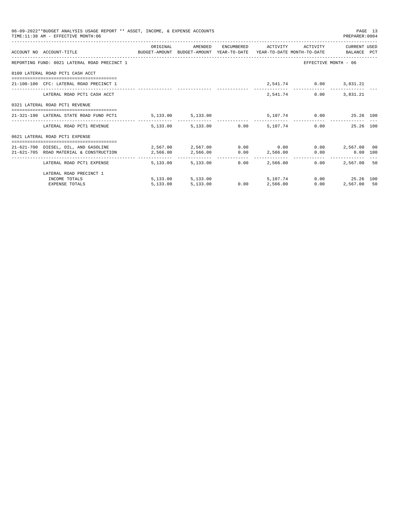| 06-09-2022**BUDGET ANALYSIS USAGE REPORT ** ASSET, INCOME, & EXPENSE ACCOUNTS<br>TIME: 11:38 AM - EFFECTIVE MONTH: 06     |                                                     |                   |                                  |                        | PAGE 13<br>PREPARER:0004 |    |
|---------------------------------------------------------------------------------------------------------------------------|-----------------------------------------------------|-------------------|----------------------------------|------------------------|--------------------------|----|
|                                                                                                                           | ORIGINAL                                            | AMENDED           | ENCUMBERED ACTIVITY              |                        | ACTIVITY CURRENT USED    |    |
| ACCOUNT NO ACCOUNT-TITLE COMPUTE BUDGET-AMOUNT BUDGET-AMOUNT YEAR-TO-DATE YEAR-TO-DATE MONTH-TO-DATE BALANCE PCT          |                                                     |                   |                                  |                        |                          |    |
| REPORTING FUND: 0021 LATERAL ROAD PRECINCT 1                                                                              |                                                     |                   |                                  | EFFECTIVE MONTH - 06   |                          |    |
| 0100 LATERAL ROAD PCT1 CASH ACCT                                                                                          |                                                     |                   |                                  |                        |                          |    |
| 21-100-100 CFC: LATERAL ROAD PRECINCT 1                                                                                   |                                                     |                   |                                  | 2,541.74 0.00 3,831.21 |                          |    |
| LATERAL ROAD PCT1 CASH ACCT                                                                                               |                                                     |                   | 2,541.74                         |                        | $0.00$ $3.831.21$        |    |
| 0321 LATERAL ROAD PCT1 REVENUE                                                                                            |                                                     |                   |                                  |                        |                          |    |
| =====================================<br>21-321-190 LATERAL STATE ROAD FUND PCT1                                          | $5,133.00$ $5,133.00$ $5,107.74$ $0.00$ $25.26$ 100 |                   |                                  |                        | -------------            |    |
| LATERAL ROAD PCT1 REVENUE $\qquad \qquad 5.133.00$ $\qquad \qquad 5.133.00$ $\qquad \qquad 0.00$ $\qquad \qquad 5.107.74$ |                                                     |                   |                                  |                        | $0.00$ 25.26 100         |    |
| 0621 LATERAL ROAD PCT1 EXPENSE                                                                                            |                                                     |                   |                                  |                        |                          |    |
| 21-621-700 DIESEL, OIL, AND GASOLINE $2,567.00$ $2,567.00$ $0.00$ 0.00 0.00 $2,567.00$ 0.00                               |                                                     |                   |                                  |                        |                          |    |
| 21-621-705 ROAD MATERIAL & CONSTRUCTION 2,566.00                                                                          |                                                     |                   | 2,566.00 0.00 2,566.00           |                        | $0.00$ $0.00$ $100$      |    |
| LATERAL ROAD PCT1 EXPENSE                                                                                                 | 5,133,00                                            | 5,133,00          | ---------------<br>0.00 2.566.00 | -------------<br>0.00  | 2,567.00                 | 50 |
| LATERAL ROAD PRECINCT 1                                                                                                   |                                                     |                   |                                  |                        |                          |    |
| INCOME TOTALS                                                                                                             |                                                     | 5,133.00 5,133.00 | 5,107,74                         |                        | 0.00 25.26 100           |    |
| <b>EXPENSE TOTALS</b>                                                                                                     | 5.133.00                                            | 5,133.00          | 0.00 2,566.00                    | 0.00                   | 2,567.00 50              |    |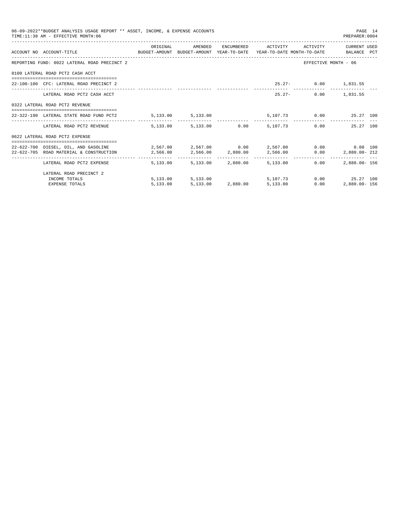| 06-09-2022**BUDGET ANALYSIS USAGE REPORT ** ASSET, INCOME, & EXPENSE ACCOUNTS<br>TIME: 11:38 AM - EFFECTIVE MONTH: 06 |          |                   |                   |                                                     |                      | PAGE 14<br>PREPARER: 0004          |  |
|-----------------------------------------------------------------------------------------------------------------------|----------|-------------------|-------------------|-----------------------------------------------------|----------------------|------------------------------------|--|
| ACCOUNT NO ACCOUNT-TITLE CONTROL SUDGET-AMOUNT BUDGET-AMOUNT YEAR-TO-DATE YEAR-TO-DATE MONTH-TO-DATE BALANCE PCT      | ORIGINAL | AMENDED           |                   | ENCUMBERED ACTIVITY                                 |                      | ACTIVITY CURRENT USED              |  |
| REPORTING FUND: 0022 LATERAL ROAD PRECINCT 2                                                                          |          |                   |                   |                                                     | EFFECTIVE MONTH - 06 |                                    |  |
| 0100 LATERAL ROAD PCT2 CASH ACCT                                                                                      |          |                   |                   |                                                     |                      |                                    |  |
| 22-100-100 CFC: LATERAL ROAD PRECINCT 2                                                                               |          |                   |                   |                                                     | 25.27- 0.00 1,831.55 |                                    |  |
| LATERAL ROAD PCT2 CASH ACCT                                                                                           |          |                   |                   | $25.27 -$                                           |                      | $0.00$ 1,831.55                    |  |
| 0322 LATERAL ROAD PCT2 REVENUE                                                                                        |          |                   |                   |                                                     |                      |                                    |  |
| ====================================<br>22-322-190 LATERAL STATE ROAD FUND PCT2                                       |          |                   |                   | $5,133.00$ $5,133.00$ $5,107.73$ $0.00$ $25.27$ 100 |                      |                                    |  |
| LATERAL ROAD PCT2 REVENUE 5.133.00 5.133.00 0.00 5.107.73                                                             |          |                   |                   |                                                     |                      | -------------<br>25.27 100<br>0.00 |  |
| 0622 LATERAL ROAD PCT2 EXPENSE                                                                                        |          |                   |                   |                                                     |                      |                                    |  |
| 22-622-700 DIESEL, OIL, AND GASOLINE $2,567.00$ $2,567.00$ $0.00$ $2,567.00$ $0.00$ $0.00$ $0.00$ $0.00$              |          |                   |                   |                                                     |                      |                                    |  |
| 22-622-705 ROAD MATERIAL & CONSTRUCTION 2,566.00 2,566.00 2,880.00                                                    |          |                   |                   |                                                     |                      | 2,566.00   0.00   2,880.00   212   |  |
| LATERAL ROAD PCT2 EXPENSE                                                                                             | 5,133.00 |                   | 5,133.00 2,880.00 | 5, 133, 00                                          | 0.00                 | $2.880.00 - 156$                   |  |
| LATERAL ROAD PRECINCT 2                                                                                               |          |                   |                   |                                                     |                      |                                    |  |
| INCOME TOTALS                                                                                                         |          | 5,133.00 5,133.00 |                   | 5,107.73                                            |                      | $0.00$ 25.27 100                   |  |
| <b>EXPENSE TOTALS</b>                                                                                                 | 5.133.00 |                   |                   | $5.133.00$ $2.880.00$ $5.133.00$                    | 0.00                 | 2,880.00- 156                      |  |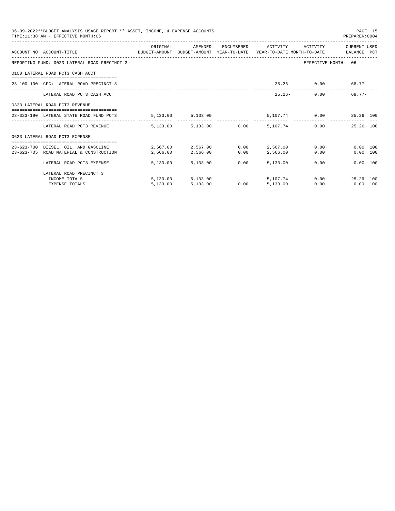| 06-09-2022**BUDGET ANALYSIS USAGE REPORT ** ASSET, INCOME, & EXPENSE ACCOUNTS<br>TIME: 11:38 AM - EFFECTIVE MONTH: 06     |                     |                   |      |                     |                         | PAGE 15<br>PREPARER:0004 |  |
|---------------------------------------------------------------------------------------------------------------------------|---------------------|-------------------|------|---------------------|-------------------------|--------------------------|--|
|                                                                                                                           | ORIGINAL            | AMENDED           |      | ENCUMBERED ACTIVITY |                         | ACTIVITY CURRENT USED    |  |
| ACCOUNT NO ACCOUNT-TITLE COMPUTE BUDGET-AMOUNT BUDGET-AMOUNT YEAR-TO-DATE YEAR-TO-DATE MONTH-TO-DATE BALANCE PCT          |                     |                   |      |                     |                         |                          |  |
| REPORTING FUND: 0023 LATERAL ROAD PRECINCT 3                                                                              |                     |                   |      |                     | EFFECTIVE MONTH - 06    |                          |  |
| 0100 LATERAL ROAD PCT3 CASH ACCT                                                                                          |                     |                   |      |                     |                         |                          |  |
| 23-100-100 CFC: LATERAL ROAD PRECINCT 3                                                                                   |                     |                   |      |                     | $25.26 - 0.00$          | 68.77-                   |  |
| LATERAL ROAD PCT3 CASH ACCT                                                                                               |                     |                   |      | $25.26 -$           | $0.00$ and $0.00$       | $68.77 -$                |  |
| 0323 LATERAL ROAD PCT3 REVENUE                                                                                            |                     |                   |      |                     |                         |                          |  |
| 23-323-190 LATERAL STATE ROAD FUND PCT3                                                                                   | 5, 133.00 5, 133.00 |                   |      |                     | 5,107.74 0.00 25.26 100 |                          |  |
| LATERAL ROAD PCT3 REVENUE $\qquad \qquad 5.133.00$ $\qquad \qquad 5.133.00$ $\qquad \qquad 0.00$ $\qquad \qquad 5.107.74$ |                     |                   |      |                     | 0.00                    | 25.26 100                |  |
| 0623 LATERAL ROAD PCT3 EXPENSE                                                                                            |                     |                   |      |                     |                         |                          |  |
| 23-623-700 DIESEL. OIL. AND GASOLINE $2.567.00$ $2.567.00$ $0.00$ $2.567.00$ $0.00$                                       |                     |                   |      |                     |                         | 0.00 100                 |  |
| $23-623-705$ ROAD MATERIAL & CONSTRUCTION $2,566.00$ $2,566.00$ $0.00$ $2,566.00$ $0.00$                                  |                     |                   |      |                     |                         | 0.00 100                 |  |
| LATERAL ROAD PCT3 EXPENSE                                                                                                 | 5,133.00            | 5,133,00          | 0.00 | 5,133,00            | $0.00$ and $0.00$       | $0.00$ 100               |  |
| LATERAL ROAD PRECINCT 3                                                                                                   |                     |                   |      |                     |                         |                          |  |
| INCOME TOTALS                                                                                                             |                     | 5,133.00 5,133.00 |      | 5,107,74            | 0.00                    | 25.26 100                |  |
| <b>EXPENSE TOTALS</b>                                                                                                     | 5.133.00            | 5,133.00          | 0.00 | 5,133.00            | 0.00                    | $0.00$ 100               |  |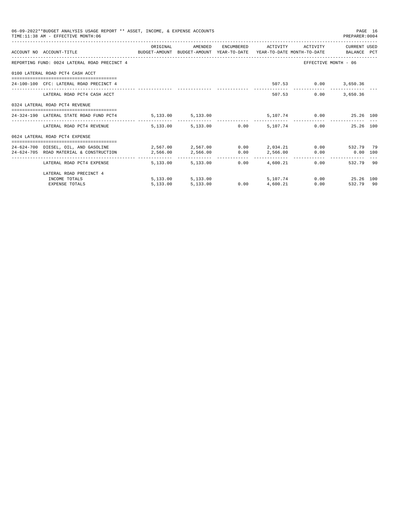| 06-09-2022**BUDGET ANALYSIS USAGE REPORT ** ASSET, INCOME, & EXPENSE ACCOUNTS<br>PAGE 16<br>TIME: 11:38 AM - EFFECTIVE MONTH: 06<br>PREPARER: 0004 |                                                                                                                                                         |                     |                   |  |                     |                         |                                       |  |  |
|----------------------------------------------------------------------------------------------------------------------------------------------------|---------------------------------------------------------------------------------------------------------------------------------------------------------|---------------------|-------------------|--|---------------------|-------------------------|---------------------------------------|--|--|
|                                                                                                                                                    | ACCOUNT NO ACCOUNT-TITLE COMPUTE THE SUDGET-AMOUNT BUDGET-AMOUNT YEAR-TO-DATE YEAR-TO-DATE MONTH-TO-DATE BALANCE PCT                                    | ORIGINAL            | AMENDED           |  | ENCUMBERED ACTIVITY |                         | ACTIVITY CURRENT USED                 |  |  |
|                                                                                                                                                    | REPORTING FUND: 0024 LATERAL ROAD PRECINCT 4                                                                                                            |                     |                   |  |                     |                         | EFFECTIVE MONTH - 06                  |  |  |
|                                                                                                                                                    | 0100 LATERAL ROAD PCT4 CASH ACCT                                                                                                                        |                     |                   |  |                     |                         |                                       |  |  |
|                                                                                                                                                    | 24-100-100 CFC: LATERAL ROAD PRECINCT 4                                                                                                                 |                     |                   |  |                     | 507.53 0.00 3,650.36    |                                       |  |  |
|                                                                                                                                                    | LATERAL ROAD PCT4 CASH ACCT                                                                                                                             |                     |                   |  |                     | 507.53 0.00 3.650.36    |                                       |  |  |
|                                                                                                                                                    | 0324 LATERAL ROAD PCT4 REVENUE                                                                                                                          |                     |                   |  |                     |                         |                                       |  |  |
|                                                                                                                                                    | .=====================================<br>24-324-190 LATERAL STATE ROAD FUND PCT4                                                                       | 5, 133.00 5, 133.00 |                   |  |                     | 5,107.74 0.00 25.26 100 |                                       |  |  |
|                                                                                                                                                    | LATERAL ROAD PCT4 REVENUE 5.133.00 5.133.00 0.00 5.107.74                                                                                               |                     |                   |  |                     |                         | 0.00<br>25.26 100                     |  |  |
|                                                                                                                                                    | 0624 LATERAL ROAD PCT4 EXPENSE                                                                                                                          |                     |                   |  |                     |                         |                                       |  |  |
|                                                                                                                                                    | 24-624-700 DIESEL, OIL, AND GASOLINE $2.567.00$ $2.567.00$ $0.00$ $2.034.21$<br>24-624-705 ROAD MATERIAL & CONSTRUCTION 2,566.00 2,566.00 0.00 2,566.00 |                     |                   |  |                     |                         | 0.00 532.79 79<br>$0.00$ $0.00$ $100$ |  |  |
|                                                                                                                                                    | LATERAL ROAD PCT4 EXPENSE                                                                                                                               | 5,133,00            | 5,133.00          |  | $0.00$ 4,600.21     | 0.00                    | 532.79 90                             |  |  |
|                                                                                                                                                    | LATERAL ROAD PRECINCT 4                                                                                                                                 |                     |                   |  |                     |                         |                                       |  |  |
|                                                                                                                                                    | INCOME TOTALS                                                                                                                                           |                     | 5,133.00 5,133.00 |  | 5,107.74            |                         | 0.00 25.26 100                        |  |  |
|                                                                                                                                                    | <b>EXPENSE TOTALS</b>                                                                                                                                   | 5.133.00            | 5,133.00          |  | $0.00$ $4.600.21$   | 0.00                    | 532.79 90                             |  |  |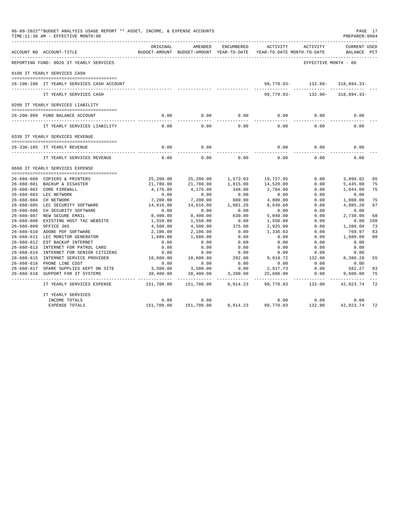|                  | 06-09-2022**BUDGET ANALYSIS USAGE REPORT ** ASSET, INCOME, & EXPENSE ACCOUNTS<br>TIME:11:38 AM - EFFECTIVE MONTH:06 |                     |                                                     |            |                                        |                      | PAGE 17<br>PREPARER: 0004          |                |
|------------------|---------------------------------------------------------------------------------------------------------------------|---------------------|-----------------------------------------------------|------------|----------------------------------------|----------------------|------------------------------------|----------------|
|                  | ACCOUNT NO ACCOUNT-TITLE<br>______________________________________                                                  | ORIGINAL            | AMENDED<br>BUDGET-AMOUNT BUDGET-AMOUNT YEAR-TO-DATE | ENCUMBERED | ACTIVITY<br>YEAR-TO-DATE MONTH-TO-DATE | ACTIVITY             | <b>CURRENT USED</b><br>BALANCE PCT |                |
|                  | REPORTING FUND: 0026 IT YEARLY SERVICES                                                                             |                     |                                                     |            |                                        | EFFECTIVE MONTH - 06 |                                    |                |
|                  | 0100 IT YEARLY SERVICES CASH                                                                                        |                     |                                                     |            |                                        |                      |                                    |                |
|                  | 26-100-100 IT YEARLY SERVICES CASH ACCOUNT                                                                          |                     |                                                     |            | 99,770.03-                             | $132.00 -$           | 318,894.33-                        |                |
|                  |                                                                                                                     |                     |                                                     |            |                                        |                      |                                    |                |
|                  | IT YEARLY SERVICES CASH                                                                                             |                     |                                                     |            | $99,770.03 -$                          | $132.00 -$           | $318,894.33-$                      |                |
|                  | 0200 IT YEARLY SERVICES LIABILITY                                                                                   |                     |                                                     |            |                                        |                      |                                    |                |
|                  | 26-200-999 FUND BALANCE ACCOUNT                                                                                     | 0.00                | 0.00                                                | 0.00       | 0.00                                   | 0.00                 | 0.00                               |                |
|                  | IT YEARLY SERVICES LIABILITY                                                                                        | 0.00                | 0.00                                                | 0.00       | 0.00                                   | 0.00                 | 0.00                               |                |
|                  | 0330 IT YEARLY SERVICES REVENUE                                                                                     |                     |                                                     |            |                                        |                      |                                    |                |
|                  |                                                                                                                     |                     |                                                     |            |                                        |                      |                                    |                |
|                  | 26-330-185 IT YEARLY REVENUE                                                                                        | 0.00<br>$- - - - -$ | 0.00<br>$- - - - -$                                 |            | 0.00                                   | 0.00                 | 0.00                               |                |
|                  | IT YEARLY SERVICES REVENUE                                                                                          | 0.00                | 0.00                                                | 0.00       | 0.00                                   | 0.00                 | 0.00                               |                |
|                  | 0660 IT YEARLY SERVICES EXPENSE                                                                                     |                     |                                                     |            |                                        |                      |                                    |                |
|                  | 26-660-600 COPIERS & PRINTERS                                                                                       | 25,200.00           | 25,200.00                                           | 1,573.03   | 19,727.95                              | 0.00                 | 3,899.02                           | 85             |
|                  | 26-660-601 BACKUP & DISASTER                                                                                        | 21,780.00           | 21,780.00                                           | 1,815.00   | 14,520.00                              | 0.00                 | 5,445.00                           | 75             |
|                  | 26-660-602 CORE FIREWALL                                                                                            | 4,176.00            | 4,176.00                                            | 348.00     | 2,784.00                               | 0.00                 | 1,044.00                           | 75             |
|                  | 26-660-603 LEC NETWORK                                                                                              | 0.00                | 0.00                                                | 0.00       | 0.00                                   | 0.00                 | 0.00                               |                |
|                  | 26-660-604 CH NETWORK                                                                                               | 7,200.00            | 7,200.00                                            | 600.00     | 4,800.00                               | 0.00                 | 1,800.00                           | 75             |
|                  | 26-660-605 LEC SECURITY SOFTWARE                                                                                    | 14,616.00           | 14,616.00                                           | 1,081.20   | 8,649.60                               | 0.00                 | 4,885.20                           | 67             |
|                  | 26-660-606 CH SECURITY SOFTWARE                                                                                     | 0.00                | 0.00                                                | 0.00       | 0.00                                   | 0.00                 | 0.00                               |                |
|                  | 26-660-607 NEW SECURE EMAIL                                                                                         | 8.400.00            | 8,400.00                                            | 630.00     | 5,040.00                               | 0.00                 | 2,730.00                           | 68             |
|                  | 26-660-608 EXISTING HOST TAC WEBSITE                                                                                | 1,550.00            | 1,550.00                                            | 0.00       | 1,550.00                               | 0.00                 | 0.00                               | 100            |
| $26 - 660 - 609$ | OFFICE 365                                                                                                          | 4,500.00            | 4,500.00                                            | 375.00     | 2,925.00                               | 0.00                 | 1,200.00                           | 73             |
| 26-660-610       | ADOBE PDF SOFTWARE                                                                                                  | 2,106.00            | 2,106.00                                            | 0.00       | 1,336.03                               | 0.00                 | 769.97                             | 63             |
|                  | 26-660-611 LEC MONITOR GENERATOR                                                                                    | 1,680.00            | 1,680.00                                            | 0.00       | 0.00                                   | 0.00                 | 1,680.00                           | 0 <sub>0</sub> |
|                  | 26-660-612 EST BACKUP INTERNET                                                                                      | 0.00                | 0.00                                                | 0.00       | 0.00                                   | 0.00                 | 0.00                               |                |
| 26-660-613       | INTERNET FOR PATROL CARS                                                                                            | 0.00                | 0.00                                                | 0.00       | 0.00                                   | 0.00                 | 0.00                               |                |
|                  | 26-660-614 INTERNET FOR SENIOR CITIZENS                                                                             | 0.00                | 0.00                                                | 0.00       | 0.00                                   | 0.00                 | 0.00                               |                |
|                  | 26-660-615 INTERNET SERVICE PROVIDER                                                                                | 18,600.00           | 18,600.00                                           | 292.00     | 9,919.72                               | 132.00               | 8,388.28                           | 55             |
|                  | 26-660-616 PHONE LINE COST                                                                                          | 0.00                | 0.00                                                | 0.00       | 0.00                                   | 0.00                 | 0.00                               |                |
|                  | 26-660-617 SPARE SUPPLIES KEPT ON SITE                                                                              | 3,500.00            | 3,500.00                                            | 0.00       | 2,917.73                               | 0.00                 | 582.27                             | 83             |
| $26 - 660 - 618$ | SUPPORT FOR IT SYSTEMS                                                                                              | 38,400.00           | 38,400.00                                           | 3,200.00   | 25,600.00                              | 0.00                 | 9,600.00                           | 75             |
|                  | IT YEARLY SERVICES EXPENSE                                                                                          | 151,708.00          | 151,708.00                                          | 9,914.23   | 99,770.03                              | 132.00               | 42,023.74                          | 72             |
|                  | IT YEARLY SERVICES                                                                                                  |                     |                                                     |            |                                        |                      |                                    |                |
|                  | INCOME TOTALS                                                                                                       | 0.00                | 0.00                                                |            | 0.00                                   | 0.00                 | 0.00                               |                |
|                  | <b>EXPENSE TOTALS</b>                                                                                               | 151,708.00          | 151,708.00                                          | 9,914.23   | 99,770.03                              | 132.00               | 42,023.74                          | 72             |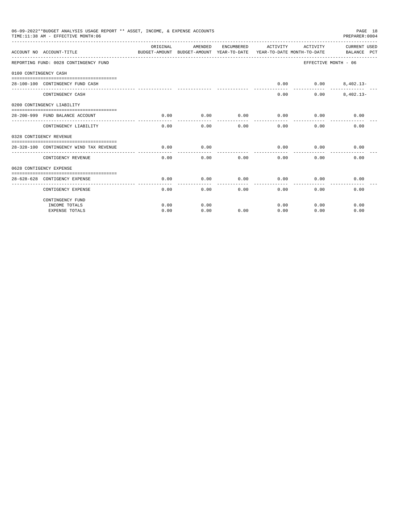|                       | 06-09-2022**BUDGET ANALYSIS USAGE REPORT ** ASSET, INCOME, & EXPENSE ACCOUNTS<br>TIME: 11:38 AM - EFFECTIVE MONTH: 06 |           |         |      |                              |                      | PAGE 18<br>PREPARER: 0004   |
|-----------------------|-----------------------------------------------------------------------------------------------------------------------|-----------|---------|------|------------------------------|----------------------|-----------------------------|
|                       | ACCOUNT NO ACCOUNT-TITLE<br>BUDGET-AMOUNT BUDGET-AMOUNT YEAR-TO-DATE YEAR-TO-DATE MONTH-TO-DATE                       | OR TGTNAL | AMENDED |      | ENCUMBERED ACTIVITY ACTIVITY |                      | CURRENT USED<br>BALANCE PCT |
|                       | REPORTING FUND: 0028 CONTINGENCY FUND                                                                                 |           |         |      |                              | EFFECTIVE MONTH - 06 |                             |
| 0100 CONTINGENCY CASH |                                                                                                                       |           |         |      |                              |                      |                             |
|                       | 28-100-100 CONTINGENCY FUND CASH                                                                                      |           |         |      | 0.00                         |                      | $0.00$ $8,402.13-$          |
|                       | CONTINGENCY CASH                                                                                                      |           |         |      | $- - - - -$<br>0.00          | 0.00                 | $8.402.13 -$                |
|                       | 0200 CONTINGENCY LIABILITY                                                                                            |           |         |      |                              |                      |                             |
|                       | 28-200-999 FUND BALANCE ACCOUNT                                                                                       | 0.00      | 0.00    | 0.00 | 0.00                         | 0.00                 | 0.00                        |
|                       | CONTINGENCY LIABILITY                                                                                                 | 0.00      | 0.00    | 0.00 | 0.00                         | 0.00                 | 0.00                        |
|                       | 0328 CONTIGENCY REVENUE                                                                                               |           |         |      |                              |                      |                             |
|                       | 28-328-100 CONTINGENCY WIND TAX REVENUE                                                                               | 0.00      | 0.00    |      | 0.00                         | 0.00                 | 0.00                        |
|                       | CONTIGENCY REVENUE                                                                                                    | 0.00      | 0.00    | 0.00 | 0.00                         | 0.00                 | 0.00                        |
|                       | 0628 CONTIGENCY EXPENSE                                                                                               |           |         |      |                              |                      |                             |
|                       | 28-628-628 CONTIGENCY EXPENSE<br>____________________                                                                 | 0.00      | 0.00    | 0.00 | 0.00                         | 0.00                 | 0.00                        |
|                       | CONTIGENCY EXPENSE                                                                                                    | 0.00      | 0.00    | 0.00 | 0.00                         | 0.00                 | 0.00                        |
|                       | CONTINGENCY FUND                                                                                                      |           |         |      |                              |                      |                             |
|                       | INCOME TOTALS                                                                                                         | 0.00      | 0.00    |      | 0.00                         | 0.00                 | 0.00                        |
|                       | <b>EXPENSE TOTALS</b>                                                                                                 | 0.00      | 0.00    | 0.00 | 0.00                         | 0.00                 | 0.00                        |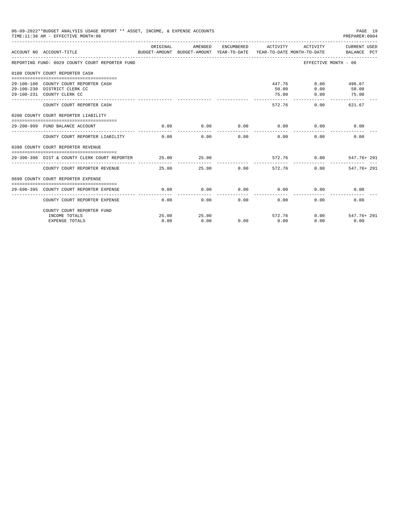| 06-09-2022**BUDGET ANALYSIS USAGE REPORT ** ASSET, INCOME, & EXPENSE ACCOUNTS<br>PAGE 19<br>TIME: 11:38 AM - EFFECTIVE MONTH: 06<br>PREPARER:0004<br>---------------------- |                                                                                                     |               |                  |            |                        |                        |                                                                                                     |  |  |
|-----------------------------------------------------------------------------------------------------------------------------------------------------------------------------|-----------------------------------------------------------------------------------------------------|---------------|------------------|------------|------------------------|------------------------|-----------------------------------------------------------------------------------------------------|--|--|
|                                                                                                                                                                             | ACCOUNT NO ACCOUNT-TITLE                                                                            | ORIGINAL      | AMENDED          | ENCUMBERED | ACTIVITY               | ACTIVITY               | CURRENT USED<br>BUDGET-AMOUNT BUDGET-AMOUNT YEAR-TO-DATE YEAR-TO-DATE MONTH-TO-DATE     BALANCE PCT |  |  |
|                                                                                                                                                                             | REPORTING FUND: 0029 COUNTY COURT REPORTER FUND                                                     |               |                  |            |                        | EFFECTIVE MONTH - 06   |                                                                                                     |  |  |
|                                                                                                                                                                             | 0100 COUNTY COURT REPORTER CASH                                                                     |               |                  |            |                        |                        |                                                                                                     |  |  |
|                                                                                                                                                                             | 29-100-100 COUNTY COURT REPORTER CASH<br>29-100-230 DISTRICT CLERK CC<br>29-100-231 COUNTY CLERK CC |               |                  |            | 50.00<br>75.00         | 447.76<br>0.00<br>0.00 | $0.00$ 496.67<br>50.00<br>75.00                                                                     |  |  |
|                                                                                                                                                                             | COUNTY COURT REPORTER CASH                                                                          |               |                  |            | ------------<br>572.76 | $0.00 -$               | 621.67                                                                                              |  |  |
|                                                                                                                                                                             | 0200 COUNTY COURT REPORTER LIABILITY                                                                |               |                  |            |                        |                        |                                                                                                     |  |  |
|                                                                                                                                                                             | 29-200-999 FUND BALANCE ACCOUNT                                                                     | 0.00          | 0.00             | 0.00       | 0.00                   | 0.00                   | 0.00                                                                                                |  |  |
|                                                                                                                                                                             | COUNTY COURT REPORTER LIABILITY                                                                     | 0.00          | 0.00             | 0.00       | 0.00                   | 0.00                   | 0.00                                                                                                |  |  |
|                                                                                                                                                                             | 0390 COUNTY COURT REPORTER REVENUE                                                                  |               |                  |            |                        |                        |                                                                                                     |  |  |
|                                                                                                                                                                             | 29-390-390 DIST & COUNTY CLERK COURT REPORTER                                                       | 25.00         | 25.00<br>------- |            |                        | 572.76 0.00            | 547.76+ 291                                                                                         |  |  |
|                                                                                                                                                                             | COUNTY COURT REPORTER REVENUE                                                                       | 25.00         |                  | 25.00      | 0.00<br>572.76         | 0.00                   | 547.76+ 291                                                                                         |  |  |
|                                                                                                                                                                             | 0690 COUNTY COURT REPORTER EXPENSE                                                                  |               |                  |            |                        |                        |                                                                                                     |  |  |
|                                                                                                                                                                             | 29-690-395 COUNTY COURT REPORTER EXPENSE                                                            | 0.00          | 0.00             | 0.00       | 0.00                   | 0.00                   | 0.00                                                                                                |  |  |
|                                                                                                                                                                             | COUNTY COURT REPORTER EXPENSE                                                                       | 0.00          |                  | 0.00       | $0.00$ and $0.00$      | 0.00<br>0.00           | 0.00                                                                                                |  |  |
|                                                                                                                                                                             | COUNTY COURT REPORTER FUND                                                                          |               |                  |            |                        |                        |                                                                                                     |  |  |
|                                                                                                                                                                             | INCOME TOTALS<br><b>EXPENSE TOTALS</b>                                                              | 25.00<br>0.00 | 25.00<br>0.00    |            | 572.76<br>$0.00$ 0.00  | 0.00<br>0.00           | 547.76+ 291<br>0.00                                                                                 |  |  |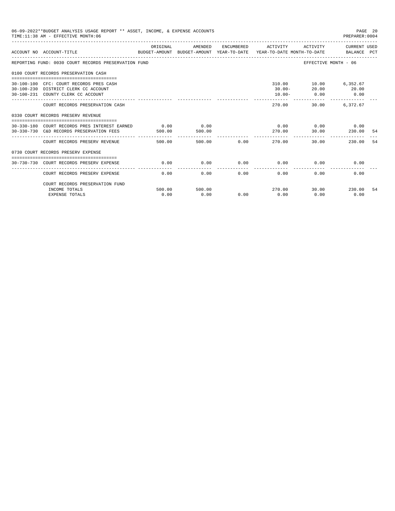| 06-09-2022**BUDGET ANALYSIS USAGE REPORT ** ASSET, INCOME, & EXPENSE ACCOUNTS<br>PAGE 20<br>TIME: 11:38 AM - EFFECTIVE MONTH: 06<br>PREPARER: 0004 |                                                                                                             |          |         |             |                           |                             |                                           |     |  |
|----------------------------------------------------------------------------------------------------------------------------------------------------|-------------------------------------------------------------------------------------------------------------|----------|---------|-------------|---------------------------|-----------------------------|-------------------------------------------|-----|--|
|                                                                                                                                                    | BUDGET-AMOUNT BUDGET-AMOUNT YEAR-TO-DATE YEAR-TO-DATE MONTH-TO-DATE BALANCE PCT<br>ACCOUNT NO ACCOUNT-TITLE | ORIGINAL | AMENDED |             | ENCUMBERED ACTIVITY       |                             | ACTIVITY CURRENT USED                     |     |  |
|                                                                                                                                                    | REPORTING FUND: 0030 COURT RECORDS PRESERVATION FUND                                                        |          |         |             |                           | EFFECTIVE MONTH - 06        |                                           |     |  |
|                                                                                                                                                    | 0100 COURT RECORDS PRESERVATION CASH                                                                        |          |         |             |                           |                             |                                           |     |  |
|                                                                                                                                                    | 30-100-100 CFC: COURT RECORDS PRES CASH                                                                     |          |         |             |                           | 310.00   10.00   6,352.67   |                                           |     |  |
|                                                                                                                                                    | 30-100-230 DISTRICT CLERK CC ACCOUNT                                                                        |          |         |             |                           | $30.00 - 20.00$ 20.00       |                                           |     |  |
|                                                                                                                                                    | 30-100-231 COUNTY CLERK CC ACCOUNT                                                                          |          |         |             |                           | $10.00 - 0.00$              | $\begin{array}{ccc} & & 0.00 \end{array}$ |     |  |
|                                                                                                                                                    | COURT RECORDS PRESERVATION CASH                                                                             |          |         |             | 270.00                    | --------------<br>30.00     | 6.372.67                                  |     |  |
|                                                                                                                                                    | 0330 COURT RECORDS PRESERV REVENUE                                                                          |          |         |             |                           |                             |                                           |     |  |
|                                                                                                                                                    | 30-330-180 COURT RECORDS PRES INTEREST EARNED 0.00 0.00 0.00                                                |          |         |             |                           | $0.00$ $0.00$ $0.00$ $0.00$ |                                           |     |  |
|                                                                                                                                                    | 30-330-730 C&D RECORDS PRESERVATION FEES                                                                    | 500.00   | 500.00  |             | 270.00                    | 30.00                       | 230.00                                    | -54 |  |
|                                                                                                                                                    | COURT RECORDS PRESERV REVENUE                                                                               | 500.00   |         | 500.00 0.00 | 270.00                    | 30.00                       | 230.00                                    | 54  |  |
|                                                                                                                                                    | 0730 COURT RECORDS PRESERV EXPENSE                                                                          |          |         |             |                           |                             |                                           |     |  |
|                                                                                                                                                    |                                                                                                             |          |         |             |                           |                             |                                           |     |  |
|                                                                                                                                                    | 30-730-730 COURT RECORDS PRESERV EXPENSE                                                                    | 0.00     | 0.00    |             | $0.00$ 0.00               | 0.00                        | 0.00                                      |     |  |
|                                                                                                                                                    | COURT RECORDS PRESERV EXPENSE                                                                               | 0.00     | 0.00    |             | $0.00$ and $0.00$<br>0.00 | 0.00                        | 0.00                                      |     |  |
|                                                                                                                                                    | COURT RECORDS PRESERVATION FUND                                                                             |          |         |             |                           |                             |                                           |     |  |
|                                                                                                                                                    | INCOME TOTALS                                                                                               | 500.00   | 500.00  |             | 270.00                    |                             | 30.00 230.00                              | 54  |  |
|                                                                                                                                                    | <b>EXPENSE TOTALS</b>                                                                                       | 0.00     | 0.00    | 0.00        | 0.00                      | 0.00                        | 0.00                                      |     |  |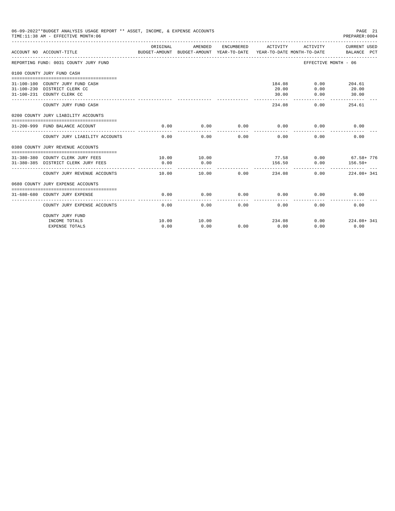| 06-09-2022**BUDGET ANALYSIS USAGE REPORT ** ASSET, INCOME, & EXPENSE ACCOUNTS<br>TIME:11:38 AM - EFFECTIVE MONTH:06 |          |         |            |             |                             | PAGE 21<br>PREPARER:0004    |
|---------------------------------------------------------------------------------------------------------------------|----------|---------|------------|-------------|-----------------------------|-----------------------------|
| ACCOUNT NO ACCOUNT-TITLE<br>BUDGET-AMOUNT BUDGET-AMOUNT YEAR-TO-DATE YEAR-TO-DATE MONTH-TO-DATE                     | ORIGINAL | AMENDED | ENCUMBERED | ACTIVITY    | ACTIVITY                    | CURRENT USED<br>BALANCE PCT |
| REPORTING FUND: 0031 COUNTY JURY FUND                                                                               |          |         |            |             | EFFECTIVE MONTH - 06        |                             |
| 0100 COUNTY JURY FUND CASH                                                                                          |          |         |            |             |                             |                             |
|                                                                                                                     |          |         |            |             |                             |                             |
| 31-100-100 COUNTY JURY FUND CASH                                                                                    |          |         |            |             | 184.08 0.00                 | 204.61                      |
| 31-100-230 DISTRICT CLERK CC                                                                                        |          |         |            | 20.00       | 0.00                        | 20.00                       |
| 31-100-231 COUNTY CLERK CC                                                                                          |          |         |            | 30.00       | 0.00                        | 30.00                       |
| COUNTY JURY FUND CASH                                                                                               |          |         |            | 234.08      | 0.00                        | 254.61                      |
| 0200 COUNTY JURY LIABILITY ACCOUNTS                                                                                 |          |         |            |             |                             |                             |
|                                                                                                                     |          |         |            |             |                             |                             |
| 31-200-999 FUND BALANCE ACCOUNT                                                                                     | 0.00     | 0.00    | 0.00       |             | $0.00$ 0.00                 | 0.00                        |
| COUNTY JURY LIABILITY ACCOUNTS                                                                                      | 0.00     | 0.00    | 0.00       | 0.00        | 0.00                        | 0.00                        |
| 0380 COUNTY JURY REVENUE ACCOUNTS                                                                                   |          |         |            |             |                             |                             |
|                                                                                                                     | 10.00    | 10.00   |            |             | $77.58$ 0.00 67.58+776      |                             |
| 31-380-380 COUNTY CLERK JURY FEES<br>31-380-385 DISTRICT CLERK JURY FEES                                            | 0.00     | 0.00    |            | 156.50      | 0.00                        | $156.50+$                   |
|                                                                                                                     |          |         |            | ___________ |                             | .                           |
| COUNTY JURY REVENUE ACCOUNTS                                                                                        | 10.00    | 10.00   | 0.00       | 234.08      | 0.00                        | 224.08+ 341                 |
| 0680 COUNTY JURY EXPENSE ACCOUNTS                                                                                   |          |         |            |             |                             |                             |
| 31-680-680 COUNTY JURY EXPENSE                                                                                      | 0.00     | 0.00    |            |             | $0.00$ $0.00$ $0.00$ $0.00$ | 0.00                        |
| COUNTY JURY EXPENSE ACCOUNTS                                                                                        | 0.00     | 0.00    | 0.00       | 0.00        | 0.00                        | 0.00                        |
| COUNTY JURY FUND                                                                                                    |          |         |            |             |                             |                             |
| INCOME TOTALS                                                                                                       | 10.00    | 10.00   |            | 234.08      | 0.00                        | 224.08+341                  |
| EXPENSE TOTALS                                                                                                      | 0.00     | 0.00    | 0.00       | 0.00        | 0.00                        | 0.00                        |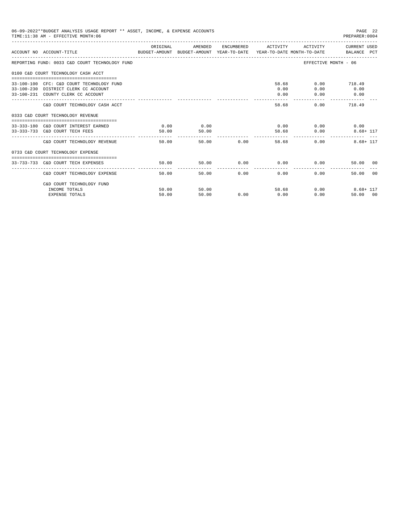| 06-09-2022**BUDGET ANALYSIS USAGE REPORT ** ASSET, INCOME, & EXPENSE ACCOUNTS<br>TIME: 11:38 AM - EFFECTIVE MONTH: 06   |          |               |               |                                   |                        | PAGE 22<br>PREPARER: 0004     |
|-------------------------------------------------------------------------------------------------------------------------|----------|---------------|---------------|-----------------------------------|------------------------|-------------------------------|
| ACCOUNT NO ACCOUNT-TITLE<br>BUDGET-AMOUNT BUDGET-AMOUNT YEAR-TO-DATE YEAR-TO-DATE MONTH-TO-DATE     BALANCE PCT         | ORIGINAL | AMENDED       |               | ENCUMBERED ACTIVITY               |                        | ACTIVITY CURRENT USED         |
| REPORTING FUND: 0033 C&D COURT TECHNOLOGY FUND                                                                          |          |               |               |                                   |                        | EFFECTIVE MONTH - 06          |
| 0100 C&D COURT TECHNOLOGY CASH ACCT                                                                                     |          |               |               |                                   |                        |                               |
| 33-100-100 CFC: C&D COURT TECHNOLOGY FUND<br>33-100-230 DISTRICT CLERK CC ACCOUNT<br>33-100-231 COUNTY CLERK CC ACCOUNT |          |               |               | 0.00<br>0.00<br>المتحدث بالمراجعة | 58.68<br>0.00<br>0.00  | $0.00$ 718.49<br>0.00<br>0.00 |
| C&D COURT TECHNOLOGY CASH ACCT                                                                                          |          |               |               | 58.68                             |                        | $0.00$ 718.49                 |
| 0333 C&D COURT TECHNOLOGY REVENUE                                                                                       |          |               |               |                                   |                        |                               |
| 33-333-180 C&D COURT INTEREST EARNED 0.00<br>33-333-733 C&D COURT TECH FEES                                             | 50.00    | 0.00<br>50.00 |               | .                                 | $0.00$ $0.00$<br>58.68 | 0.00<br>0.00<br>$8.68 + 117$  |
| C&D COURT TECHNOLOGY REVENUE                                                                                            | 50.00    |               | 50.00 0.00    |                                   | 58.68                  | $8.68 + 117$<br>0.00          |
| 0733 C&D COURT TECHNOLOGY EXPENSE                                                                                       |          |               |               |                                   |                        |                               |
| 33-733-733 C&D COURT TECH EXPENSES                                                                                      | 50.00    | 50.00         |               | $0.00$ $0.00$ $0.00$ $0.00$       |                        | 50.00 00                      |
| C&D COURT TECHNOLOGY EXPENSE                                                                                            | 50.00    |               | 50.00<br>0.00 | 0.00                              |                        | 0.00<br>00<br>50.00           |
| C&D COURT TECHNOLOGY FUND<br>INCOME TOTALS                                                                              | 50.00    | 50.00         |               |                                   | 58.68                  | 0.00<br>$8.68 + 117$          |
| <b>EXPENSE TOTALS</b>                                                                                                   | 50.00    | 50.00         | 0.00          | 0.00                              |                        | 0.00<br>50.00 00              |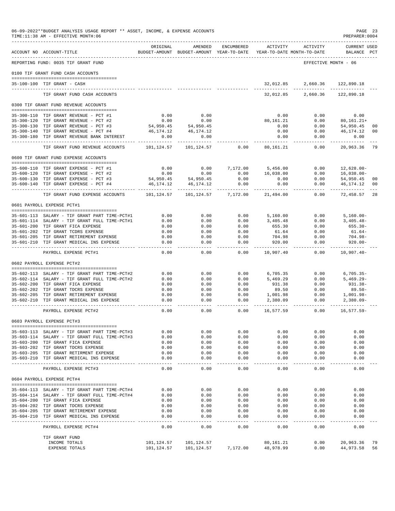|                  | 06-09-2022**BUDGET ANALYSIS USAGE REPORT ** ASSET, INCOME, & EXPENSE ACCOUNTS<br>TIME:11:38 AM - EFFECTIVE MONTH:06 |                          |                                                     |                       |                        |                                        | PREPARER: 0004            | PAGE 23        |
|------------------|---------------------------------------------------------------------------------------------------------------------|--------------------------|-----------------------------------------------------|-----------------------|------------------------|----------------------------------------|---------------------------|----------------|
|                  | ACCOUNT NO ACCOUNT-TITLE                                                                                            | ORIGINAL                 | AMENDED<br>BUDGET-AMOUNT BUDGET-AMOUNT YEAR-TO-DATE | ENCUMBERED            | ACTIVITY               | ACTIVITY<br>YEAR-TO-DATE MONTH-TO-DATE | CURRENT USED<br>BALANCE   | PCT            |
|                  | REPORTING FUND: 0035 TIF GRANT FUND                                                                                 |                          |                                                     |                       |                        |                                        | EFFECTIVE MONTH - 06      |                |
|                  | 0100 TIF GRANT FUND CASH ACCOUNTS                                                                                   |                          |                                                     |                       |                        |                                        |                           |                |
|                  |                                                                                                                     |                          |                                                     |                       |                        |                                        |                           |                |
|                  | 35-100-100 TIF GRANT - CASH                                                                                         |                          |                                                     |                       | 32,012.85              | 2,660.36                               | 122,890.18                |                |
|                  | TIF GRANT FUND CASH ACCOUNTS                                                                                        |                          |                                                     |                       | 32,012.85              | 2,660.36                               | 122,890.18                |                |
|                  | 0300 TIF GRANT FUND REVENUE ACCOUNTS                                                                                |                          |                                                     |                       |                        |                                        |                           |                |
|                  | 35-300-110 TIF GRANT REVENUE - PCT #1                                                                               | 0.00                     | 0.00                                                |                       | 0.00                   | 0.00                                   | 0.00                      |                |
|                  | 35-300-120 TIF GRANT REVENUE - PCT #2                                                                               | 0.00                     | 0.00                                                |                       | 80,161.21              | 0.00                                   | $80, 161.21+$             |                |
|                  | 35-300-130 TIF GRANT REVENUE - PCT #3                                                                               | 54,950.45                | 54,950.45                                           |                       | 0.00                   | 0.00                                   | 54,950.45                 | 00             |
|                  | 35-300-140 TIF GRANT REVENUE - PCT #4                                                                               | 46, 174. 12              | 46,174.12                                           |                       | 0.00                   | 0.00                                   | 46,174.12                 | 0 <sub>0</sub> |
| $35 - 300 - 180$ | TIF GRANT REVENUE BANK INTEREST                                                                                     | 0.00<br>.                | 0.00                                                |                       | 0.00<br>$\frac{1}{2}$  | 0.00<br>-----                          | 0.00<br>---------         |                |
|                  | TIF GRANT FUND REVENUE ACCOUNTS                                                                                     | 101,124.57               | 101,124.57                                          | 0.00                  | 80,161.21              | 0.00                                   | 20,963.36                 | 79             |
|                  | 0600 TIF GRANT FUND EXPENSE ACCOUNTS                                                                                |                          |                                                     |                       |                        |                                        |                           |                |
|                  | 35-600-110 TIF GRANT EXPENSE - PCT #1                                                                               | 0.00                     | 0.00                                                | 7,172.00              | 5,456.00               | 0.00                                   | $12,628.00 -$             |                |
|                  | 35-600-120 TIF GRANT EXPENSE - PCT #2                                                                               | 0.00                     | 0.00                                                | 0.00                  | 16,038.00              | 0.00                                   | $16,038.00-$              |                |
|                  | 35-600-130 TIF GRANT EXPENSE - PCT #3                                                                               | 54,950.45                | 54,950.45                                           | 0.00                  | 0.00                   | 0.00                                   | 54,950.45                 | 00             |
| $35 - 600 - 140$ | TIF GRANT EXPENSE - PCT #4                                                                                          | 46,174.12                | 46, 174. 12                                         | 0.00                  | 0.00                   | 0.00                                   | 46,174.12                 | 0 <sub>0</sub> |
|                  | TIF GRANT FUND EXPENSE ACCOUNTS                                                                                     | __________<br>101,124.57 | -----------<br>101,124.57                           | .<br>7,172.00         | ------<br>21,494.00    | -----<br>0.00                          | -----------<br>72,458.57  | 28             |
|                  | 0601 PAYROLL EXPENSE PCT#1                                                                                          |                          |                                                     |                       |                        |                                        |                           |                |
|                  |                                                                                                                     |                          |                                                     |                       |                        |                                        |                           |                |
|                  | 35-601-113 SALARY - TIF GRANT PART TIME-PCT#1                                                                       | 0.00                     | 0.00                                                | 0.00                  | 5,160.00               | 0.00                                   | $5,160.00 -$              |                |
|                  | 35-601-114 SALARY - TIF GRANT FULL TIME-PCT#1                                                                       | 0.00                     | 0.00                                                | 0.00                  | 3,405.48               | 0.00                                   | $3,405.48-$               |                |
|                  | 35-601-200 TIF GRANT FICA EXPENSE                                                                                   | 0.00                     | 0.00                                                | 0.00                  | 655.30                 | 0.00                                   | 655.30-                   |                |
|                  | 35-601-202 TIF GRANT TCDRS EXPENSE<br>35-601-205 TIF GRANT RETIREMENT EXPENSE                                       | 0.00<br>0.00             | 0.00<br>0.00                                        | 0.00<br>0.00          | 61.64<br>704.98        | 0.00<br>0.00                           | $61.64-$<br>704.98-       |                |
|                  | 35-601-210 TIF GRANT MEDICAL INS EXPENSE                                                                            | 0.00                     | 0.00                                                | 0.00                  | 920.00                 | 0.00                                   | $920.00 -$                |                |
|                  | PAYROLL EXPENSE PCT#1                                                                                               | $- - - -$<br>0.00        | $- - - -$<br>0.00                                   | $- - - -$<br>0.00     | ---------<br>10,907.40 | $- - - -$<br>0.00                      | ---------<br>$10,907.40-$ |                |
|                  | 0602 PAYROLL EXPENSE PCT#2                                                                                          |                          |                                                     |                       |                        |                                        |                           |                |
|                  |                                                                                                                     |                          |                                                     |                       |                        |                                        |                           |                |
|                  | 35-602-113 SALARY - TIF GRANT PART TIME-PCT#2                                                                       | 0.00                     | 0.00                                                | 0.00                  | 6,705.35               | 0.00                                   | $6,705.35-$               |                |
|                  | 35-602-114 SALARY - TIF GRANT FULL TIME-PCT#2<br>35-602-200 TIF GRANT FICA EXPENSE                                  | 0.00<br>0.00             | 0.00<br>0.00                                        | 0.00<br>0.00          | 5,469.29               | 0.00<br>0.00                           | $5,469.29 -$<br>931.38-   |                |
|                  | 35-602-202 TIF GRANT TDCRS EXPENSE                                                                                  | 0.00                     | 0.00                                                | 0.00                  | 931.38<br>89.50        | 0.00                                   | $89.50 -$                 |                |
|                  | 35-602-205 TIF GRANT RETIREMENT EXPENSE                                                                             | 0.00                     | 0.00                                                | 0.00                  | 1,001.98               | 0.00                                   | 1,001.98-                 |                |
| $35 - 602 - 210$ | TIF GRANT MEDICAL INS EXPENSE                                                                                       | 0.00                     | 0.00                                                | 0.00                  | 2,380.09               | 0.00                                   | $2,380.09 -$              |                |
|                  | PAYROLL EXPENSE PCT#2                                                                                               | ----<br>0.00             | $- - - -$<br>0.00                                   | $- - - -$<br>0.00     | 16,577.59              | 0.00                                   | $16,577.59-$              |                |
|                  | 0603 PAYROLL EXPENSE PCT#3                                                                                          |                          |                                                     |                       |                        |                                        |                           |                |
|                  |                                                                                                                     |                          |                                                     |                       |                        |                                        | 0.00                      |                |
|                  | 35-603-113 SALARY - TIF GRANT PART TIME-PCT#3<br>35-603-114 SALARY - TIF GRANT FULL TIME-PCT#3                      | 0.00<br>0.00             | 0.00<br>0.00                                        | 0.00<br>0.00          | 0.00<br>0.00           | 0.00<br>0.00                           | 0.00                      |                |
|                  | 35-603-200 TIF GRANT FICA EXPENSE                                                                                   | 0.00                     | 0.00                                                | 0.00                  | 0.00                   | 0.00                                   | 0.00                      |                |
|                  | 35-603-202 TIF GRANT TDCRS EXPENSE                                                                                  | 0.00                     | 0.00                                                | 0.00                  | 0.00                   | 0.00                                   | 0.00                      |                |
|                  | 35-603-205 TIF GRANT RETIRMENT EXPENSE                                                                              | 0.00                     | 0.00                                                | 0.00                  | 0.00                   | 0.00                                   | 0.00                      |                |
|                  | 35-603-210 TIF GRANT MEDICAL INS EXPENSE<br>________________________________                                        | 0.00<br>$- - - -$        | 0.00<br>$- - - - -$                                 | 0.00<br>$\frac{1}{2}$ | 0.00<br>$- - - - -$    | 0.00<br>$- - - -$                      | 0.00<br>$- - - -$         |                |
|                  | PAYROLL EXPENSE PCT#3                                                                                               | 0.00                     | 0.00                                                | 0.00                  | 0.00                   | 0.00                                   | 0.00                      |                |
|                  | 0604 PAYROLL EXPENSE PCT#4                                                                                          |                          |                                                     |                       |                        |                                        |                           |                |
|                  | 35-604-113 SALARY - TIF GRANT PART TIME-PCT#4                                                                       | 0.00                     | 0.00                                                | 0.00                  | 0.00                   | 0.00                                   | 0.00                      |                |
|                  | 35-604-114 SALARY - TIF GRANT FULL TIME-PCT#4                                                                       | 0.00                     | 0.00                                                | 0.00                  | 0.00                   | 0.00                                   | 0.00                      |                |
|                  | 35-604-200 TIF GRANT FICA EXPENSE                                                                                   | 0.00                     | 0.00                                                | 0.00                  | 0.00                   | 0.00                                   | 0.00                      |                |
|                  | 35-604-202 TIF GRANT TDCRS EXPENSE                                                                                  | 0.00                     | 0.00                                                | 0.00                  | 0.00                   | 0.00                                   | 0.00                      |                |
|                  | 35-604-205 TIF GRANT RETIREMENT EXPENSE                                                                             | 0.00                     | 0.00                                                | 0.00                  | 0.00                   | 0.00                                   | 0.00                      |                |
|                  | 35-604-210 TIF GRANT MEDICAL INS EXPENSE                                                                            | 0.00<br>$- - - - -$      | 0.00<br>$- - - -$                                   | 0.00<br>$- - - -$     | 0.00<br>$- - - -$      | 0.00                                   | 0.00<br>$- - - -$         |                |
|                  | PAYROLL EXPENSE PCT#4                                                                                               | 0.00                     | 0.00                                                | 0.00                  | 0.00                   | 0.00                                   | 0.00                      |                |
|                  | TIF GRANT FUND                                                                                                      |                          |                                                     |                       |                        |                                        |                           |                |
|                  | INCOME TOTALS                                                                                                       | 101,124.57               | 101,124.57                                          |                       | 80,161.21              | 0.00                                   | 20,963.36                 | 79             |
|                  | <b>EXPENSE TOTALS</b>                                                                                               | 101,124.57               | 101,124.57                                          | 7,172.00              | 48,978.99              | 0.00                                   | 44,973.58                 | 56             |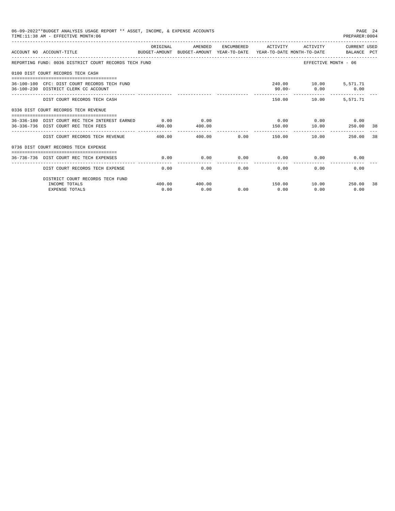| 06-09-2022**BUDGET ANALYSIS USAGE REPORT ** ASSET, INCOME, & EXPENSE ACCOUNTS<br>PAGE 24<br>TIME: 11:38 AM - EFFECTIVE MONTH: 06<br>PREPARER: 0004 |                            |                |      |                                        |                             |                                                    |    |  |  |
|----------------------------------------------------------------------------------------------------------------------------------------------------|----------------------------|----------------|------|----------------------------------------|-----------------------------|----------------------------------------------------|----|--|--|
| ACCOUNT NO ACCOUNT-TITLE<br>BUDGET-AMOUNT BUDGET-AMOUNT YEAR-TO-DATE YEAR-TO-DATE MONTH-TO-DATE BALANCE PCT                                        | ORIGINAL                   | AMENDED        |      | ENCUMBERED ACTIVITY                    | ACTIVITY                    | CURRENT USED                                       |    |  |  |
| REPORTING FUND: 0036 DISTRICT COURT RECORDS TECH FUND                                                                                              |                            |                |      |                                        |                             | EFFECTIVE MONTH - 06                               |    |  |  |
| 0100 DIST COURT RECORDS TECH CASH                                                                                                                  |                            |                |      |                                        |                             |                                                    |    |  |  |
| 36-100-100 CFC: DIST COURT RECORDS TECH FUND<br>36-100-230 DISTRICT CLERK CC ACCOUNT                                                               |                            |                |      | 90.00-                                 | 240.00    10.00    5,571.71 | $0.00$ 0.00<br>___________________________________ |    |  |  |
| DIST COURT RECORDS TECH CASH                                                                                                                       |                            |                |      |                                        | 150.00 10.00                | 5,571.71                                           |    |  |  |
| 0336 DIST COURT RECORDS TECH REVENUE                                                                                                               |                            |                |      |                                        |                             |                                                    |    |  |  |
| 36-336-180 DIST COURT REC TECH INTEREST EARNED<br>36-336-736 DIST COURT REC TECH FEES                                                              | 0.00<br>400.00             | 0.00<br>400.00 |      | 150.00                                 | $0.00$ $0.00$ $0.00$ $0.00$ | 10.00 250.00                                       | 38 |  |  |
| DIST COURT RECORDS TECH REVENUE 400.00                                                                                                             | ----------- -------------- | 400.00         |      | . _ _ _ _ _ _ _ _ _ _<br>$0.00$ 150.00 |                             | 250.00<br>10.00                                    | 38 |  |  |
| 0736 DIST COURT RECORDS TECH EXPENSE                                                                                                               |                            |                |      |                                        |                             |                                                    |    |  |  |
| 36-736-736 DIST COURT REC TECH EXPENSES                                                                                                            | 0.00                       | 0.00           | 0.00 | 0.00                                   | 0.00                        | 0.00                                               |    |  |  |
| DIST COURT RECORDS TECH EXPENSE                                                                                                                    | 0.00                       | 0.00           | 0.00 | 0.00                                   | 0.00                        | 0.00                                               |    |  |  |
| DISTRICT COURT RECORDS TECH FUND                                                                                                                   |                            |                |      |                                        |                             |                                                    |    |  |  |
| INCOME TOTALS                                                                                                                                      | 400.00                     | 400.00         |      |                                        |                             |                                                    | 38 |  |  |
| <b>EXPENSE TOTALS</b>                                                                                                                              | 0.00                       | 0.00           | 0.00 | 0.00                                   | 0.00                        | 0.00                                               |    |  |  |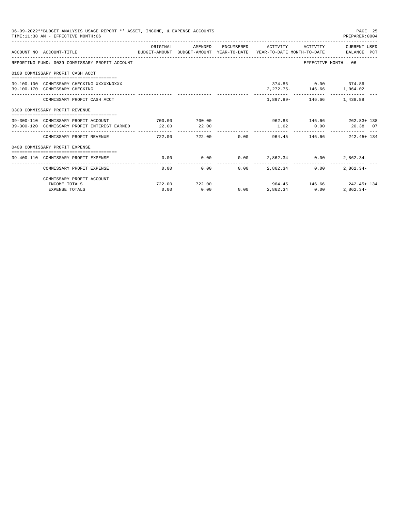| 06-09-2022**BUDGET ANALYSIS USAGE REPORT ** ASSET, INCOME, & EXPENSE ACCOUNTS<br>PAGE 25<br>TIME: 11:38 AM - EFFECTIVE MONTH: 06<br>PREPARER: 0004 |                                                                                      |                        |                       |      |                                                          |               |                                                                                                                              |  |  |
|----------------------------------------------------------------------------------------------------------------------------------------------------|--------------------------------------------------------------------------------------|------------------------|-----------------------|------|----------------------------------------------------------|---------------|------------------------------------------------------------------------------------------------------------------------------|--|--|
|                                                                                                                                                    | ACCOUNT NO ACCOUNT-TITLE                                                             |                        | ORTGINAL AMENDED      |      |                                                          |               | ENCUMBERED ACTIVITY ACTIVITY CURRENT USED<br>BUDGET-AMOUNT BUDGET-AMOUNT YEAR-TO-DATE YEAR-TO-DATE MONTH-TO-DATE BALANCE PCT |  |  |
|                                                                                                                                                    | REPORTING FUND: 0039 COMMISSARY PROFIT ACCOUNT                                       |                        |                       |      |                                                          |               | EFFECTIVE MONTH - 06                                                                                                         |  |  |
|                                                                                                                                                    | 0100 COMMISSARY PROFIT CASH ACCT                                                     |                        |                       |      |                                                          |               |                                                                                                                              |  |  |
|                                                                                                                                                    | 39-100-100 COMMISSARY CHECKING XXXXXNOXXX<br>39-100-170 COMMISSARY CHECKING          |                        |                       |      |                                                          |               | 374.86 0.00 374.86<br>2, 272. 75 - 146. 66 1, 064. 02                                                                        |  |  |
|                                                                                                                                                    | COMMISSARY PROFIT CASH ACCT                                                          |                        |                       |      |                                                          |               | 1,897.89 - 146.66 1,438.88                                                                                                   |  |  |
|                                                                                                                                                    | 0300 COMMISSARY PROFIT REVENUE                                                       |                        |                       |      |                                                          |               |                                                                                                                              |  |  |
|                                                                                                                                                    | 39-300-110 COMMISSARY PROFIT ACCOUNT<br>39-300-120 COMMISSARY PROFIT INTEREST EARNED | 700.00 700.00<br>22.00 | 22.00                 |      |                                                          |               | 962.83 146.66 262.83+ 138<br>1.62 0.00 20.38 07                                                                              |  |  |
|                                                                                                                                                    | COMMISSARY PROFIT REVENUE                                                            | 722.00                 | -----------           |      | . <u>.</u>                                               | ------------- | 722.00 0.00 964.45 146.66 242.45 134                                                                                         |  |  |
|                                                                                                                                                    | 0400 COMMISSARY PROFIT EXPENSE                                                       |                        |                       |      |                                                          |               |                                                                                                                              |  |  |
|                                                                                                                                                    | 39-400-110 COMMISSARY PROFIT EXPENSE                                                 |                        |                       |      | $0.00$ $0.00$ $0.00$ $0.00$ $2,862.34$ $0.00$ $2,862.34$ |               |                                                                                                                              |  |  |
|                                                                                                                                                    | COMMISSARY PROFIT EXPENSE                                                            | 0.00                   | 0.00                  | 0.00 | 2.862.34                                                 | $0.00 -$      | ______________________________<br>$2.862.34-$                                                                                |  |  |
|                                                                                                                                                    | COMMISSARY PROFIT ACCOUNT                                                            |                        |                       |      |                                                          |               |                                                                                                                              |  |  |
|                                                                                                                                                    | INCOME TOTALS<br><b>EXPENSE TOTALS</b>                                               | 0.00                   | 722.00 722.00<br>0.00 |      | $0.00$ 2,862.34 0.00                                     |               | $964.45$ $146.66$ $242.45+134$<br>$2,862.34-$                                                                                |  |  |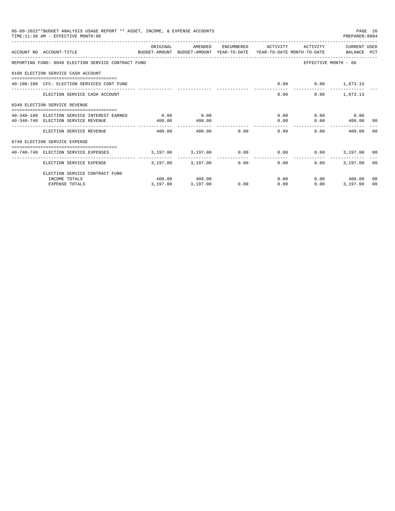| 06-09-2022**BUDGET ANALYSIS USAGE REPORT ** ASSET, INCOME, & EXPENSE ACCOUNTS<br>TIME: 11:38 AM - EFFECTIVE MONTH: 06 |                                                             |                   |             |                                    |                           | PREPARER: 0004        | PAGE 26 |
|-----------------------------------------------------------------------------------------------------------------------|-------------------------------------------------------------|-------------------|-------------|------------------------------------|---------------------------|-----------------------|---------|
| ACCOUNT NO ACCOUNT-TITLE<br>BUDGET-AMOUNT BUDGET-AMOUNT YEAR-TO-DATE YEAR-TO-DATE MONTH-TO-DATE BALANCE PCT           | ORIGINAL                                                    | AMENDED           |             | ENCUMBERED ACTIVITY                |                           | ACTIVITY CURRENT USED |         |
| REPORTING FUND: 0040 ELECTION SERVICE CONTRACT FUND                                                                   |                                                             |                   |             |                                    |                           | EFFECTIVE MONTH - 06  |         |
| 0100 ELECTION SERVICE CASH ACCOUNT                                                                                    |                                                             |                   |             |                                    |                           |                       |         |
| 40-100-100 CFC: ELECTION SERVICES CONT FUND                                                                           |                                                             |                   |             |                                    | $0.00$ $0.00$ $1,873.13$  |                       |         |
| ELECTION SERVICE CASH ACCOUNT                                                                                         |                                                             |                   |             |                                    | 0.00                      | $0.00$ 1,873.13       |         |
| 0340 ELECTION SERVICE REVENUE                                                                                         |                                                             |                   |             |                                    |                           |                       |         |
| 40-340-180 ELECTION SERVICE INTEREST EARNED                                                                           | 0.00                                                        | 0.00              |             |                                    | 0.00                      | $0.00$ 0.00           |         |
| 40-340-740 ELECTION SERVICE REVENUE                                                                                   | 400.00                                                      | 400.00            |             |                                    | 0.00                      | $0.00$ 400.00 00      |         |
| ELECTION SERVICE REVENUE                                                                                              | 400.00                                                      | 400.00 0.00       |             |                                    | 0.00                      | 0.00<br>400.00 00     |         |
| 0740 ELECTION SERVICE EXPENSE                                                                                         |                                                             |                   |             |                                    |                           |                       |         |
| 40-740-740 ELECTION SERVICE EXPENSES                                                                                  | $3,197.00$ $3,197.00$ $0.00$ $0.00$ $0.00$ $3,197.00$ $0.0$ |                   |             |                                    |                           |                       |         |
| ELECTION SERVICE EXPENSE                                                                                              |                                                             | 3,197.00 3,197.00 | ----------- | -------------<br>$0.00$ and $0.00$ | $0.00$ and $0.00$<br>0.00 | 3,197.00 00           |         |
| ELECTION SERVICE CONTRACT FUND                                                                                        |                                                             |                   |             |                                    |                           |                       |         |
| INCOME TOTALS                                                                                                         |                                                             | 400.00 400.00     |             |                                    | 0.00                      | $0.00$ 400.00         | 00      |
| <b>EXPENSE TOTALS</b>                                                                                                 | 3,197.00                                                    | 3,197.00          | 0.00        | 0.00                               | 0.00                      | 3,197.00              | 00      |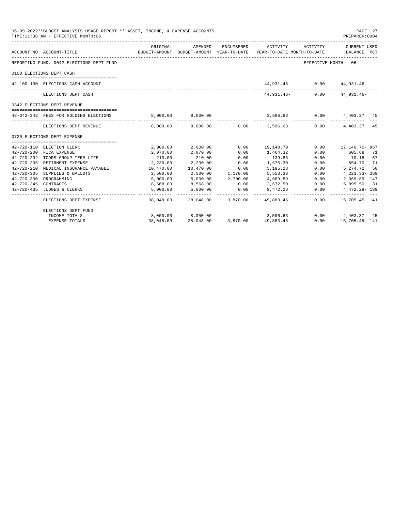|                      | 06-09-2022**BUDGET ANALYSIS USAGE REPORT ** ASSET, INCOME, & EXPENSE ACCOUNTS<br>TIME: 11:38 AM - EFFECTIVE MONTH: 06 |                      |                      |                           |                                        |                      | PAGE 27<br>PREPARER:0004                                                                        |
|----------------------|-----------------------------------------------------------------------------------------------------------------------|----------------------|----------------------|---------------------------|----------------------------------------|----------------------|-------------------------------------------------------------------------------------------------|
|                      | ACCOUNT NO ACCOUNT-TITLE                                                                                              | ORIGINAL             | AMENDED              |                           | ENCUMBERED ACTIVITY ACTIVITY           |                      | CURRENT USED<br>BUDGET-AMOUNT BUDGET-AMOUNT YEAR-TO-DATE YEAR-TO-DATE MONTH-TO-DATE BALANCE PCT |
|                      | REPORTING FUND: 0042 ELECTIONS DEPT FUND                                                                              |                      |                      |                           |                                        | EFFECTIVE MONTH - 06 |                                                                                                 |
|                      | 0100 ELECTIONS DEPT CASH                                                                                              |                      |                      |                           |                                        |                      |                                                                                                 |
|                      | 42-100-100 ELECTIONS CASH ACCOUNT                                                                                     |                      |                      |                           | 44,931.46- 0.00 44,931.46-             |                      |                                                                                                 |
|                      | ELECTIONS DEPT CASH                                                                                                   |                      |                      |                           |                                        |                      | 44,931.46- 0.00 44,931.46-                                                                      |
|                      | 0342 ELECTIONS DEPT REVENUE                                                                                           |                      |                      |                           |                                        |                      |                                                                                                 |
|                      | 42-342-342 FEES FOR HOLDING ELECTIONS                                                                                 |                      |                      |                           |                                        |                      | $8,000.00$ $8,000.00$ $3,596.63$ $0.00$ $4,403.37$ $45$                                         |
|                      | ELECTIONS DEPT REVENUE                                                                                                |                      |                      |                           | --------------                         |                      | _______________________________<br>8,000.00 8,000.00 0.00 3,596.63 0.00 4,403.37 45             |
|                      | 0720 ELECTIONS DEPT EXPENSE                                                                                           |                      |                      |                           |                                        |                      |                                                                                                 |
|                      |                                                                                                                       |                      |                      |                           |                                        |                      |                                                                                                 |
|                      | 42-720-110 ELECTION CLERK                                                                                             |                      | 2,000.00 2,000.00    | 0.00                      | 19,140.70                              | 0.00                 | 17,140.70- 957                                                                                  |
|                      | 42-720-200 FICA EXPENSE                                                                                               | 2,070.00             | 2,070.00             | 0.00                      | 1,464.32                               | 0.00                 | 605.68 71                                                                                       |
|                      | 42-720-202 TCDRS GROUP TERM LIFE                                                                                      | 210.00               | 210.00               | 0.00                      | 139.85                                 | 0.00                 | 70.15 67                                                                                        |
|                      | 42-720-205 RETIRMENT EXPENSE                                                                                          | 2,230.00             | 2,230.00             | 0.00                      | 1,575.30                               | 0.00                 | 654.70 71                                                                                       |
|                      | 42-720-210 MEDICAL INSURANCE PAYABLE 10,470.00                                                                        |                      | 10,470.00            | 0.00<br>2,500.00 1,170.00 | 5,195.28                               | 0.00                 | 5,274.72 50                                                                                     |
|                      | 42-720-305 SUPPLIES & BALLOTS                                                                                         | 2,500.00             |                      | 2,700.00                  | 5, 553. 33                             | 0.00                 | 4,223.33-269                                                                                    |
|                      | 42-720-330 PROGRAMMING                                                                                                | 5,000.00             | 5,000.00             |                           | 4,669.89                               | 0.00                 | 2,369.89-147                                                                                    |
| 42-720-345 CONTRACTS | 42-720-435 JUDGES & CLERKS                                                                                            | 8,568.00<br>5,000.00 | 8,568.00<br>5,000.00 | 0.00<br>0.00              | 2,672.50<br>9,472.28                   | 0.00<br>0.00         | 5,895.50 31<br>4,472.28-189                                                                     |
|                      | ELECTIONS DEPT EXPENSE                                                                                                |                      |                      | --------------            | 38,048.00 38,048.00 3,870.00 49,883.45 | 0.00                 | 15,705.45- 141                                                                                  |
|                      | ELECTIONS DEPT FUND                                                                                                   |                      |                      |                           |                                        |                      |                                                                                                 |
|                      | INCOME TOTALS                                                                                                         |                      |                      |                           | 3,596.63                               |                      | $0.00$ $4,403.37$ $45$                                                                          |
|                      | <b>EXPENSE TOTALS</b>                                                                                                 |                      |                      |                           |                                        | 0.00                 | 15,705.45- 141                                                                                  |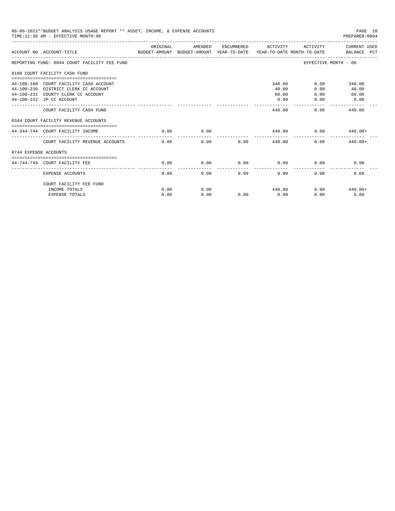| 06-09-2022**BUDGET ANALYSIS USAGE REPORT ** ASSET, INCOME, & EXPENSE ACCOUNTS<br>PAGE 28<br>TIME: 11:38 AM - EFFECTIVE MONTH: 06<br>PREPARER:0004 |                                                                                                                                                  |          |         |      |                                  |                      |                                          |  |
|---------------------------------------------------------------------------------------------------------------------------------------------------|--------------------------------------------------------------------------------------------------------------------------------------------------|----------|---------|------|----------------------------------|----------------------|------------------------------------------|--|
|                                                                                                                                                   | ACCOUNT NO ACCOUNT-TITLE<br>BUDGET-AMOUNT BUDGET-AMOUNT YEAR-TO-DATE  YEAR-TO-DATE MONTH-TO-DATE      BALANCE PCT                                | ORIGINAL | AMENDED |      | ENCUMBERED ACTIVITY              |                      | ACTIVITY CURRENT USED                    |  |
|                                                                                                                                                   | REPORTING FUND: 0044 COURT FACILITY FEE FUND                                                                                                     |          |         |      |                                  |                      | EFFECTIVE MONTH - 06                     |  |
|                                                                                                                                                   | 0100 COURT FACILITY CASH FUND                                                                                                                    |          |         |      |                                  |                      |                                          |  |
|                                                                                                                                                   | 44-100-100 COURT FACILITY CASH ACCOUNT<br>44-100-230 DISTRICT CLERK CC ACCOUNT<br>44-100-231 COUNTY CLERK CC ACCOUNT<br>44-100-232 JP CC ACCOUNT |          |         |      | 340.00<br>40.00<br>60.00<br>0.00 | 0.00<br>0.00<br>0.00 | 0.00<br>340.00<br>40.00<br>60.00<br>0.00 |  |
|                                                                                                                                                   | COURT FACILITY CASH FUND                                                                                                                         |          |         |      | 440.00                           | 0.00                 | 440.00                                   |  |
|                                                                                                                                                   | 0344 COURT FACILITY REVENUE ACCOUNTS                                                                                                             |          |         |      |                                  |                      |                                          |  |
|                                                                                                                                                   | 44-344-744 COURT FACILITY INCOME                                                                                                                 | 0.00     | 0.00    |      | 440.00                           | 0.00                 | $440.00+$                                |  |
|                                                                                                                                                   | COURT FACILITY REVENUE ACCOUNTS                                                                                                                  | 0.00     | 0.00    | 0.00 |                                  | 440.00               | 0.00<br>$440.00+$                        |  |
| 0744 EXPENSE ACCOUNTS                                                                                                                             |                                                                                                                                                  |          |         |      |                                  |                      |                                          |  |
|                                                                                                                                                   | -----------------------------------<br>44-744-749 COURT FACILITY FEE                                                                             | 0.00     | 0.00    | 0.00 | 0.00                             | 0.00                 | 0.00                                     |  |
|                                                                                                                                                   | <b>EXPENSE ACCOUNTS</b>                                                                                                                          | 0.00     | 0.00    | 0.00 | -------------<br>0.00            | 0.00                 | 0.00                                     |  |
|                                                                                                                                                   | COURT FACILITY FEE FUND                                                                                                                          |          |         |      |                                  |                      |                                          |  |
|                                                                                                                                                   | INCOME TOTALS                                                                                                                                    | 0.00     | 0.00    |      | 440.00                           |                      | $0.00$ $440.00+$                         |  |
|                                                                                                                                                   | <b>EXPENSE TOTALS</b>                                                                                                                            | 0.00     | 0.00    | 0.00 | 0.00                             | 0.00                 | 0.00                                     |  |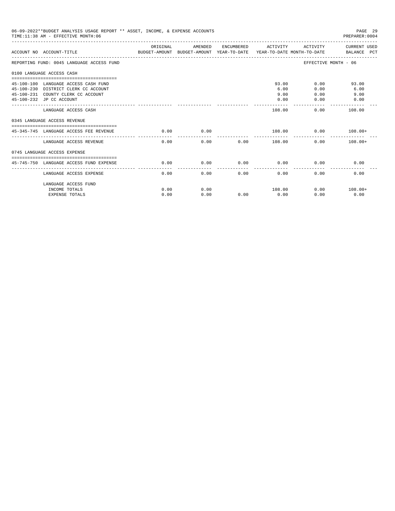| 06-09-2022**BUDGET ANALYSIS USAGE REPORT ** ASSET, INCOME, & EXPENSE ACCOUNTS<br>TIME: 11:38 AM - EFFECTIVE MONTH: 06  |          |         |      |                     |                      | PAGE 29<br>PREPARER: 0004 |
|------------------------------------------------------------------------------------------------------------------------|----------|---------|------|---------------------|----------------------|---------------------------|
| ACCOUNT NO ACCOUNT-TITLE CONTROL PORT ANOUNT BUDGET-AMOUNT AND THE TEAR-TO-DATE TEAR-TO-DATE MONTH-TO-DATE BALANCE PCT | ORIGINAL | AMENDED |      | ENCUMBERED ACTIVITY | ACTIVITY             | CURRENT USED              |
| REPORTING FUND: 0045 LANGUAGE ACCESS FUND                                                                              |          |         |      |                     | EFFECTIVE MONTH - 06 |                           |
| 0100 LANGUAGE ACCESS CASH                                                                                              |          |         |      |                     |                      |                           |
| 45-100-100 LANGUAGE ACCESS CASH FUND                                                                                   |          |         |      | 93.00               | 0.00                 | 93.00                     |
| 45-100-230 DISTRICT CLERK CC ACCOUNT                                                                                   |          |         |      | 6.00                | 0.00                 | 6.00                      |
| 45-100-231 COUNTY CLERK CC ACCOUNT                                                                                     |          |         |      | 9.00                | 0.00                 | 9.00                      |
| 45-100-232 JP CC ACCOUNT                                                                                               |          |         |      | 0.00                | 0.00                 | 0.00                      |
|                                                                                                                        |          |         |      |                     |                      | --------------            |
| LANGUAGE ACCESS CASH                                                                                                   |          |         |      | 108.00              | 0.00                 | 108.00                    |
| 0345 LANGUAGE ACCESS REVENUE                                                                                           |          |         |      |                     |                      |                           |
|                                                                                                                        |          |         |      |                     |                      |                           |
| 45-345-745 LANGUAGE ACCESS FEE REVENUE                                                                                 | 0.00     | 0.00    |      |                     | 108.00 0.00          | $108.00+$                 |
| LANGUAGE ACCESS REVENUE                                                                                                | 0.00     | 0.00    |      | $0.00$ 108.00       | 0.00                 | $108.00+$                 |
| 0745 LANGUAGE ACCESS EXPENSE                                                                                           |          |         |      |                     |                      |                           |
|                                                                                                                        |          |         |      |                     |                      |                           |
| 45-745-750 LANGUAGE ACCESS FUND EXPENSE                                                                                | 0.00     | 0.00    | 0.00 | 0.00                | 0.00                 | 0.00                      |
| LANGUAGE ACCESS EXPENSE                                                                                                | 0.00     | 0.00    | 0.00 | 0.00                | 0.00                 | 0.00                      |
| LANGUAGE ACCESS FUND                                                                                                   |          |         |      |                     |                      |                           |
| INCOME TOTALS                                                                                                          | 0.00     | 0.00    |      | 108.00              |                      | $0.00$ 108.00+            |
| <b>EXPENSE TOTALS</b>                                                                                                  | 0.00     | 0.00    | 0.00 | 0.00                | 0.00                 | 0.00                      |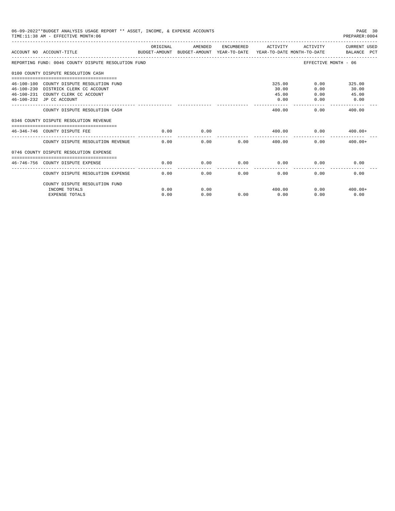| 06-09-2022**BUDGET ANALYSIS USAGE REPORT ** ASSET, INCOME, & EXPENSE ACCOUNTS<br>PAGE 30<br>TIME: 11:38 AM - EFFECTIVE MONTH: 06<br>PREPARER: 0004 |                                                                                                                                                     |              |              |      |                                  |                      |                                         |  |
|----------------------------------------------------------------------------------------------------------------------------------------------------|-----------------------------------------------------------------------------------------------------------------------------------------------------|--------------|--------------|------|----------------------------------|----------------------|-----------------------------------------|--|
|                                                                                                                                                    | ACCOUNT NO ACCOUNT-TITLE<br>BUDGET-AMOUNT BUDGET-AMOUNT YEAR-TO-DATE  YEAR-TO-DATE MONTH-TO-DATE     BALANCE PCT                                    | ORIGINAL     | AMENDED      |      | ENCUMBERED ACTIVITY              | ACTIVITY             | CURRENT USED                            |  |
|                                                                                                                                                    | REPORTING FUND: 0046 COUNTY DISPUTE RESOLUTION FUND                                                                                                 |              |              |      |                                  | EFFECTIVE MONTH - 06 |                                         |  |
|                                                                                                                                                    | 0100 COUNTY DISPUTE RESOLUTION CASH                                                                                                                 |              |              |      |                                  |                      |                                         |  |
|                                                                                                                                                    | 46-100-100 COUNTY DISPUTE RESOLUTION FUND<br>46-100-230 DISTRICK CLERK CC ACCOUNT<br>46-100-231 COUNTY CLERK CC ACCOUNT<br>46-100-232 JP CC ACCOUNT |              |              |      | 325.00<br>30.00<br>45.00<br>0.00 | 0.00<br>0.00<br>0.00 | $0.00$ 325.00<br>30.00<br>45.00<br>0.00 |  |
|                                                                                                                                                    | COUNTY DISPUTE RESOLUTION CASH                                                                                                                      |              |              |      | 400.00                           | 0.00                 | -------------<br>400.00                 |  |
|                                                                                                                                                    | 0346 COUNTY DISPUTE RESOLUTION REVENUE                                                                                                              |              |              |      |                                  |                      |                                         |  |
|                                                                                                                                                    | 46-346-746 COUNTY DISPUTE FEE                                                                                                                       | 0.00         | 0.00         |      | 400.00                           | 0.00                 | $400.00+$                               |  |
|                                                                                                                                                    | COUNTY DISPUTE RESOLUTION REVENUE                                                                                                                   | 0.00         | 0.00         | 0.00 | 400.00                           | 0.00                 | $400.00+$                               |  |
|                                                                                                                                                    | 0746 COUNTY DISPUTE RESOLUTION EXPENSE<br>------------------------------                                                                            |              |              |      |                                  |                      |                                         |  |
|                                                                                                                                                    | 46-746-756 COUNTY DISPUTE EXPENSE                                                                                                                   | 0.00         | 0.00         | 0.00 | 0.00                             | 0.00                 | 0.00                                    |  |
|                                                                                                                                                    | COUNTY DISPUTE RESOLUTION EXPENSE                                                                                                                   | 0.00         | 0.00         | 0.00 | 0.00                             | 0.00                 | 0.00                                    |  |
|                                                                                                                                                    | COUNTY DISPUTE RESOLUTION FUND<br>INCOME TOTALS<br><b>EXPENSE TOTALS</b>                                                                            | 0.00<br>0.00 | 0.00<br>0.00 | 0.00 | 400.00<br>0.00                   | 0.00                 | $0.00$ $400.00+$<br>0.00                |  |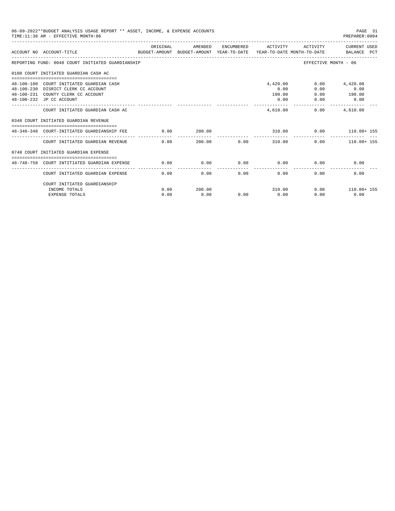| 06-09-2022**BUDGET ANALYSIS USAGE REPORT ** ASSET, INCOME, & EXPENSE ACCOUNTS<br>TIME: 11:38 AM - EFFECTIVE MONTH: 06<br>PREPARER:0004 |                                                                                                                  |          |         |             |                                       |                      |                                                      |
|----------------------------------------------------------------------------------------------------------------------------------------|------------------------------------------------------------------------------------------------------------------|----------|---------|-------------|---------------------------------------|----------------------|------------------------------------------------------|
|                                                                                                                                        | ACCOUNT NO ACCOUNT-TITLE COMPUTE SUDGET-AMOUNT BUDGET-AMOUNT VEAR-TO-DATE VEAR-TO-DATE MONTH-TO-DATE BALANCE PCT | ORIGINAL | AMENDED |             | ENCUMBERED ACTIVITY                   |                      | ACTIVITY CURRENT USED                                |
|                                                                                                                                        | REPORTING FUND: 0048 COURT INITIATED GUARDIANSHIP                                                                |          |         |             |                                       | EFFECTIVE MONTH - 06 |                                                      |
|                                                                                                                                        | 0100 COURT INITIATED GUARDIAN CASH AC                                                                            |          |         |             |                                       |                      |                                                      |
|                                                                                                                                        | 48-100-100 COURT INITIATED GUARDIAN CASH<br>48-100-230 DISRICT CLERK CC ACCOUNT                                  |          |         |             | 4,420.00<br>0.00                      | 0.00<br>0.00         | 4,420.00<br>0.00                                     |
|                                                                                                                                        | 48-100-231 COUNTY CLERK CC ACCOUNT<br>48-100-232 JP CC ACCOUNT                                                   |          |         |             | 190.00<br>0.00                        | 0.00<br>0.00         | 190.00<br>0.00                                       |
|                                                                                                                                        | COURT INITIATED GUARDIAN CASH AC                                                                                 |          |         |             | 4,610.00                              |                      | -------------<br>$0.00$ 4,610.00                     |
|                                                                                                                                        | 0348 COURT INITIATED GUARDIAN REVENUE                                                                            |          |         |             |                                       |                      |                                                      |
|                                                                                                                                        | ------------------------------------<br>48-348-348 COURT-INITIATED GUARDIANSHIP FEE                              | 0.00     | 200.00  |             |                                       |                      | 310.00   0.00   110.00+ 155                          |
|                                                                                                                                        | COURT INITIATED GUARDIAN REVENUE                                                                                 | 0.00     |         | 200.00 0.00 | ------------ --------------<br>310.00 |                      | ------------ ------------- ---<br>$0.00$ 110.00+ 155 |
|                                                                                                                                        | 0748 COURT INITIATED GUARDIAN EXPENSE                                                                            |          |         |             |                                       |                      |                                                      |
|                                                                                                                                        | 48-748-758 COURT INTITIATED GUARDIAN EXPENSE                                                                     | 0.00     | 0.00    | 0.00        | 0.00                                  | 0.00                 | 0.00                                                 |
|                                                                                                                                        | COURT INITIATED GUARDIAN EXPENSE                                                                                 | 0.00     | 0.00    | 0.00        | 0.00                                  | 0.00                 | 0.00                                                 |
|                                                                                                                                        | COURT INITIATED GUARDIANSHIP                                                                                     |          |         |             |                                       |                      |                                                      |
|                                                                                                                                        | INCOME TOTALS                                                                                                    | 0.00     | 200.00  |             | 310.00                                |                      | $0.00$ 110.00+ 155                                   |
|                                                                                                                                        | <b>EXPENSE TOTALS</b>                                                                                            | 0.00     | 0.00    | 0.00        | 0.00                                  | 0.00                 | 0.00                                                 |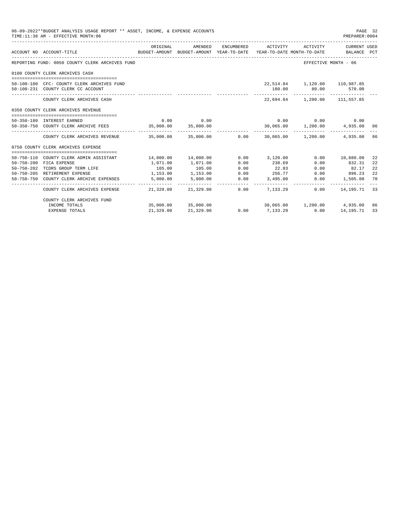| 06-09-2022**BUDGET ANALYSIS USAGE REPORT ** ASSET, INCOME, & EXPENSE ACCOUNTS<br>TIME: 11:38 AM - EFFECTIVE MONTH: 06 |                                                                                        |                       |                      |      |                                                                                                        |                                                                           |                          | PAGE 32<br>PREPARER:0004 |
|-----------------------------------------------------------------------------------------------------------------------|----------------------------------------------------------------------------------------|-----------------------|----------------------|------|--------------------------------------------------------------------------------------------------------|---------------------------------------------------------------------------|--------------------------|--------------------------|
|                                                                                                                       | ACCOUNT NO ACCOUNT-TITLE                                                               | ORIGINAL              | AMENDED              |      | ENCUMBERED ACTIVITY<br>BUDGET-AMOUNT BUDGET-AMOUNT YEAR-TO-DATE YEAR-TO-DATE MONTH-TO-DATE BALANCE PCT | ACTIVITY                                                                  | CURRENT USED             |                          |
|                                                                                                                       | REPORTING FUND: 0050 COUNTY CLERK ARCHIVES FUND                                        |                       |                      |      |                                                                                                        | EFFECTIVE MONTH - 06                                                      |                          |                          |
|                                                                                                                       | 0100 COUNTY CLERK ARCHIVES CASH                                                        |                       |                      |      |                                                                                                        |                                                                           |                          |                          |
|                                                                                                                       | 50-100-100 CFC: COUNTY CLERK ARCHIVES FUND<br>50-100-231 COUNTY CLERK CC ACCOUNT       |                       |                      |      | --------------                                                                                         | 22,514.84   1,120.00   110,987.85<br>180.00 80.00 570.00<br>------------- |                          |                          |
|                                                                                                                       | COUNTY CLERK ARCHIVES CASH                                                             |                       |                      |      |                                                                                                        | 22.694.84 1.200.00 111.557.85                                             |                          |                          |
|                                                                                                                       | 0350 COUNTY CLERK ARCHIVES REVENUE                                                     |                       |                      |      |                                                                                                        |                                                                           |                          |                          |
|                                                                                                                       | 50-350-180 INTEREST EARNED                                                             |                       | $0.00$ 0.00          |      | $0.00$ $0.00$ $0.00$ $0.00$                                                                            |                                                                           |                          |                          |
|                                                                                                                       | 50-350-750 COUNTY CLERK ARCHIVE FEES 35,000.00                                         |                       | 35,000.00            |      |                                                                                                        | 30,065.00  1,200.00  4,935.00  86                                         |                          |                          |
|                                                                                                                       | COUNTY CLERK ARCHIVES REVENUE $35.000.00$ $35.000.00$ $0.00$ 0.00 $30.065.00$ 1.200.00 |                       |                      |      |                                                                                                        |                                                                           | 4,935.00                 | 86                       |
|                                                                                                                       | 0750 COUNTY CLERK ARCHIVES EXPENSE                                                     |                       |                      |      |                                                                                                        |                                                                           |                          |                          |
|                                                                                                                       | 50-750-110 COUNTY CLERK ADMIN ASSISTANT                                                |                       | 14,000.00  14,000.00 |      | $0.00$ 3.120.00                                                                                        |                                                                           | 0.00 10,880.00           | 22                       |
| $50 - 750 - 200$                                                                                                      | FICA EXPENSE                                                                           | 1,071.00              | 1,071.00             | 0.00 | 238.69                                                                                                 | 0.00                                                                      | 832.31                   | 22                       |
| 50-750-202                                                                                                            | TCDRS GROUP TERM LIFE                                                                  | 105.00                | 105.00               | 0.00 | 22.83                                                                                                  | 0.00                                                                      | 82.17                    | 22                       |
|                                                                                                                       | 50-750-205 RETIREMENT EXPENSE                                                          | 1,153.00              | 1,153.00             | 0.00 | 256.77                                                                                                 | 0.00                                                                      | 896.23                   | 22                       |
|                                                                                                                       | 50-750-750 COUNTY CLERK ARCHIVE EXPENSES                                               | 5,000.00<br>--------- | 5,000.00             | 0.00 | 3,495.00<br>------------                                                                               | 0.00                                                                      | 1,505.00<br>------------ | 70                       |
|                                                                                                                       | COUNTY CLERK ARCHIVES EXPENSE                                                          |                       | 21,329.00 21,329.00  | 0.00 | 7.133.29                                                                                               | 0.00                                                                      | 14,195.71                | 33                       |
|                                                                                                                       | COUNTY CLERK ARCHIVES FUND                                                             |                       |                      |      |                                                                                                        |                                                                           |                          |                          |
|                                                                                                                       | INCOME TOTALS                                                                          |                       | 35,000.00 35,000.00  |      |                                                                                                        | 30,065.00 1,200.00 4,935.00                                               |                          | 86                       |
|                                                                                                                       | <b>EXPENSE TOTALS</b>                                                                  | 21,329.00             | 21,329.00            | 0.00 | 7.133.29                                                                                               | 0.00                                                                      | 14,195.71                | 33                       |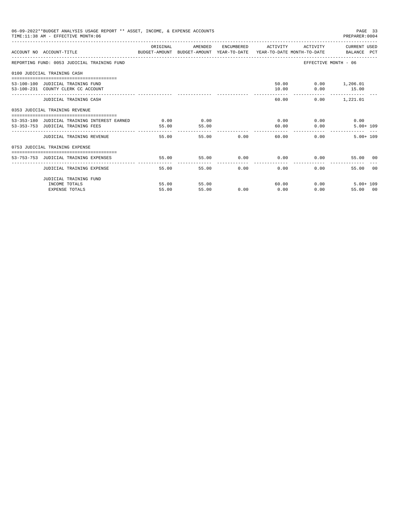| 06-09-2022**BUDGET ANALYSIS USAGE REPORT ** ASSET, INCOME, & EXPENSE ACCOUNTS<br>TIME: 11:38 AM - EFFECTIVE MONTH: 06 |          |         |               |                                           |                         | PAGE 33<br>PREPARER: 0004         |  |
|-----------------------------------------------------------------------------------------------------------------------|----------|---------|---------------|-------------------------------------------|-------------------------|-----------------------------------|--|
| ACCOUNT NO ACCOUNT-TITLE CONTROL SUDGET-AMOUNT BUDGET-AMOUNT YEAR-TO-DATE YEAR-TO-DATE MONTH-TO-DATE BALANCE PCT      | ORIGINAL | AMENDED |               | ENCUMBERED ACTIVITY ACTIVITY CURRENT USED |                         |                                   |  |
| REPORTING FUND: 0053 JUDICIAL TRAINING FUND                                                                           |          |         |               |                                           | EFFECTIVE MONTH - 06    |                                   |  |
| 0100 JUDICIAL TRAINING CASH                                                                                           |          |         |               |                                           |                         |                                   |  |
| 53-100-100 JUDICIAL TRAINING FUND                                                                                     |          |         |               |                                           | 50.00   0.00   1,206.01 |                                   |  |
| 53-100-231 COUNTY CLERK CC ACCOUNT                                                                                    |          |         |               |                                           | $10.00$ 0.00 15.00      |                                   |  |
| JUDICIAL TRAINING CASH                                                                                                |          |         |               | -------<br>60.00                          |                         | --------------<br>$0.00$ 1,221.01 |  |
| 0353 JUDICIAL TRAINING REVENUE                                                                                        |          |         |               |                                           |                         |                                   |  |
| 53-353-180 JUDICIAL TRAINING INTEREST EARNED                                                                          | 0.00     | 0.00    |               | $0.00$ 0.00                               |                         | 0.00                              |  |
| 53-353-753 JUDICIAL TRAINING FEES                                                                                     | 55.00    | 55.00   |               |                                           | 60.00 0.00              | $5.00 + 109$                      |  |
| JUDICIAL TRAINING REVENUE                                                                                             |          | 55.00   | 55.00         | $0.00$ and $0.00$<br>60.00 00             | 0.00                    | $5.00 + 109$                      |  |
| 0753 JUDICIAL TRAINING EXPENSE                                                                                        |          |         |               |                                           |                         |                                   |  |
| 53-753-753 JUDICIAL TRAINING EXPENSES                                                                                 | 55.00    | 55.00   |               | $0.00$ $0.00$ $0.00$ $0.00$               |                         | 55.00 00                          |  |
| JUDICIAL TRAINING EXPENSE                                                                                             | 55.00    |         | 0.00<br>55.00 | 0.00                                      | 0.00                    | 55.00 00                          |  |
| JUDICIAL TRAINING FUND                                                                                                |          |         |               |                                           |                         |                                   |  |
| INCOME TOTALS                                                                                                         | 55.00    | 55.00   |               | 60.00                                     | 0.00                    | $5.00 + 109$                      |  |
| <b>EXPENSE TOTALS</b>                                                                                                 | 55.00    | 55.00   | 0.00          | 0.00                                      | 0.00                    | 55.00 00                          |  |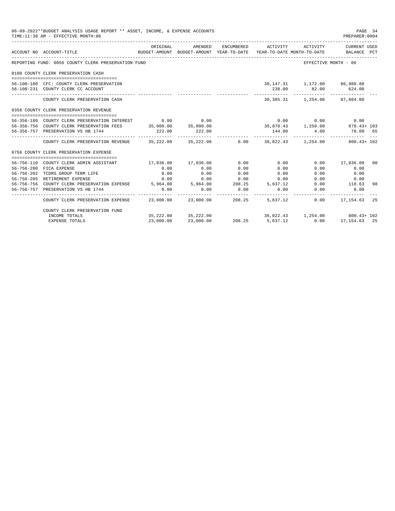| 06-09-2022**BUDGET ANALYSIS USAGE REPORT ** ASSET, INCOME, & EXPENSE ACCOUNTS<br>TIME: 11:38 AM - EFFECTIVE MONTH: 06 |                                                                                                                                                                                                                                                                    |           |                       |                     |                 |                                                                                    |                       | PAGE 34<br>PREPARER:0004 |
|-----------------------------------------------------------------------------------------------------------------------|--------------------------------------------------------------------------------------------------------------------------------------------------------------------------------------------------------------------------------------------------------------------|-----------|-----------------------|---------------------|-----------------|------------------------------------------------------------------------------------|-----------------------|--------------------------|
|                                                                                                                       | ACCOUNT NO ACCOUNT-TITLE<br>----------------------------------                                                                                                                                                                                                     | ORIGINAL  | AMENDED               | ENCUMBERED          | ACTIVITY        | BUDGET-AMOUNT BUDGET-AMOUNT YEAR-TO-DATE YEAR-TO-DATE MONTH-TO-DATE BALANCE PCT    | ACTIVITY CURRENT USED |                          |
|                                                                                                                       | REPORTING FUND: 0056 COUNTY CLERK PRESERVATION FUND                                                                                                                                                                                                                |           |                       |                     |                 | EFFECTIVE MONTH - 06                                                               |                       |                          |
|                                                                                                                       | 0100 COUNTY CLERK PRESERVATION CASH                                                                                                                                                                                                                                |           |                       |                     |                 |                                                                                    |                       |                          |
|                                                                                                                       |                                                                                                                                                                                                                                                                    |           |                       |                     |                 |                                                                                    |                       |                          |
|                                                                                                                       | 56-100-100 CFC: COUNTY CLERK PRESERVATION                                                                                                                                                                                                                          |           |                       |                     |                 | 30,147.31  1,172.00  86,980.80                                                     |                       |                          |
|                                                                                                                       | 56-100-231 COUNTY CLERK CC ACCOUNT                                                                                                                                                                                                                                 |           |                       |                     | 238.00          | 82.00 624.00                                                                       |                       |                          |
|                                                                                                                       | COUNTY CLERK PRESERVATION CASH                                                                                                                                                                                                                                     |           |                       |                     |                 | 30,385.31   1,254.00   87,604.80                                                   |                       |                          |
|                                                                                                                       | 0356 COUNTY CLERK PRESERVATION REVENUE                                                                                                                                                                                                                             |           |                       |                     |                 |                                                                                    |                       |                          |
|                                                                                                                       | 56-356-180 COUNTY CLERK PRESERVATION INTEREST                                                                                                                                                                                                                      |           | $0.00$ 0.00           |                     |                 | $0.00$ $0.00$ $0.00$ $0.00$                                                        |                       |                          |
|                                                                                                                       | 56-356-756 COUNTY CLERK PRESERVATION FEES 35,000.00 35,000.00                                                                                                                                                                                                      |           |                       |                     |                 | 35,878.43 1,250.00 878.43+ 103                                                     |                       |                          |
|                                                                                                                       | 56-356-757 PRESERVATION VS HB 1744                                                                                                                                                                                                                                 | 222.00    | 222.00                |                     | 144.00          | 4.00                                                                               | 78.00 65              |                          |
|                                                                                                                       |                                                                                                                                                                                                                                                                    |           | _______________       |                     |                 | ____________________________                                                       |                       |                          |
|                                                                                                                       | COUNTY CLERK PRESERVATION REVENUE 35,222.00 35,222.00 0.00 36,022.43 1,254.00 800.43+ 102                                                                                                                                                                          |           |                       |                     |                 |                                                                                    |                       |                          |
|                                                                                                                       | 0756 COUNTY CLERK PRESERVATION EXPENSE                                                                                                                                                                                                                             |           |                       |                     |                 |                                                                                    |                       |                          |
|                                                                                                                       |                                                                                                                                                                                                                                                                    |           |                       |                     |                 |                                                                                    |                       |                          |
|                                                                                                                       | 56-756-110 COUNTY CLERK ADMIN ASSISTANT                                                                                                                                                                                                                            |           | 17,036.00 17,036.00   | 0.00                | 0.00            |                                                                                    | $0.00$ 17,036.00      | 00                       |
|                                                                                                                       | 56-756-200 FICA EXPENSE                                                                                                                                                                                                                                            | 0.00      | 0.00                  | 0.00                | 0.00            | 0.00                                                                               | 0.00                  |                          |
|                                                                                                                       | 56-756-202 TCDRS GROUP TERM LIFE                                                                                                                                                                                                                                   | 0.00      | 0.00                  | 0.00                | 0.00            | 0.00                                                                               | 0.00                  |                          |
|                                                                                                                       | 56-756-205 RETIREMENT EXPENSE<br>5.000 0.000 0.000 0.000 0.000 0.000 0.000 0.000 0.000 0.000 0.000 0.000 0.000 0.000 0.000 0.000 0.000 0.000 0.00<br>5.964.00 0.000 0.000 0.000 0.000 0.000 0.000 0.000 0.000 0.000 0.000 0.000 0.000 0.000 0.000 0.000 0.000 0.00 | 0.00      | 0.00                  | 0.00                | 0.00            | 0.00                                                                               | 0.00                  |                          |
|                                                                                                                       |                                                                                                                                                                                                                                                                    | 0.00      |                       |                     |                 | 0.00                                                                               | 118.63                | 98                       |
|                                                                                                                       | 56-756-757 PRESERVATION VS HB 1744                                                                                                                                                                                                                                 |           | 0.00<br>------------- | 0.00<br>___________ | 0.00            | 0.00                                                                               | 0.00<br>____________  |                          |
|                                                                                                                       | COUNTY CLERK PRESERVATION EXPENSE 23,000.00 23,000.00                                                                                                                                                                                                              |           |                       |                     | 208.25 5,637.12 |                                                                                    | $0.00$ 17, 154.63 25  |                          |
|                                                                                                                       | COUNTY CLERK PRESERVATION FUND                                                                                                                                                                                                                                     |           |                       |                     |                 |                                                                                    |                       |                          |
|                                                                                                                       | INCOME TOTALS                                                                                                                                                                                                                                                      |           | 35,222.00 35,222.00   |                     |                 | $36,022.43$ $1,254.00$ $800.43+102$<br>$208.25$ $5,637.12$ $0.00$ $17,154.63$ $25$ |                       |                          |
|                                                                                                                       | <b>EXPENSE TOTALS</b>                                                                                                                                                                                                                                              | 23,000.00 | 23,000.00             |                     |                 |                                                                                    |                       |                          |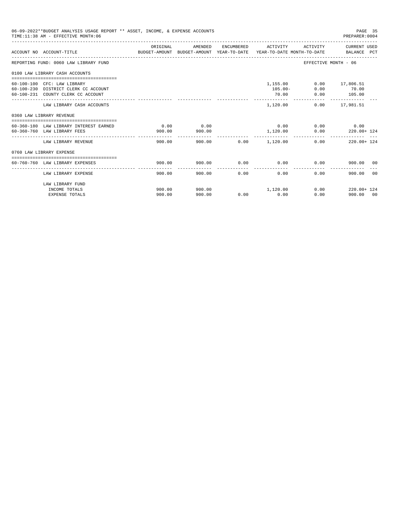| 06-09-2022**BUDGET ANALYSIS USAGE REPORT ** ASSET, INCOME, & EXPENSE ACCOUNTS<br>TIME: 11:38 AM - EFFECTIVE MONTH: 06<br>PREPARER: 0004 |                                        |                                                                                             |         |      |                     |                             |                          |  |
|-----------------------------------------------------------------------------------------------------------------------------------------|----------------------------------------|---------------------------------------------------------------------------------------------|---------|------|---------------------|-----------------------------|--------------------------|--|
|                                                                                                                                         | ACCOUNT NO ACCOUNT-TITLE               | ORIGINAL<br>BUDGET-AMOUNT BUDGET-AMOUNT YEAR-TO-DATE YEAR-TO-DATE MONTH-TO-DATE BALANCE PCT | AMENDED |      | ENCUMBERED ACTIVITY |                             | ACTIVITY CURRENT USED    |  |
|                                                                                                                                         | REPORTING FUND: 0060 LAW LIBRARY FUND  |                                                                                             |         |      |                     | EFFECTIVE MONTH - 06        |                          |  |
|                                                                                                                                         | 0100 LAW LIBRARY CASH ACCOUNTS         |                                                                                             |         |      |                     |                             |                          |  |
|                                                                                                                                         | 60-100-100 CFC: LAW LIBRARY            |                                                                                             |         |      | 1,155.00            |                             | $0.00$ 17,806.51         |  |
|                                                                                                                                         | 60-100-230 DISTRICT CLERK CC ACCOUNT   |                                                                                             |         |      | $105.00 -$          |                             | $0.00$ 70.00             |  |
|                                                                                                                                         | 60-100-231 COUNTY CLERK CC ACCOUNT     |                                                                                             |         |      | 70.00               |                             | $0.00$ 105.00            |  |
|                                                                                                                                         | LAW LIBRARY CASH ACCOUNTS              |                                                                                             |         |      | 1,120.00            |                             | $0.00$ 17,981.51         |  |
|                                                                                                                                         | 0360 LAW LIBRARY REVENUE               |                                                                                             |         |      |                     |                             |                          |  |
|                                                                                                                                         | 60-360-180 LAW LIBRARY INTEREST EARNED | 0.00                                                                                        | 0.00    |      |                     | $0.00$ $0.00$ $0.00$ $0.00$ |                          |  |
|                                                                                                                                         | 60-360-760 LAW LIBRARY FEES            | 900.00                                                                                      | 900.00  |      | 1,120.00            |                             | $0.00$ 220.00+ 124       |  |
|                                                                                                                                         | LAW LIBRARY REVENUE                    | 900.00                                                                                      |         |      |                     | 0.00                        | 220.00+ 124              |  |
|                                                                                                                                         | 0760 LAW LIBRARY EXPENSE               |                                                                                             |         |      |                     |                             |                          |  |
|                                                                                                                                         |                                        |                                                                                             |         | 0.00 |                     |                             |                          |  |
|                                                                                                                                         | 60-760-760 LAW LIBRARY EXPENSES        | 900.00                                                                                      | 900.00  |      | 0.00                | 0.00                        | 900.00 00                |  |
|                                                                                                                                         | LAW LIBRARY EXPENSE                    | 900.00                                                                                      | 900.00  | 0.00 | 0.00                | 0.00                        | 900.00<br>0 <sub>0</sub> |  |
|                                                                                                                                         | LAW LIBRARY FUND                       |                                                                                             |         |      |                     |                             |                          |  |
|                                                                                                                                         | INCOME TOTALS                          | 900.00                                                                                      | 900.00  |      | 1,120.00            | $0.00$ and $0.00$           | 220.00+ 124              |  |
|                                                                                                                                         | <b>EXPENSE TOTALS</b>                  | 900.00                                                                                      | 900.00  | 0.00 | 0.00                | 0.00                        | 900.00 00                |  |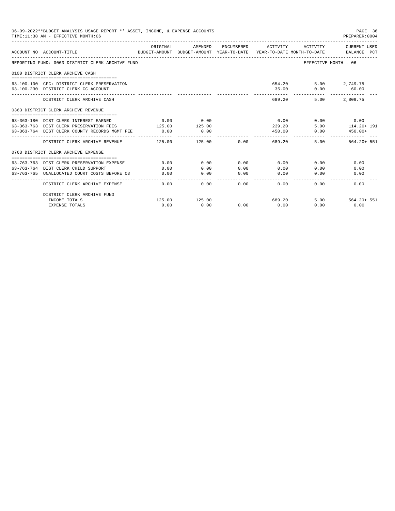| 06-09-2022**BUDGET ANALYSIS USAGE REPORT ** ASSET, INCOME, & EXPENSE ACCOUNTS<br>PAGE 36<br>TIME: 11:38 AM - EFFECTIVE MONTH: 06<br>PREPARER: 0004 |                                                                                                                 |          |               |                 |                      |                   |                                |  |  |
|----------------------------------------------------------------------------------------------------------------------------------------------------|-----------------------------------------------------------------------------------------------------------------|----------|---------------|-----------------|----------------------|-------------------|--------------------------------|--|--|
|                                                                                                                                                    | ACCOUNT NO ACCOUNT-TITLE<br>BUDGET-AMOUNT BUDGET-AMOUNT YEAR-TO-DATE YEAR-TO-DATE MONTH-TO-DATE     BALANCE PCT | ORIGINAL | AMENDED       |                 | ENCUMBERED ACTIVITY  |                   | ACTIVITY CURRENT USED          |  |  |
|                                                                                                                                                    | REPORTING FUND: 0063 DISTRICT CLERK ARCHIVE FUND                                                                |          |               |                 |                      |                   | EFFECTIVE MONTH - 06           |  |  |
|                                                                                                                                                    | 0100 DISTRICT CLERK ARCHIVE CASH                                                                                |          |               |                 |                      |                   |                                |  |  |
|                                                                                                                                                    | 63-100-100 CFC: DISTRICT CLERK PRESERVATION<br>63-100-230 DISTRICT CLERK CC ACCOUNT                             |          |               |                 |                      | 654.20<br>35.00   | 5.00 2,749.75<br>0.00<br>60.00 |  |  |
|                                                                                                                                                    | DISTRICT CLERK ARCHIVE CASH                                                                                     |          |               |                 | 689.20               | 5.00              | 2,809.75                       |  |  |
|                                                                                                                                                    | 0363 DISTRICT CLERK ARCHIVE REVENUE                                                                             |          |               |                 |                      |                   |                                |  |  |
|                                                                                                                                                    | 63-363-180 DIST CLERK INTEREST EARNED                                                                           | 0.00     | 0.00          |                 |                      | 0.00              | $0.00$ 0.00                    |  |  |
|                                                                                                                                                    | 63-363-763 DIST CLERK PRESERVATION FEES                                                                         | 125.00   | 125.00        |                 | 239.20               | 5.00              | 114.20+ 191                    |  |  |
|                                                                                                                                                    | 63-363-764 DIST CLERK COUNTY RECORDS MGMT FEE                                                                   | 0.00     | 0.00          |                 | 450.00               | 0.00              | $450.00+$                      |  |  |
|                                                                                                                                                    | DISTRICT CLERK ARCHIVE REVENUE $125.00$ 125.00 0.00                                                             |          | ------------  |                 | -----------          | 689.20            | 5.00<br>$564.20 + 551$         |  |  |
|                                                                                                                                                    | 0763 DISTRICT CLERK ARCHIVE EXPENSE                                                                             |          |               |                 |                      |                   |                                |  |  |
|                                                                                                                                                    | 63-763-763 DIST CLERK PRESERVATION EXPENSE                                                                      | 0.00     | 0.00          | 0.00            | 0.00                 |                   | 0.00<br>0.00                   |  |  |
|                                                                                                                                                    | 63-763-764 DIST CLERK CHILD SUPPORT                                                                             | 0.00     | 0.00          | 0.00            | 0.00                 | 0.00              | 0.00                           |  |  |
|                                                                                                                                                    | 63-763-765 UNALLOCATED COURT COSTS BEFORE 03                                                                    | 0.00     | 0.00          | 0.00            | 0.00                 | 0.00              | 0.00                           |  |  |
|                                                                                                                                                    | DISTRICT CLERK ARCHIVE EXPENSE                                                                                  | 0.00     | ------------- | -------<br>0.00 | ------------<br>0.00 | $0.00$ and $0.00$ | 0.00<br>0.00                   |  |  |
|                                                                                                                                                    | DISTRICT CLERK ARCHIVE FUND                                                                                     |          |               |                 |                      |                   |                                |  |  |
|                                                                                                                                                    | INCOME TOTALS                                                                                                   |          | 125.00 125.00 |                 |                      | 689.20            | 5.00 564.20+ 551               |  |  |
|                                                                                                                                                    | <b>EXPENSE TOTALS</b>                                                                                           | 0.00     | 0.00          | 0.00            | 0.00                 | 0.00              | 0.00                           |  |  |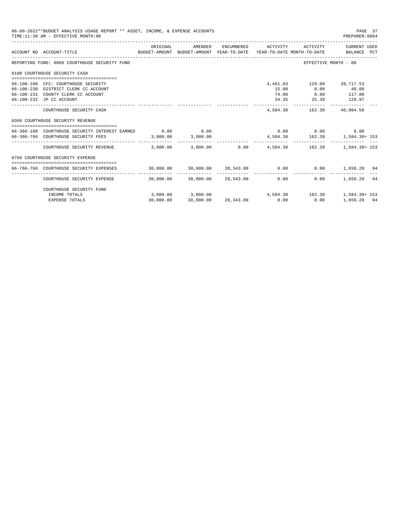| 06-09-2022**BUDGET ANALYSIS USAGE REPORT ** ASSET, INCOME, & EXPENSE ACCOUNTS<br>PAGE 37<br>TIME: 11:38 AM - EFFECTIVE MONTH: 06<br>PREPARER: 0004 |                                                                                                                                               |                              |                                                                    |  |                         |                                            |                                                               |  |  |
|----------------------------------------------------------------------------------------------------------------------------------------------------|-----------------------------------------------------------------------------------------------------------------------------------------------|------------------------------|--------------------------------------------------------------------|--|-------------------------|--------------------------------------------|---------------------------------------------------------------|--|--|
|                                                                                                                                                    | ACCOUNT NO ACCOUNT-TITLE COMPUTER ANOUNT BUDGET-AMOUNT HEAR-TO-DATE YEAR-TO-DATE MONTH-TO-DATE BALANCE PCT                                    | ORIGINAL                     | AMENDED                                                            |  | ENCUMBERED ACTIVITY     | ACTIVITY                                   | CURRENT USED                                                  |  |  |
|                                                                                                                                                    | __________________________________<br>REPORTING FUND: 0066 COURTHOUSE SECURITY FUND                                                           |                              |                                                                    |  |                         |                                            | EFFECTIVE MONTH - 06                                          |  |  |
|                                                                                                                                                    | 0100 COURTHOUSE SECURITY CASH                                                                                                                 |                              |                                                                    |  |                         |                                            |                                                               |  |  |
|                                                                                                                                                    | 66-100-100 CFC: COURTHOUSE SECURITY<br>66-100-230 DISTRICT CLERK CC ACCOUNT<br>66-100-231 COUNTY CLERK CC ACCOUNT<br>66-100-232 JP CC ACCOUNT |                              |                                                                    |  | 15.00<br>74.00<br>34.35 | 4,461.03 129.00 39,717.53<br>0.00<br>25.39 | 40.00<br>8.00 117.00<br>129.97                                |  |  |
|                                                                                                                                                    | COURTHOUSE SECURITY CASH                                                                                                                      |                              |                                                                    |  | 4,584,38                | ------------<br>162.39                     | 40,004.50                                                     |  |  |
|                                                                                                                                                    | 0366 COURTHOUSE SECURITY REVENUE                                                                                                              |                              |                                                                    |  |                         |                                            |                                                               |  |  |
|                                                                                                                                                    | 66-366-180 COURTHOUSE SECURITY INTEREST EARNED<br>66-366-766 COURTHOUSE SECURITY FEES                                                         | 0.00                         | 0.00<br>$3,000.00$ $3,000.00$                                      |  |                         | $0.00$ $0.00$ $0.00$ $0.00$                | 4,584.38    162.39    1,584.38+ 153                           |  |  |
|                                                                                                                                                    | COURTHOUSE SECURITY REVENUE                                                                                                                   | ____________ _______________ | ______________<br>$3.000.00$ $3.000.00$ $0.00$ $4.584.38$ $162.39$ |  |                         |                                            | 1,584.38+ 153                                                 |  |  |
|                                                                                                                                                    | 0766 COURTHOUSE SECURITY EXPENSE                                                                                                              |                              |                                                                    |  |                         |                                            |                                                               |  |  |
|                                                                                                                                                    | 66-766-766 COURTHOUSE SECURITY EXPENSES                                                                                                       |                              | $30,000.00$ $30,000.00$ $28,343.80$ $0.00$                         |  |                         |                                            | $0.00$ 1,656.20 94                                            |  |  |
|                                                                                                                                                    | COURTHOUSE SECURITY EXPENSE                                                                                                                   |                              | $30.000.00$ $30.000.00$ $28.343.80$ 0.00                           |  |                         | 0.00                                       | 1,656.20 94                                                   |  |  |
|                                                                                                                                                    | COURTHOUSE SECURITY FUND                                                                                                                      |                              |                                                                    |  |                         |                                            |                                                               |  |  |
|                                                                                                                                                    | INCOME TOTALS<br><b>EXPENSE TOTALS</b>                                                                                                        | 30,000.00                    | 30,000.00 28,343.80                                                |  | 0.00                    | 0.00                                       | 3,000.00 3,000.00 4,584.38 162.39 1,584.38+153<br>1,656.20 94 |  |  |
|                                                                                                                                                    |                                                                                                                                               |                              |                                                                    |  |                         |                                            |                                                               |  |  |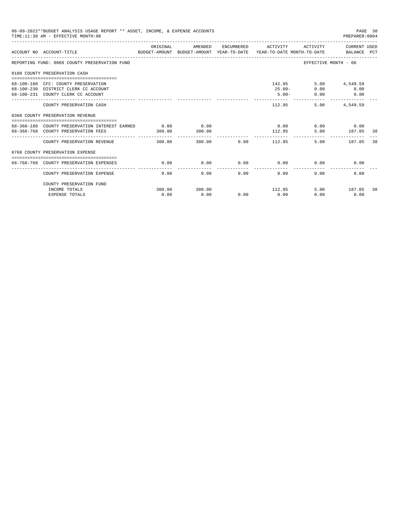| 06-09-2022**BUDGET ANALYSIS USAGE REPORT ** ASSET, INCOME, & EXPENSE ACCOUNTS<br>TIME: 11:38 AM - EFFECTIVE MONTH: 06<br>PREPARER: 0004 |                                                                                                                   |          |                |              |                                  |                             |                                                             |     |
|-----------------------------------------------------------------------------------------------------------------------------------------|-------------------------------------------------------------------------------------------------------------------|----------|----------------|--------------|----------------------------------|-----------------------------|-------------------------------------------------------------|-----|
|                                                                                                                                         | BUDGET-AMOUNT BUDGET-AMOUNT YEAR-TO-DATE  YEAR-TO-DATE MONTH-TO-DATE     BALANCE PCT<br>ACCOUNT NO ACCOUNT-TITLE  | ORIGINAL | AMENDED        |              | ENCUMBERED ACTIVITY              |                             | ACTIVITY CURRENT USED                                       |     |
|                                                                                                                                         | REPORTING FUND: 0068 COUNTY PRESERVATION FUND                                                                     |          |                |              |                                  | EFFECTIVE MONTH - 06        |                                                             |     |
|                                                                                                                                         | 0100 COUNTY PRESERVATION CASH                                                                                     |          |                |              |                                  |                             |                                                             |     |
|                                                                                                                                         | 68-100-100 CFC: COUNTY PRESERVATION<br>68-100-230 DISTRICT CLERK CC ACCOUNT<br>68-100-231 COUNTY CLERK CC ACCOUNT |          |                |              | 142.95<br>$25.00 -$<br>$5.00 -$  | 0.00<br>0.00                | 5.00 4,549.59<br>0.00<br>$\overline{0.00}$<br>------------- |     |
|                                                                                                                                         | COUNTY PRESERVATION CASH                                                                                          |          |                |              | 112.95                           |                             | 5.00 4,549.59                                               |     |
|                                                                                                                                         | 0368 COUNTY PRESERVATION REVENUE                                                                                  |          |                |              |                                  |                             |                                                             |     |
|                                                                                                                                         | 68-368-180 COUNTY PRESERVATION INTEREST EARNED 0.00<br>68-368-768 COUNTY PRESERVATION FEES                        | 300.00   | 0.00<br>300.00 |              | 112.95                           | $0.00$ $0.00$ $0.00$ $0.00$ | 5.00 187.05 38                                              |     |
|                                                                                                                                         | COUNTY PRESERVATION REVENUE                                                                                       | 300.00   |                |              | . <u>.</u><br>300.00 0.00 112.95 | 5.00                        | 187.05                                                      | -38 |
|                                                                                                                                         | 0768 COUNTY PRESERVATION EXPENSE                                                                                  |          |                |              |                                  |                             |                                                             |     |
|                                                                                                                                         | 68-768-768 COUNTY PRESERVATION EXPENSES                                                                           | 0.00     | 0.00           |              | $0.00$ 0.00                      | 0.00                        | 0.00                                                        |     |
|                                                                                                                                         | COUNTY PRESERVATION EXPENSE                                                                                       | 0.00     |                | 0.00<br>0.00 | 0.00                             | 0.00                        | 0.00                                                        |     |
|                                                                                                                                         | COUNTY PRESERVATION FUND<br>INCOME TOTALS                                                                         | 300.00   | 300.00         |              | 112.95                           |                             | 5.00 187.05                                                 | 38  |
|                                                                                                                                         | <b>EXPENSE TOTALS</b>                                                                                             | 0.00     | 0.00           |              | $0.00$ 0.00                      | 0.00                        | 0.00                                                        |     |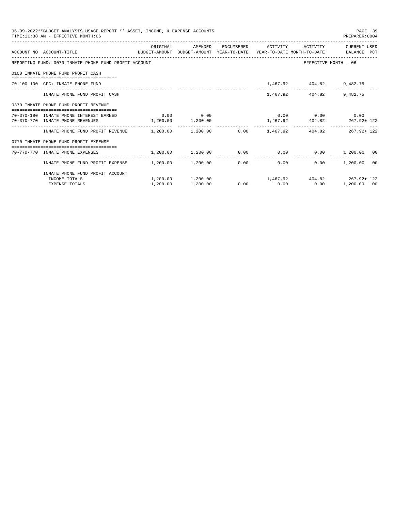| 06-09-2022**BUDGET ANALYSIS USAGE REPORT ** ASSET, INCOME, & EXPENSE ACCOUNTS<br>PAGE 39<br>TIME: 11:38 AM - EFFECTIVE MONTH: 06<br>PREPARER:0004 |                                                                                                                  |                       |          |  |                                                        |                             |                       |    |  |
|---------------------------------------------------------------------------------------------------------------------------------------------------|------------------------------------------------------------------------------------------------------------------|-----------------------|----------|--|--------------------------------------------------------|-----------------------------|-----------------------|----|--|
|                                                                                                                                                   |                                                                                                                  | ORIGINAL              | AMENDED  |  | ENCUMBERED ACTIVITY                                    |                             | ACTIVITY CURRENT USED |    |  |
|                                                                                                                                                   | ACCOUNT NO ACCOUNT-TITLE COMPUTE BUDGET-AMOUNT BUDGET-AMOUNT YEAR-TO-DATE YEAR-TO-DATE MONTH-TO-DATE BALANCE PCT |                       |          |  |                                                        |                             |                       |    |  |
|                                                                                                                                                   | REPORTING FUND: 0070 INMATE PHONE FUND PROFIT ACCOUNT                                                            |                       |          |  |                                                        | EFFECTIVE MONTH - 06        |                       |    |  |
|                                                                                                                                                   | 0100 INMATE PHONE FUND PROFIT CASH                                                                               |                       |          |  |                                                        |                             |                       |    |  |
|                                                                                                                                                   | 70-100-100 CFC: INMATE PHONE FUND                                                                                |                       |          |  |                                                        | 1,467.92 404.82 9,482.75    |                       |    |  |
|                                                                                                                                                   | INMATE PHONE FUND PROFIT CASH                                                                                    |                       |          |  |                                                        | 1,467.92 404.82             | 9,482.75              |    |  |
|                                                                                                                                                   | 0370 INMATE PHONE FUND PROFIT REVENUE                                                                            |                       |          |  |                                                        |                             |                       |    |  |
|                                                                                                                                                   | 70-370-180 INMATE PHONE INTEREST EARNED                                                                          | $0.00$ 0.00           |          |  |                                                        | $0.00$ $0.00$ $0.00$ $0.00$ |                       |    |  |
|                                                                                                                                                   | 70-370-770 INMATE PHONE REVENUES                                                                                 | $1,200.00$ $1,200.00$ |          |  |                                                        | 1,467.92 404.82 267.92+122  |                       |    |  |
|                                                                                                                                                   | INMATE PHONE FUND PROFIT REVENUE $1,200.00$ $1,200.00$ 0.00 $1,467.92$ 404.82 267.92+ 122                        |                       |          |  |                                                        |                             |                       |    |  |
|                                                                                                                                                   | 0770 INMATE PHONE FUND PROFIT EXPENSE                                                                            |                       |          |  |                                                        |                             |                       |    |  |
|                                                                                                                                                   | $1,200.00$ $0.00$ $0.00$ $0.00$ $0.00$ $1,200.00$ $0.00$ $0.00$ $0.00$ $0.00$ $1,200.00$                         |                       |          |  |                                                        |                             |                       |    |  |
|                                                                                                                                                   | INMATE PHONE FUND PROFIT EXPENSE $1,200.00$ $1,200.00$                                                           |                       |          |  | -------------<br>0.00<br>0.00                          |                             | $0.00$ 1,200.00       | 00 |  |
|                                                                                                                                                   | INMATE PHONE FUND PROFIT ACCOUNT                                                                                 |                       |          |  |                                                        |                             |                       |    |  |
|                                                                                                                                                   | INCOME TOTALS                                                                                                    |                       |          |  | $1,200.00$ $1,200.00$ $1,467.92$ $404.82$ $267.92+122$ |                             |                       |    |  |
|                                                                                                                                                   | <b>EXPENSE TOTALS</b>                                                                                            | 1,200.00              | 1,200.00 |  | $0.00$ $0.00$ $0.00$ $0.00$                            |                             | 1,200.00 00           |    |  |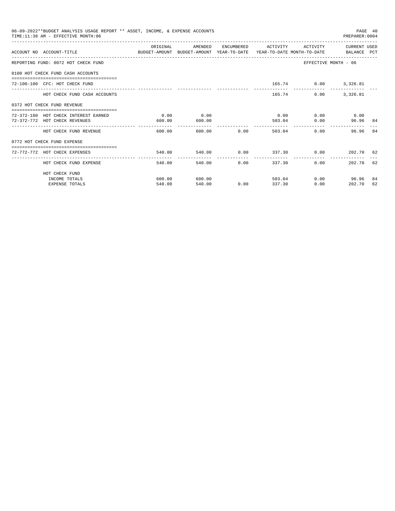| 06-09-2022**BUDGET ANALYSIS USAGE REPORT ** ASSET, INCOME, & EXPENSE ACCOUNTS<br>TIME: 11:38 AM - EFFECTIVE MONTH: 06<br>PREPARER: 0004 |                                                                                                                  |          |         |                         |                     |                      |                      |     |
|-----------------------------------------------------------------------------------------------------------------------------------------|------------------------------------------------------------------------------------------------------------------|----------|---------|-------------------------|---------------------|----------------------|----------------------|-----|
|                                                                                                                                         | ACCOUNT NO ACCOUNT-TITLE CONTROL BUDGET-AMOUNT BUDGET-AMOUNT YEAR-TO-DATE YEAR-TO-DATE MONTH-TO-DATE BALANCE PCT | ORIGINAL | AMENDED |                         | ENCUMBERED ACTIVITY | ACTIVITY             | CURRENT USED         |     |
|                                                                                                                                         | REPORTING FUND: 0072 HOT CHECK FUND                                                                              |          |         |                         |                     |                      | EFFECTIVE MONTH - 06 |     |
|                                                                                                                                         | 0100 HOT CHECK FUND CASH ACCOUNTS                                                                                |          |         |                         |                     |                      |                      |     |
|                                                                                                                                         | 72-100-100 CFC: HOT CHECK FUND                                                                                   |          |         |                         |                     | 165.74 0.00 3,326.81 |                      |     |
|                                                                                                                                         | HOT CHECK FUND CASH ACCOUNTS                                                                                     |          |         |                         |                     | 165.74 0.00 3,326.81 |                      |     |
|                                                                                                                                         | 0372 HOT CHECK FUND REVENUE                                                                                      |          |         |                         |                     |                      |                      |     |
|                                                                                                                                         | 72-372-180 HOT CHECK INTEREST EARNED                                                                             | 0.00     | 0.00    |                         | 0.00                |                      | $0.00$ 0.00          |     |
|                                                                                                                                         | 72-372-772 HOT CHECK REVENUES                                                                                    | 600.00   | 600.00  |                         |                     | 503.04               | 0.00<br>96.96 84     |     |
|                                                                                                                                         | HOT CHECK FUND REVENUE                                                                                           | 600.00   |         | 600.00 0.00             |                     | 503.04               | 0.00<br>96.96        | 84  |
|                                                                                                                                         | 0772 HOT CHECK FUND EXPENSE                                                                                      |          |         |                         |                     |                      |                      |     |
|                                                                                                                                         | 72-772-772 HOT CHECK EXPENSES                                                                                    | 540.00   |         | 540.00 0.00 337.30 0.00 |                     |                      | 202.70 62            |     |
|                                                                                                                                         | HOT CHECK FUND EXPENSE                                                                                           | 540.00   |         | 540.00<br>0.00          |                     | 337.30<br>0.00       | 202.70 62            |     |
|                                                                                                                                         | HOT CHECK FUND                                                                                                   |          |         |                         |                     |                      |                      |     |
|                                                                                                                                         | INCOME TOTALS                                                                                                    | 600.00   | 600.00  |                         |                     | 503.04               | $0.00$ 96.96         | -84 |
|                                                                                                                                         | <b>EXPENSE TOTALS</b>                                                                                            | 540.00   | 540.00  | 0.00                    | 337.30              |                      | 0.00<br>202.70       | 62  |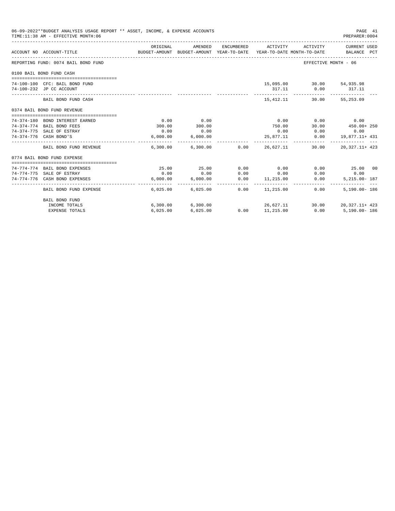| 06-09-2022**BUDGET ANALYSIS USAGE REPORT ** ASSET, INCOME, & EXPENSE ACCOUNTS<br>TIME: 11:38 AM - EFFECTIVE MONTH: 06 |          |                            |                       |                                                                                            |                             | PAGE 41<br>PREPARER:0004             |
|-----------------------------------------------------------------------------------------------------------------------|----------|----------------------------|-----------------------|--------------------------------------------------------------------------------------------|-----------------------------|--------------------------------------|
| ACCOUNT NO ACCOUNT-TITLE                                                                                              | ORIGINAL | AMENDED                    |                       | ENCUMBERED ACTIVITY<br>BUDGET-AMOUNT BUDGET-AMOUNT YEAR-TO-DATE YEAR-TO-DATE MONTH-TO-DATE |                             | ACTIVITY CURRENT USED<br>BALANCE PCT |
| REPORTING FUND: 0074 BAIL BOND FUND                                                                                   |          |                            |                       |                                                                                            | EFFECTIVE MONTH - 06        |                                      |
| 0100 BAIL BOND FUND CASH                                                                                              |          |                            |                       |                                                                                            |                             |                                      |
| 74-100-100 CFC: BAIL BOND FUND                                                                                        |          |                            |                       |                                                                                            | 15,095.00 30.00 54,935.98   |                                      |
| 74-100-232 JP CC ACCOUNT                                                                                              |          |                            |                       | 317.11                                                                                     | 0.00                        | 317.11                               |
| BAIL BOND FUND CASH                                                                                                   |          |                            |                       | ---------------<br>15,412.11                                                               | -------------               | _____________<br>30.00 55,253.09     |
| 0374 BAIL BOND FUND REVENUE                                                                                           |          |                            |                       |                                                                                            |                             |                                      |
|                                                                                                                       |          |                            |                       |                                                                                            |                             |                                      |
| 74-374-180 BOND INTEREST EARNED                                                                                       | 0.00     | 0.00                       |                       |                                                                                            | $0.00$ $0.00$ $0.00$ $0.00$ |                                      |
| 74-374-774 BAIL BOND FEES                                                                                             | 300.00   | 300.00                     |                       | 750.00                                                                                     | 30.00                       | 450.00+ 250                          |
| 74-374-775 SALE OF ESTRAY                                                                                             | 0.00     | 0.00                       |                       | 0.00                                                                                       |                             | $0.00$ 0.00                          |
| 74-374-776 CASH BOND'S                                                                                                | 6,000.00 | 6,000.00                   |                       | 25,877.11                                                                                  |                             | $0.00$ $19,877.11+431$               |
| BAIL BOND FUND REVENUE                                                                                                |          | $6.300.00$ $6.300.00$ 0.00 |                       | 26,627.11                                                                                  | 30.00                       | 20, 327. 11+ 423                     |
| 0774 BAIL BOND FUND EXPENSE                                                                                           |          |                            |                       |                                                                                            |                             |                                      |
|                                                                                                                       |          |                            |                       |                                                                                            |                             |                                      |
| 74-774-774 BAIL BOND EXPENSES                                                                                         | 25.00    | 25.00                      | 0.00                  | 0.00                                                                                       | 0.00                        | 25.00 00                             |
| 74-774-775 SALE OF ESTRAY                                                                                             | 0.00     | 0.00                       | 0.00                  | 0.00                                                                                       | 0.00                        | 0.00                                 |
| 74-774-776 CASH BOND EXPENSES                                                                                         | 6.000.00 | 6.000.00                   | 0.00<br>----------- - | 11,215.00<br>.                                                                             | 0.00                        | 5, 215, 00 - 187                     |
| BAIL BOND FUND EXPENSE                                                                                                |          | 6,025.00 6,025.00          |                       | $0.00$ $11.215.00$                                                                         | 0.00                        | $5.190.00 - 186$                     |
| <b>BAIL BOND FUND</b>                                                                                                 |          |                            |                       |                                                                                            |                             |                                      |
| INCOME TOTALS                                                                                                         |          | 6,300.00 6,300.00          |                       |                                                                                            |                             | 26,627.11 30.00 20,327.11+ 423       |
| <b>EXPENSE TOTALS</b>                                                                                                 | 6,025.00 | 6,025.00                   |                       | $0.00$ 11, 215.00                                                                          |                             | $0.00$ 5,190.00-186                  |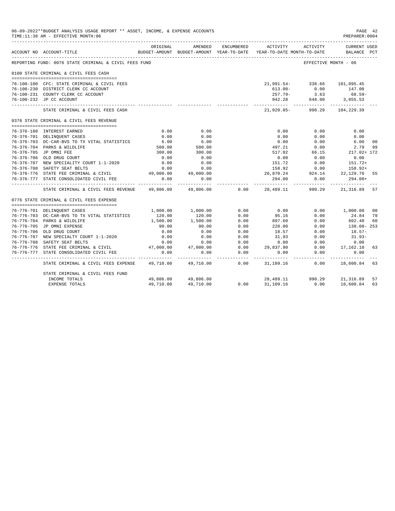| 06-09-2022**BUDGET ANALYSIS USAGE REPORT ** ASSET, INCOME, & EXPENSE ACCOUNTS<br>TIME:11:38 AM - EFFECTIVE MONTH:06 |                                                                  |                                   |                                     |                       |                                                                     |                                 |                                                | PAGE 42<br>PREPARER:0004 |
|---------------------------------------------------------------------------------------------------------------------|------------------------------------------------------------------|-----------------------------------|-------------------------------------|-----------------------|---------------------------------------------------------------------|---------------------------------|------------------------------------------------|--------------------------|
|                                                                                                                     | ACCOUNT NO ACCOUNT-TITLE                                         | ORIGINAL                          | AMENDED                             | ENCUMBERED            | BUDGET-AMOUNT BUDGET-AMOUNT YEAR-TO-DATE YEAR-TO-DATE MONTH-TO-DATE | ACTIVITY ACTIVITY               | CURRENT USED<br>BALANCE PCT                    |                          |
|                                                                                                                     | REPORTING FUND: 0076 STATE CRIMINAL & CIVIL FEES FUND            |                                   |                                     |                       |                                                                     | EFFECTIVE MONTH - 06            |                                                |                          |
|                                                                                                                     | 0100 STATE CRIMINAL & CIVIL FEES CASH                            |                                   |                                     |                       |                                                                     |                                 |                                                |                          |
|                                                                                                                     | 76-100-100 CFC: STATE CRIMINAL & CIVIL FEES                      |                                   |                                     |                       | 21,991.54-338.66 101,095.45                                         |                                 |                                                |                          |
|                                                                                                                     | 76-100-230 DISTRICT CLERK CC ACCOUNT                             |                                   |                                     |                       |                                                                     |                                 | 147.00                                         |                          |
|                                                                                                                     | 76-100-231 COUNTY CLERK CC ACCOUNT                               |                                   |                                     |                       |                                                                     | $613.00 -$ 0.00<br>257.79- 3.63 | 68.59-                                         |                          |
|                                                                                                                     | 76-100-232 JP CC ACCOUNT                                         |                                   |                                     |                       |                                                                     | 942.28 648.00 3,055.53          |                                                |                          |
|                                                                                                                     | STATE CRIMINAL & CIVIL FEES CASH                                 |                                   |                                     |                       | ---------- ------------                                             | 21,920.05- 990.29 104,229.39    | ----------                                     |                          |
|                                                                                                                     | 0376 STATE CRIMINAL & CIVIL FEES REVENUE                         |                                   |                                     |                       |                                                                     |                                 |                                                |                          |
|                                                                                                                     |                                                                  |                                   |                                     |                       |                                                                     |                                 |                                                |                          |
|                                                                                                                     | 76-376-180 INTEREST EARNED                                       | 0.00                              | 0.00                                |                       | 0.00                                                                | 0.00                            | 0.00                                           |                          |
|                                                                                                                     | 76-376-701 DELINOUENT CASES                                      | 0.00                              | 0.00                                |                       | 0.00                                                                | 0.00                            | 0.00                                           |                          |
|                                                                                                                     | 76-376-703 DC-CAR-BVS TO TX VITAL STATISTICS                     | 6.00                              | $6.00$<br>$500.00$                  |                       |                                                                     | $0.00$ $0.00$<br>497.21 $0.00$  | 6.00                                           | 0 <sub>0</sub>           |
|                                                                                                                     | 76-376-704 PARKS & WILDLIFE                                      | 500.00                            |                                     |                       | 497.21                                                              |                                 | 2.79                                           | 99                       |
|                                                                                                                     | 76-376-705 JP OMNI FEE                                           | 300.00                            | 300.00                              |                       |                                                                     | 517.02 66.15                    | 217.02+ 172                                    |                          |
|                                                                                                                     | 76-376-706 OLD DRUG COURT                                        | 0.00                              | 0.00                                |                       | 0.00                                                                | 0.00                            | 0.00                                           |                          |
|                                                                                                                     | 76-376-707 NEW SPECIALITY COURT 1-1-2020                         | 0.00                              | 0.00                                |                       |                                                                     | 151.72 0.00<br>158.92 0.00      | $151.72+$                                      |                          |
|                                                                                                                     | 76-376-708 SAFETY SEAT BELTS                                     | 0.00                              | 0.00                                |                       |                                                                     |                                 | 158.92+                                        |                          |
|                                                                                                                     | 76-376-776 STATE FEE CRIMINAL & CIVIL 49,000.00 49,000.00        |                                   |                                     |                       | 26,870.24 924.14 22,129.76                                          |                                 |                                                | 55                       |
|                                                                                                                     | 76-376-777 STATE CONSOLIDATED CIVIL FEE<br>--------------------- | 0.00<br>. _ _ _ _ _ _ _ _ _ _ _ _ | 0.00<br>------------                |                       | 294.00<br>------------                                              | 0.00<br>-----------             | $294.00+$<br>-------------                     |                          |
|                                                                                                                     | STATE CRIMINAL & CIVIL FEES REVENUE                              | 49,806.00                         | 49,806.00                           | 0.00                  | 28,489.11                                                           | 990.29                          | 21,316.89                                      | -57                      |
|                                                                                                                     | 0776 STATE CRIMINAL & CIVIL FEES EXPENSE                         |                                   |                                     |                       |                                                                     |                                 |                                                |                          |
|                                                                                                                     | 76-776-701 DELINQUENT CASES                                      |                                   | 1,000.00 1,000.00                   | 0.00                  | 0.00                                                                |                                 | $0.00$ 1,000.00                                | 00                       |
|                                                                                                                     | 76-776-703 DC-CAR-BVS TO TX VITAL STATISTICS                     | 120.00                            | 120.00                              | 0.00                  | 95.16                                                               | 0.00                            | 24.84                                          | 79                       |
|                                                                                                                     | 76-776-704 PARKS & WILDLIFE                                      | 1,500.00                          |                                     | 0.00                  | 897.60                                                              | 0.00                            | 602.40                                         | 60                       |
|                                                                                                                     | 76-776-705 JP OMNI EXPENSE                                       | 90.00                             | $1,500.00$<br>$90.00$               | 0.00                  | 228.00                                                              | 0.00                            | 138.00-253                                     |                          |
|                                                                                                                     | 76-776-706 OLD DRUG COURT                                        | 0.00                              | 0.00                                |                       |                                                                     | 0.00                            | $18.57-$                                       |                          |
|                                                                                                                     | 76-776-707 NEW SPECIALTY COURT 1-1-2020                          | 0.00                              | 0.00                                | $0.00$<br>$0.00$      | $18.57$<br>$31.93$                                                  | 0.00                            | $31.93-$                                       |                          |
|                                                                                                                     | 76-776-708 SAFETY SEAT BELTS                                     | 0.00                              | 0.00                                |                       |                                                                     |                                 |                                                |                          |
|                                                                                                                     | 76-776-776 STATE FEE CRIMINAL & CIVIL                            |                                   | $47,000.00$ $47,000.00$             | $0.00$<br>$0.00$      |                                                                     |                                 | $0.00$ $0.00$ $0.00$ $0.00$ $0.00$ $17,162.10$ | 63                       |
|                                                                                                                     | 76-776-777 STATE CONSOLIDATED CIVIL FEE                          | 0.00                              | 0.00                                | 0.00                  | 0.00                                                                | 0.00                            | 0.00                                           |                          |
|                                                                                                                     | STATE CRIMINAL & CIVIL FEES EXPENSE                              | ----------                        | ------------<br>49,710.00 49,710.00 | -------------<br>0.00 | ----------                                                          | -----------                     | -------------<br>31,109.16   0.00   18,600.84  | 63                       |
|                                                                                                                     | STATE CRIMINAL & CIVIL FEES FUND                                 |                                   |                                     |                       |                                                                     |                                 |                                                |                          |
|                                                                                                                     | INCOME TOTALS                                                    |                                   | 49,806.00 49,806.00                 | 0.00                  | 28,489.11 990.29 21,316.89                                          |                                 |                                                | 57                       |
|                                                                                                                     | <b>EXPENSE TOTALS</b>                                            | 49,710.00                         | 49,710.00                           |                       |                                                                     | 31,109.16 0.00                  | 18,600.84                                      | 63                       |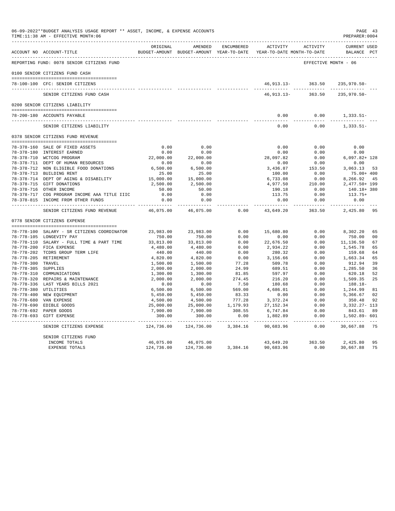|                      | 06-09-2022**BUDGET ANALYSIS USAGE REPORT ** ASSET, INCOME, & EXPENSE ACCOUNTS<br>TIME:11:38 AM - EFFECTIVE MONTH:06 |            |                                                                                |                   |                         |                       | PAGE 43<br>PREPARER: 0004          |
|----------------------|---------------------------------------------------------------------------------------------------------------------|------------|--------------------------------------------------------------------------------|-------------------|-------------------------|-----------------------|------------------------------------|
|                      | ACCOUNT NO ACCOUNT-TITLE                                                                                            | ORIGINAL   | AMENDED<br>BUDGET-AMOUNT BUDGET-AMOUNT YEAR-TO-DATE YEAR-TO-DATE MONTH-TO-DATE | ENCUMBERED        | <b>ACTIVITY</b>         | ACTIVITY              | <b>CURRENT USED</b><br>BALANCE PCT |
|                      | REPORTING FUND: 0078 SENIOR CITIZENS FUND                                                                           |            |                                                                                |                   |                         | EFFECTIVE MONTH - 06  |                                    |
|                      | 0100 SENIOR CITIZENS FUND CASH                                                                                      |            |                                                                                |                   |                         |                       |                                    |
|                      | 78-100-100 CFC: SENIOR CITIZENS                                                                                     |            |                                                                                |                   |                         | 46,913.13-363.50      | 235,970.50-                        |
|                      | SENIOR CITIZENS FUND CASH                                                                                           |            |                                                                                |                   | 46, 913. 13 -           | 363.50                | --------------<br>235,970.50-      |
|                      | 0200 SENIOR CITIZENS LIABILITY                                                                                      |            |                                                                                |                   |                         |                       |                                    |
|                      | 78-200-180 ACCOUNTS PAYABLE                                                                                         |            |                                                                                |                   | 0.00                    | 0.00                  | $1,333.51-$                        |
|                      | SENIOR CITIZENS LIABILITY                                                                                           |            |                                                                                |                   | 0.00                    | 0.00                  | 1,333.51-                          |
|                      | 0378 SENIOR CITIZENS FUND REVENUE                                                                                   |            |                                                                                |                   |                         |                       |                                    |
|                      | 78-378-160 SALE OF FIXED ASSETS                                                                                     | 0.00       | 0.00                                                                           |                   | 0.00                    | 0.00                  | 0.00                               |
|                      | 78-378-180 INTEREST EARNED                                                                                          | 0.00       | 0.00                                                                           |                   | 0.00                    | 0.00                  | 0.00                               |
|                      | 78-378-710 WCTCOG PROGRAM                                                                                           | 22,000.00  | 22,000.00                                                                      |                   | 28,097.82               | 0.00                  | $6,097.82+128$                     |
|                      | 78-378-711 DEPT OF HUMAN RESOURCES                                                                                  | 0.00       | 0.00                                                                           |                   | 0.00                    | 0.00                  | 0.00                               |
|                      | 78-378-712 NON ELIGIBLE FOOD DONATIONS                                                                              | 6,500.00   | 6,500.00                                                                       |                   | 3,436.87                | 153.50                | 3,063.13 53                        |
|                      | 78-378-713 BUILDING RENT                                                                                            | 25.00      | 25.00                                                                          |                   | 100.00                  | 0.00                  | 75.00+ 400                         |
|                      | 78-378-714 DEPT OF AGING & DISABILITY                                                                               | 15,000.00  | 15,000.00                                                                      |                   | 6,733.08                | 0.00                  | 8,266.92<br>45                     |
|                      | 78-378-715 GIFT DONATIONS                                                                                           | 2,500.00   | 2,500.00                                                                       |                   | 4,977.50                | 210.00                | 2,477.50+ 199                      |
|                      | 78-378-716 OTHER INCOME                                                                                             | 50.00      | 50.00                                                                          |                   | 190.18                  | 0.00                  | 140.18+ 380                        |
|                      | 78-378-717 COG PROGRAM INCOME AAA TITLE IIIC                                                                        | 0.00       | 0.00                                                                           |                   | 113.75                  | 0.00                  | $113.75+$                          |
|                      | 78-378-815 INCOME FROM OTHER FUNDS                                                                                  | 0.00       | 0.00<br>. <u>.</u>                                                             |                   | 0.00<br>-------------   | 0.00<br>------------- | 0.00                               |
|                      | SENIOR CITIZENS FUND REVENUE                                                                                        | 46,075.00  | 46,075.00                                                                      | 0.00              | 43,649.20               | 363.50                | 2,425.80 95                        |
|                      | 0778 SENIOR CITIZENS EXPENSE                                                                                        |            |                                                                                |                   |                         |                       |                                    |
|                      | 78-778-100 SALARY - SR CITIZENS COORDINATOR                                                                         | 23,983.00  | 23,983.00                                                                      | 0.00              | 15,680.80               | 0.00                  | 8,302.20<br>65                     |
|                      | 78-778-105 LONGEVITY PAY                                                                                            | 750.00     | 750.00                                                                         | 0.00              | 0.00                    | 0.00                  | 750.00<br>0 <sup>0</sup>           |
|                      | 78-778-110 SALARY - FULL TIME & PART TIME                                                                           | 33,813.00  | 33,813.00                                                                      | 0.00              | 22,676.50               | 0.00                  | 11,136.50<br>67                    |
|                      | 78-778-200 FICA EXPENSE                                                                                             | 4,480.00   | 4,480.00                                                                       | 0.00              | 2,934.22                | 0.00                  | 1,545.78<br>65                     |
|                      | 78-778-202 TCDRS GROUP TERM LIFE                                                                                    | 440.00     | 440.00                                                                         | 0.00              | 280.32                  | 0.00                  | 159.68<br>64                       |
|                      | 78-778-205 RETIREMENT                                                                                               | 4,820.00   | 4,820.00                                                                       | 0.00              | 3,156.66                | 0.00                  | 1,663.34<br>65                     |
| 78-778-300 TRAVEL    |                                                                                                                     | 1,500.00   | 1,500.00                                                                       | 77.28             | 509.78                  | 0.00                  | 912.94<br>39                       |
| 78-778-305 SUPPLIES  |                                                                                                                     | 2,000.00   | 2,000.00                                                                       | 24.99             | 689.51                  | 0.00                  | 1,285.50<br>36                     |
|                      | 78-778-310 COMMUNICATIONS                                                                                           | 1,300.00   | 1,300.00                                                                       | 81.85             | 597.97                  | 0.00                  | 620.18<br>52                       |
|                      | 78-778-320 REPAIRS & MAINTENANCE                                                                                    | 2,000.00   | 2,000.00                                                                       | 274.45            | 216.20                  | 0.00                  | 1,509.35<br>25                     |
|                      | 78-778-336 LAST YEARS BILLS 2021                                                                                    | 0.00       | 0.00                                                                           | 7.50              | 180.68                  | 0.00                  | 188.18-                            |
| 78-778-380 UTILITIES |                                                                                                                     | 6,500.00   | 6,500.00                                                                       | 569.00            | 4,686.01                | 0.00                  | 1,244.99<br>81                     |
|                      | 78-778-400 NEW EQUIPMENT                                                                                            | 5,450.00   | 5,450.00                                                                       | 83.33             | 0.00                    | 0.00                  | 5,366.67<br>02                     |
|                      | 78-778-680 VAN EXPENSE                                                                                              | 4,500.00   | 4,500.00                                                                       | 777.28            | 3,372.24                | 0.00                  | 350.48<br>92                       |
|                      | 78-778-690 EDIBLE GOODS                                                                                             | 25,000.00  | 25,000.00                                                                      | 1,179.93          | 27, 152.34              | 0.00                  | 3,332.27- 113                      |
|                      | 78-778-692 PAPER GOODS                                                                                              | 7,900.00   | 7,900.00                                                                       | 308.55            | 6,747.84                | 0.00                  | 843.61<br>89                       |
|                      | 78-778-693 GIFT EXPENSE                                                                                             | 300.00     | 300.00                                                                         | 0.00<br>_________ | 1,802.89<br>----------- | 0.00                  | 1,502.89- 601<br>-----------       |
|                      | SENIOR CITIZENS EXPENSE                                                                                             | 124,736.00 | 124,736.00                                                                     | 3,384.16          | 90,683.96               | 0.00                  | 30,667.88<br>75                    |
|                      | SENIOR CITIZENS FUND<br>INCOME TOTALS                                                                               | 46,075.00  | 46,075.00                                                                      |                   | 43,649.20               | 363.50                | 2,425.80<br>95                     |
|                      | EXPENSE TOTALS                                                                                                      | 124,736.00 | 124,736.00                                                                     | 3,384.16          | 90,683.96               | 0.00                  | 30,667.88<br>75                    |
|                      |                                                                                                                     |            |                                                                                |                   |                         |                       |                                    |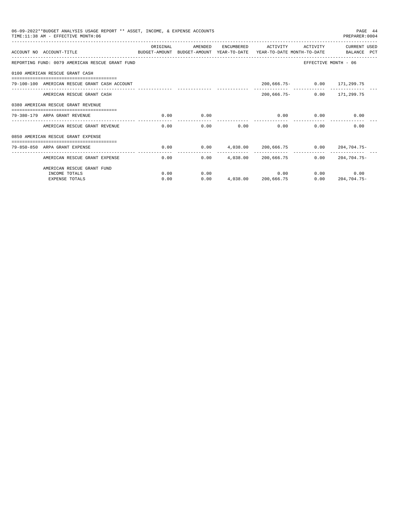| 06-09-2022**BUDGET ANALYSIS USAGE REPORT ** ASSET, INCOME, & EXPENSE ACCOUNTS<br>PAGE 44<br>TIME: 11:38 AM - EFFECTIVE MONTH: 06<br>PREPARER: 0004 |                                                 |                   |                                                     |                                  |          |                             |                                                                        |  |  |  |
|----------------------------------------------------------------------------------------------------------------------------------------------------|-------------------------------------------------|-------------------|-----------------------------------------------------|----------------------------------|----------|-----------------------------|------------------------------------------------------------------------|--|--|--|
|                                                                                                                                                    | ACCOUNT NO ACCOUNT-TITLE                        | ORIGINAL          | AMENDED<br>BUDGET-AMOUNT BUDGET-AMOUNT YEAR-TO-DATE | ENCUMBERED                       | ACTIVITY | ACTIVITY                    | CURRENT USED<br>YEAR-TO-DATE MONTH-TO-DATE BALANCE PCT                 |  |  |  |
|                                                                                                                                                    | REPORTING FUND: 0079 AMERICAN RESCUE GRANT FUND |                   |                                                     |                                  |          |                             | EFFECTIVE MONTH - 06                                                   |  |  |  |
|                                                                                                                                                    | 0100 AMERICAN RESCUE GRANT CASH                 |                   |                                                     |                                  |          |                             |                                                                        |  |  |  |
|                                                                                                                                                    | 79-100-100 AMERICAN RESCUE GRANT CASH ACCOUNT   |                   |                                                     |                                  |          | 200,666.75- 0.00 171,299.75 |                                                                        |  |  |  |
|                                                                                                                                                    | AMERICAN RESCUE GRANT CASH                      |                   |                                                     |                                  |          | 200,666.75- 0.00 171,299.75 |                                                                        |  |  |  |
|                                                                                                                                                    | 0380 AMERICAN RESCUE GRANT REVENUE              |                   |                                                     |                                  |          |                             |                                                                        |  |  |  |
|                                                                                                                                                    | 79-380-179 ARPA GRANT REVENUE                   | 0.00              | 0.00                                                | $0.00$ 0.00 0.00 0.00            |          |                             |                                                                        |  |  |  |
|                                                                                                                                                    | AMERICAN RESCUE GRANT REVENUE                   | ---------<br>0.00 |                                                     | 0.00                             | 0.00     | $0.00$ and $0.00$<br>0.00   | 0.00                                                                   |  |  |  |
|                                                                                                                                                    | 0850 AMERICAN RESCUE GRANT EXPENSE              |                   |                                                     |                                  |          |                             |                                                                        |  |  |  |
|                                                                                                                                                    | =============<br>79-850-850 ARPA GRANT EXPENSE  | 0.00              |                                                     |                                  |          |                             | $0.00 \qquad 4,038.00 \qquad 200,666.75 \qquad 0.00 \qquad 204,704.75$ |  |  |  |
|                                                                                                                                                    | AMERICAN RESCUE GRANT EXPENSE                   |                   | 0.00                                                | $0.00 \t 4.038.00 \t 200.666.75$ |          | 0.00                        | $204.704.75-$                                                          |  |  |  |
|                                                                                                                                                    | AMERICAN RESCUE GRANT FUND                      |                   |                                                     |                                  |          |                             |                                                                        |  |  |  |
|                                                                                                                                                    | INCOME TOTALS                                   | 0.00              | 0.00                                                |                                  |          | $0.00$ and $0.00$           | $0.00$ 0.00                                                            |  |  |  |
|                                                                                                                                                    | <b>EXPENSE TOTALS</b>                           | 0.00              | 0.00                                                | 4,038.00 200,666.75              |          | 0.00                        | 204,704.75-                                                            |  |  |  |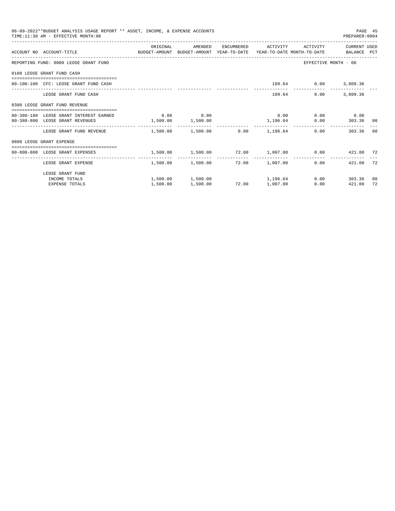| 06-09-2022**BUDGET ANALYSIS USAGE REPORT ** ASSET, INCOME, & EXPENSE ACCOUNTS<br>TIME: 11:38 AM - EFFECTIVE MONTH: 06<br>PREPARER: 0004 |                                                                                                             |                                                               |                   |       |                                  |      |                      |     |
|-----------------------------------------------------------------------------------------------------------------------------------------|-------------------------------------------------------------------------------------------------------------|---------------------------------------------------------------|-------------------|-------|----------------------------------|------|----------------------|-----|
|                                                                                                                                         | ACCOUNT NO ACCOUNT-TITLE TO BUDGET-AMOUNT BUDGET-AMOUNT YEAR-TO-DATE YEAR-TO-DATE MONTH-TO-DATE BALANCE PCT | ORIGINAL                                                      | AMENDED           |       | ENCUMBERED ACTIVITY ACTIVITY     |      | CURRENT USED         |     |
|                                                                                                                                         | REPORTING FUND: 0080 LEOSE GRANT FUND                                                                       |                                                               |                   |       |                                  |      | EFFECTIVE MONTH - 06 |     |
|                                                                                                                                         | 0100 LEOSE GRANT FUND CASH                                                                                  |                                                               |                   |       |                                  |      |                      |     |
|                                                                                                                                         | 80-100-100 CFC: LEOSE GRANT FUND CASH                                                                       |                                                               |                   |       |                                  |      | 189.64 0.00 3,809.36 |     |
|                                                                                                                                         | LEOSE GRANT FUND CASH                                                                                       |                                                               |                   |       | 189.64                           | 0.00 | 3,809.36             |     |
|                                                                                                                                         | 0380 LEOSE GRANT FUND REVENUE                                                                               |                                                               |                   |       |                                  |      |                      |     |
|                                                                                                                                         | 80-380-180 LEOSE GRANT INTEREST EARNED (0.00 0.00 0.00                                                      |                                                               |                   |       | 0.00                             |      | $0.00$ 0.00          |     |
|                                                                                                                                         | 80-380-800 LEOSE GRANT REVENUES                                                                             | $1,500.00$ $1,500.00$                                         |                   |       | 1,196.64                         |      | 0.00 303.36 80       |     |
|                                                                                                                                         | LEOSE GRANT FUND REVENUE $1.500.00$ $1.500.00$ $0.00$ $1.196.64$                                            |                                                               |                   |       |                                  |      | 0.00<br>303.36       | -80 |
|                                                                                                                                         | 0800 LEOSE GRANT EXPENSE                                                                                    |                                                               |                   |       |                                  |      |                      |     |
|                                                                                                                                         | 80-800-800 LEOSE GRANT EXPENSES                                                                             | $1,500.00$ $1,500.00$ $72.00$ $1,007.00$ $0.00$ $421.00$ $72$ |                   |       |                                  |      |                      |     |
|                                                                                                                                         | LEOSE GRANT EXPENSE                                                                                         |                                                               | 1,500.00 1,500.00 |       | 72.00 1.007.00                   |      | 0.00<br>421.00       | 72  |
|                                                                                                                                         | LEOSE GRANT FUND                                                                                            |                                                               |                   |       |                                  |      |                      |     |
|                                                                                                                                         | INCOME TOTALS                                                                                               |                                                               |                   |       | $1,500.00$ $1,500.00$ $1,196.64$ |      | $0.00$ 303.36        | 80  |
|                                                                                                                                         | <b>EXPENSE TOTALS</b>                                                                                       | 1,500.00                                                      | 1,500.00          | 72.00 | 1,007.00                         | 0.00 | 421.00               | 72  |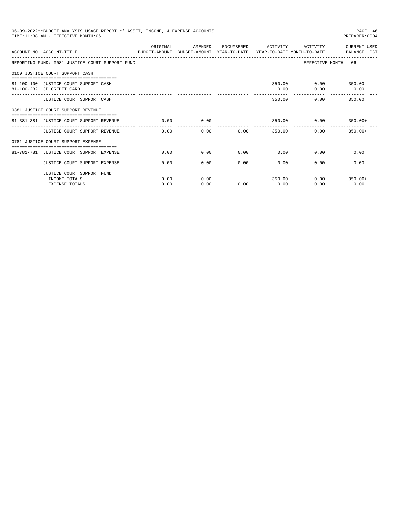| 06-09-2022**BUDGET ANALYSIS USAGE REPORT ** ASSET, INCOME, & EXPENSE ACCOUNTS<br>TIME: 11:38 AM - EFFECTIVE MONTH: 06 |          |         |                      |                      |                | PAGE 46<br>PREPARER: 0004 |
|-----------------------------------------------------------------------------------------------------------------------|----------|---------|----------------------|----------------------|----------------|---------------------------|
| ACCOUNT NO ACCOUNT-TITLE<br>BUDGET-AMOUNT BUDGET-AMOUNT YEAR-TO-DATE  YEAR-TO-DATE MONTH-TO-DATE      BALANCE PCT     | ORIGINAL | AMENDED | ENCUMBERED           | ACTIVITY             | ACTIVITY       | CURRENT USED              |
| REPORTING FUND: 0081 JUSTICE COURT SUPPORT FUND                                                                       |          |         |                      |                      |                | EFFECTIVE MONTH - 06      |
| 0100 JUSTICE COURT SUPPORT CASH                                                                                       |          |         |                      |                      |                |                           |
| 81-100-100 JUSTICE COURT SUPPORT CASH                                                                                 |          |         |                      |                      | 350.00         | $0.00$ 350.00             |
| 81-100-232 JP CREDIT CARD                                                                                             |          |         |                      | 0.00                 |                | $0.00$ 0.00               |
| JUSTICE COURT SUPPORT CASH                                                                                            |          |         |                      | -----------          | 350.00         | $0.00$ 350.00             |
| 0381 JUSTICE COURT SUPPORT REVENUE                                                                                    |          |         |                      |                      |                |                           |
| 81-381-381 JUSTICE COURT SUPPORT REVENUE                                                                              | 0.00     | 0.00    |                      |                      | 350.00<br>0.00 | $350.00+$                 |
| JUSTICE COURT SUPPORT REVENUE                                                                                         | 0.00     | 0.00    |                      | 0.00                 | 350.00         | $0.00$ 350.00+            |
| 0781 JUSTICE COURT SUPPORT EXPENSE                                                                                    |          |         |                      |                      |                |                           |
| 81-781-781 JUSTICE COURT SUPPORT EXPENSE                                                                              | 0.00     | 0.00    | 0.00                 | 0.00                 |                | 0.00<br>0.00              |
| JUSTICE COURT SUPPORT EXPENSE                                                                                         | 0.00     | 0.00    | ------------<br>0.00 | ------------<br>0.00 | 0.00           | 0.00                      |
| JUSTICE COURT SUPPORT FUND                                                                                            |          |         |                      |                      |                |                           |
| INCOME TOTALS                                                                                                         | 0.00     | 0.00    |                      | 350.00               |                | $0.00$ 350.00+            |
| <b>EXPENSE TOTALS</b>                                                                                                 | 0.00     | 0.00    | 0.00                 | 0.00                 | 0.00           | 0.00                      |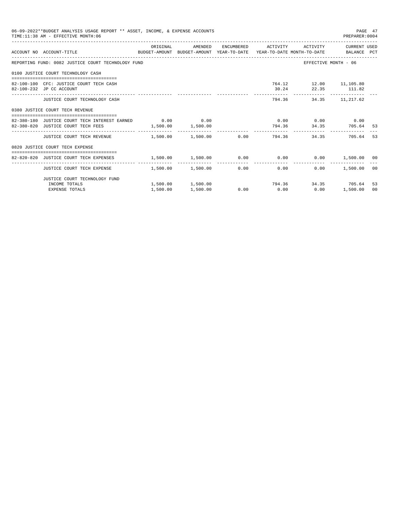| 06-09-2022**BUDGET ANALYSIS USAGE REPORT ** ASSET, INCOME, & EXPENSE ACCOUNTS<br>PAGE 47<br>TIME: 11:38 AM - EFFECTIVE MONTH: 06<br>PREPARER: 0004 |                                                                                                                  |          |                                                            |  |                |                                              |                                 |           |  |
|----------------------------------------------------------------------------------------------------------------------------------------------------|------------------------------------------------------------------------------------------------------------------|----------|------------------------------------------------------------|--|----------------|----------------------------------------------|---------------------------------|-----------|--|
|                                                                                                                                                    | ACCOUNT NO ACCOUNT-TITLE COMPUTE BUDGET-AMOUNT BUDGET-AMOUNT YEAR-TO-DATE YEAR-TO-DATE MONTH-TO-DATE BALANCE PCT |          |                                                            |  |                |                                              |                                 |           |  |
|                                                                                                                                                    | REPORTING FUND: 0082 JUSTICE COURT TECHNOLOGY FUND                                                               |          |                                                            |  |                |                                              | EFFECTIVE MONTH - 06            |           |  |
|                                                                                                                                                    | 0100 JUSTICE COURT TECHNOLOGY CASH                                                                               |          |                                                            |  |                |                                              |                                 |           |  |
|                                                                                                                                                    | 82-100-100 CFC: JUSTICE COURT TECH CASH<br>82-100-232 JP CC ACCOUNT                                              |          |                                                            |  |                | 764.12 12.00 11,105.80<br>30.24 22.35 111.82 |                                 |           |  |
|                                                                                                                                                    | JUSTICE COURT TECHNOLOGY CASH                                                                                    |          |                                                            |  |                | 794.36 34.35 11,217.62                       |                                 |           |  |
|                                                                                                                                                    | 0380 JUSTICE COURT TECH REVENUE                                                                                  |          |                                                            |  |                |                                              |                                 |           |  |
|                                                                                                                                                    | 82-380-180 JUSTICE COURT TECH INTEREST EARNED 0.00 0.00 0.00<br>82-380-820 JUSTICE COURT TECH FEES               |          | $1,500.00$ 1,500.00                                        |  |                | $0.00$ $0.00$ $0.00$ $0.00$                  | 794.36 34.35 705.64             | - 53      |  |
|                                                                                                                                                    | JUSTICE COURT TECH REVENUE $1.500.00$ $1.500.00$ $0.00$ $794.36$ $34.35$ $705.64$                                |          |                                                            |  | -------------- |                                              |                                 | -53       |  |
|                                                                                                                                                    | 0820 JUSTICE COURT TECH EXPENSE                                                                                  |          |                                                            |  |                |                                              |                                 |           |  |
|                                                                                                                                                    | 82-820-820 JUSTICE COURT TECH EXPENSES                                                                           |          | $1,500.00$ $1,500.00$ $0.00$ $0.00$ $0.00$ $1,500.00$ $00$ |  |                |                                              |                                 |           |  |
|                                                                                                                                                    | JUSTICE COURT TECH EXPENSE $1,500.00$ $1,500.00$ $0.00$ $0.00$ $0.00$                                            |          |                                                            |  | -------------  | 0.00                                         | 1,500.00                        | 00        |  |
|                                                                                                                                                    | JUSTICE COURT TECHNOLOGY FUND                                                                                    |          |                                                            |  |                |                                              |                                 |           |  |
|                                                                                                                                                    | INCOME TOTALS<br><b>EXPENSE TOTALS</b>                                                                           | 1,500.00 | 1,500.00 1,500.00<br>1,500.00                              |  |                | $0.00$ $0.00$ $0.00$ $0.00$                  | 794.36 34.35 705.64<br>1,500.00 | -53<br>00 |  |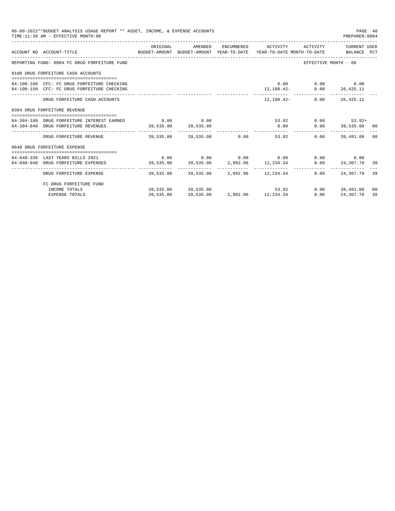| 06-09-2022**BUDGET ANALYSIS USAGE REPORT ** ASSET, INCOME, & EXPENSE ACCOUNTS<br>TIME: 11:38 AM - EFFECTIVE MONTH: 06 |                     |                     |                                                         |                                | PAGE 48<br>PREPARER:0004 |                |
|-----------------------------------------------------------------------------------------------------------------------|---------------------|---------------------|---------------------------------------------------------|--------------------------------|--------------------------|----------------|
| ACCOUNT NO ACCOUNT-TITLE TO THE SUDGET-AMOUNT BUDGET-AMOUNT YEAR-TO-DATE YEAR-TO-DATE MONTH-TO-DATE BALANCE PCT       | ORIGINAL            |                     | AMENDED ENCUMBERED ACTIVITY ACTIVITY CURRENT_USED       |                                |                          |                |
| REPORTING FUND: 0084 FC DRUG FORFEITURE FUND                                                                          |                     |                     |                                                         | EFFECTIVE MONTH - 06           |                          |                |
| 0100 DRUG FORFEITURE CASH ACCOUNTS                                                                                    |                     |                     |                                                         |                                |                          |                |
| 84-100-100 CFC: FC DRUG FORFEITURE CHECKING<br>84-100-150 CFC: FC DRUG FORFEITURE CHECKING                            |                     |                     | $12,180.42 - 0.00 26,425.11$                            | $0.00$ $0.00$ $0.00$           |                          |                |
| DRUG FORFEITURE CASH ACCOUNTS                                                                                         |                     |                     |                                                         | $12.180.42 - 0.00$ $26.425.11$ |                          |                |
| 0384 DRUG FORFEITURE REVENUE                                                                                          |                     |                     |                                                         |                                |                          |                |
|                                                                                                                       |                     |                     |                                                         |                                |                          |                |
| 84-384-180 DRUG FORFEITURE INTEREST EARNED 0.00 0.00 0.00                                                             |                     |                     |                                                         | 53.92 0.00                     | $53.92+$                 |                |
| 84-384-840 DRUG FORFEITURE REVENUES                                                                                   | 39,535.00 39,535.00 |                     | $0.00$ $0.00$ $39,535.00$ 00                            |                                |                          |                |
|                                                                                                                       |                     |                     | 53.92                                                   | 0.00                           | 39,481.08                | 0 <sup>0</sup> |
| 0840 DRUG FORFEITURE EXPENSE                                                                                          |                     |                     |                                                         |                                |                          |                |
| 84-840-336 LAST YEARS BILLS 2021                                                                                      |                     |                     | $0.00$ $0.00$ $0.00$ $0.00$ $0.00$ $0.00$ $0.00$ $0.00$ |                                |                          |                |
| 84-840-840 DRUG FORFEITURE EXPENSES 39,535.00 39,535.00 39,535.00 2,992.96 12,234.34 0.00 24,307.70 39                |                     |                     |                                                         |                                |                          |                |
|                                                                                                                       |                     |                     |                                                         |                                |                          |                |
| DRUG FORFEITURE EXPENSE                                                                                               |                     |                     | 39.535.00 39.535.00 2.992.96 12.234.34                  | 0.00                           | 24,307.70 39             |                |
| FC DRUG FORFEITURE FUND                                                                                               |                     |                     |                                                         |                                |                          |                |
| INCOME TOTALS                                                                                                         |                     | 39,535.00 39,535.00 | 53.92                                                   |                                | $0.00$ 39,481.08         | 0 <sup>0</sup> |
| <b>EXPENSE TOTALS</b>                                                                                                 | 39,535.00           |                     | 39,535.00 2,992.96 12,234.34                            | 0.00                           | 24,307.70                | 39             |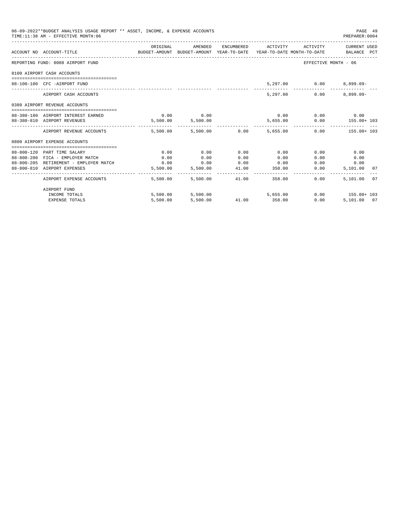| 06-09-2022**BUDGET ANALYSIS USAGE REPORT ** ASSET, INCOME, & EXPENSE ACCOUNTS<br>TIME: 11:38 AM - EFFECTIVE MONTH: 06 |                                                                                 |                   |              |                                         |                                | PAGE 49<br>PREPARER: 0004                                 |
|-----------------------------------------------------------------------------------------------------------------------|---------------------------------------------------------------------------------|-------------------|--------------|-----------------------------------------|--------------------------------|-----------------------------------------------------------|
| ACCOUNT NO ACCOUNT-TITLE                                                                                              | BUDGET-AMOUNT BUDGET-AMOUNT YEAR-TO-DATE YEAR-TO-DATE MONTH-TO-DATE BALANCE PCT |                   |              |                                         |                                | ORIGINAL MENDED ENCUMBERED ACTIVITY ACTIVITY CURRENT USED |
| REPORTING FUND: 0088 AIRPORT FUND                                                                                     |                                                                                 |                   |              |                                         | EFFECTIVE MONTH - 06           |                                                           |
| 0100 AIRPORT CASH ACCOUNTS                                                                                            |                                                                                 |                   |              |                                         |                                |                                                           |
| 88-100-100 CFC -AIRPORT FUND                                                                                          |                                                                                 |                   |              |                                         | 5,297.00 0.00                  | $8,899.09-$                                               |
| AIRPORT CASH ACCOUNTS                                                                                                 |                                                                                 |                   |              | 5,297.00                                | 0.00                           | $8.899.09 -$                                              |
| 0380 AIRPORT REVENUE ACCOUNTS                                                                                         |                                                                                 |                   |              |                                         |                                |                                                           |
| 88-380-180 AIRPORT INTEREST EARNED                                                                                    |                                                                                 | $0.00$ 0.00       |              |                                         | $0.00$ $0.00$ $0.00$ $0.00$    |                                                           |
| 88-380-810 AIRPORT REVENUES                                                                                           |                                                                                 | 5,500.00 5,500.00 |              |                                         |                                | 5,655.00   0.00   155.00+ 103                             |
| AIRPORT REVENUE ACCOUNTS                                                                                              |                                                                                 |                   |              | $5.500.00$ $5.500.00$ $0.00$ $5.655.00$ | ______________________________ | $0.00$ 155.00+ 103                                        |
| 0800 AIRPORT EXPENSE ACCOUNTS                                                                                         |                                                                                 |                   |              |                                         |                                |                                                           |
|                                                                                                                       |                                                                                 |                   |              |                                         |                                |                                                           |
| 88-800-120 PART TIME SALARY<br>88-800-200 FICA - EMPLOYER MATCH                                                       | 0.00<br>0.00                                                                    | 0.00<br>0.00      | 0.00<br>0.00 | 0.00<br>0.00                            | 0.00<br>0.00                   | 0.00<br>0.00                                              |
| 88-800-205 RETIREMENT - EMPLOYER MATCH                                                                                | 0.00                                                                            | $0.00$ $0.00$     |              | 0.00                                    | 0.00                           | 0.00                                                      |
| 88-800-810 AIRPORT EXPENSES                                                                                           | 5,500.00                                                                        | 5,500.00          |              | 41.00 358.00                            | 0.00                           | 5,101.00 07                                               |
| AIRPORT EXPENSE ACCOUNTS                                                                                              | 5,500.00                                                                        | 5,500.00          | 41.00        | 358.00                                  | $0.00 -$                       | 5,101.00 07                                               |
| AIRPORT FUND                                                                                                          |                                                                                 |                   |              |                                         |                                |                                                           |
| INCOME TOTALS                                                                                                         |                                                                                 |                   |              | 5,500.00 5,500.00 5,655.00              |                                | $0.00$ 155.00+ 103                                        |
| <b>EXPENSE TOTALS</b>                                                                                                 | 5,500.00                                                                        | 5,500.00          |              | 41.00 358.00                            | 0.00                           | 5,101.00 07                                               |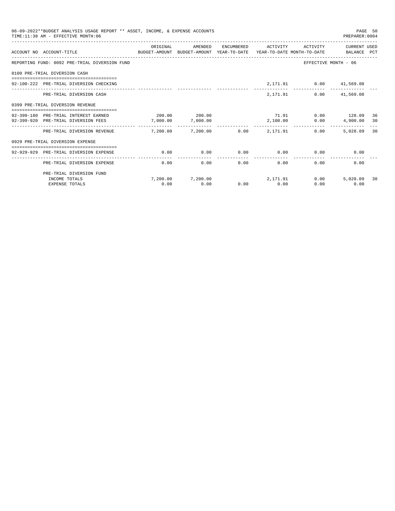| 06-09-2022**BUDGET ANALYSIS USAGE REPORT ** ASSET, INCOME, & EXPENSE ACCOUNTS<br>TIME: 11:38 AM - EFFECTIVE MONTH: 06<br>PREPARER: 0004 |                                                                                                             |                                         |                            |      |                         |                                                  |                       |    |
|-----------------------------------------------------------------------------------------------------------------------------------------|-------------------------------------------------------------------------------------------------------------|-----------------------------------------|----------------------------|------|-------------------------|--------------------------------------------------|-----------------------|----|
|                                                                                                                                         | ACCOUNT NO ACCOUNT-TITLE<br>BUDGET-AMOUNT BUDGET-AMOUNT YEAR-TO-DATE YEAR-TO-DATE MONTH-TO-DATE BALANCE PCT | ORIGINAL                                | AMENDED                    |      | ENCUMBERED ACTIVITY     |                                                  | ACTIVITY CURRENT USED |    |
|                                                                                                                                         | REPORTING FUND: 0092 PRE-TRIAL DIVERSION FUND                                                               |                                         |                            |      |                         |                                                  | EFFECTIVE MONTH - 06  |    |
|                                                                                                                                         | 0100 PRE-TRIAL DIVERSION CASH                                                                               |                                         |                            |      |                         |                                                  |                       |    |
|                                                                                                                                         | 92-100-222 PRE-TRIAL DIVERSION CHECKING                                                                     |                                         |                            |      |                         | 2,171.91 0.00 41,569.08                          |                       |    |
|                                                                                                                                         | PRE-TRIAL DIVERSION CASH                                                                                    |                                         |                            |      | 2,171.91                |                                                  | $0.00$ $41,569.08$    |    |
|                                                                                                                                         | 0399 PRE-TRIAL DIVERSION REVENUE                                                                            |                                         |                            |      |                         |                                                  |                       |    |
|                                                                                                                                         | 92-399-180 PRE-TRIAL INTEREST EARNED                                                                        | $200.00$ $200.00$                       |                            |      |                         | 71.91 0.00 128.09                                |                       | 36 |
|                                                                                                                                         | 92-399-920 PRE-TRIAL DIVERSION FEES                                                                         | 7,000.00                                | 7,000.00                   |      | 2,100.00                |                                                  | $0.00$ 4,900.00       | 30 |
|                                                                                                                                         | PRE-TRIAL DIVERSION REVENUE                                                                                 | $7.200.00$ $7.200.00$ $0.00$ $2.171.91$ |                            |      |                         | 0.00                                             | 5,028,09 30           |    |
|                                                                                                                                         | 0929 PRE-TRIAL DIVERSION EXPENSE                                                                            |                                         |                            |      |                         |                                                  |                       |    |
|                                                                                                                                         | 92-929-929 PRE-TRIAL DIVERSION EXPENSE                                                                      | 0.00                                    |                            |      |                         | $0.00$ $0.00$ $0.00$ $0.00$ $0.00$ $0.00$ $0.00$ |                       |    |
|                                                                                                                                         | PRE-TRIAL DIVERSION EXPENSE                                                                                 | 0.00                                    |                            | 0.00 | ---------------<br>0.00 | $0.00$ and $0.00$                                | 0.00<br>0.00          |    |
|                                                                                                                                         | PRE-TRIAL DIVERSION FUND                                                                                    |                                         |                            |      |                         |                                                  |                       |    |
|                                                                                                                                         | INCOME TOTALS                                                                                               |                                         | 7,200.00 7,200.00 2,171.91 |      |                         | 0.00                                             | 5,028.09              | 30 |
|                                                                                                                                         | <b>EXPENSE TOTALS</b>                                                                                       | 0.00                                    | 0.00                       |      | $0.00$ 0.00             | 0.00                                             | 0.00                  |    |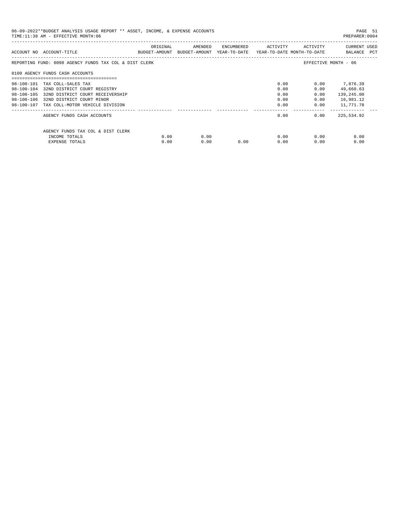| 06-09-2022**BUDGET ANALYSIS USAGE REPORT ** ASSET, INCOME, & EXPENSE ACCOUNTS<br>PREPARER:0004<br>TIME: 11:38 AM - EFFECTIVE MONTH: 06 |                                                        |          |                                                                                |            |          |              |                             |  |  |
|----------------------------------------------------------------------------------------------------------------------------------------|--------------------------------------------------------|----------|--------------------------------------------------------------------------------|------------|----------|--------------|-----------------------------|--|--|
|                                                                                                                                        | ACCOUNT NO ACCOUNT-TITLE                               | ORIGINAL | AMENDED<br>BUDGET-AMOUNT BUDGET-AMOUNT YEAR-TO-DATE YEAR-TO-DATE MONTH-TO-DATE | ENCUMBERED | ACTIVITY | ACTIVITY     | CURRENT USED<br>BALANCE PCT |  |  |
|                                                                                                                                        | REPORTING FUND: 0098 AGENCY FUNDS TAX COL & DIST CLERK |          |                                                                                |            |          |              | EFFECTIVE MONTH - 06        |  |  |
|                                                                                                                                        | 0100 AGENCY FUNDS CASH ACCOUNTS                        |          |                                                                                |            |          |              |                             |  |  |
|                                                                                                                                        | 98-100-101 TAX COLL-SALES TAX                          |          |                                                                                |            | 0.00     |              | $0.00$ 7,876.39             |  |  |
|                                                                                                                                        | 98-100-104 32ND DISTRICT COURT REGISTRY                |          |                                                                                |            | 0.00     | 0.00         | 49,660.63                   |  |  |
| 98-100-105                                                                                                                             | 32ND DISTRICT COURT RECEIVERSHIP                       |          |                                                                                |            | 0.00     | 0.00         | 139,245.00                  |  |  |
|                                                                                                                                        | 98-100-106 32ND DISTRICT COURT MINOR                   |          |                                                                                |            | 0.00     | 0.00         | 16,981.12                   |  |  |
|                                                                                                                                        | 98-100-107 TAX COLL-MOTOR VEHICLE DIVISION             |          |                                                                                |            | 0.00     | 0.00         | 11,771.78                   |  |  |
|                                                                                                                                        | AGENCY FUNDS CASH ACCOUNTS                             |          |                                                                                |            | 0.00     | 0.00         | 225,534.92                  |  |  |
|                                                                                                                                        | AGENCY FUNDS TAX COL & DIST CLERK                      |          |                                                                                |            |          |              |                             |  |  |
|                                                                                                                                        | INCOME TOTALS                                          | 0.00     | 0.00                                                                           |            |          | 0.00<br>0.00 | 0.00                        |  |  |
|                                                                                                                                        | EXPENSE TOTALS                                         | 0.00     | 0.00                                                                           | 0.00       | 0.00     | 0.00         | 0.00                        |  |  |